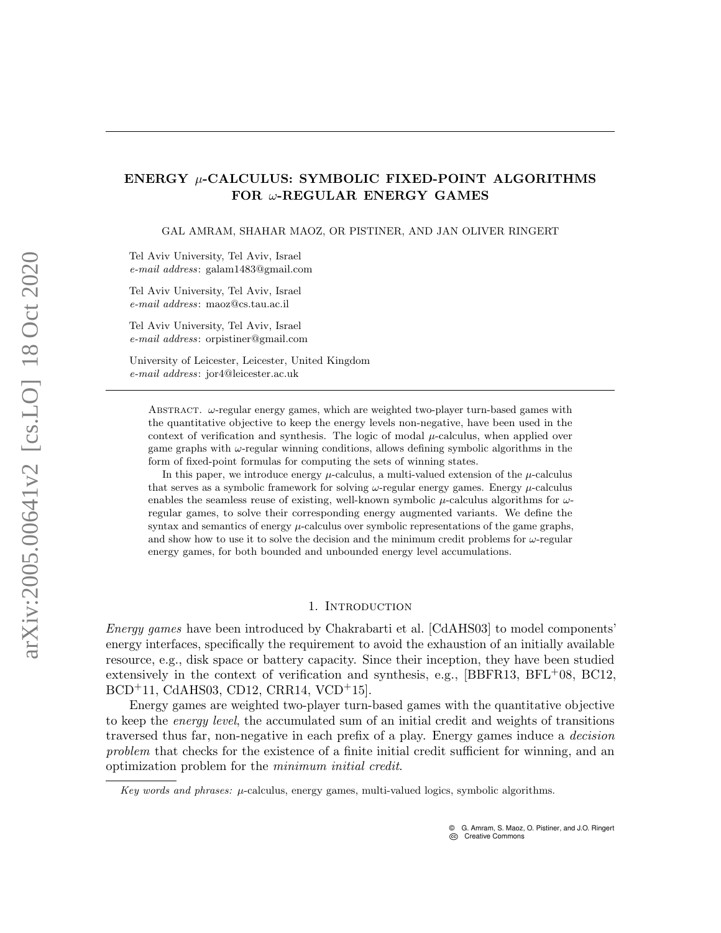# ENERGY  $\mu$ -CALCULUS: SYMBOLIC FIXED-POINT ALGORITHMS FOR ω-REGULAR ENERGY GAMES

GAL AMRAM, SHAHAR MAOZ, OR PISTINER, AND JAN OLIVER RINGERT

Tel Aviv University, Tel Aviv, Israel e-mail address: galam1483@gmail.com

Tel Aviv University, Tel Aviv, Israel e-mail address: maoz@cs.tau.ac.il

Tel Aviv University, Tel Aviv, Israel e-mail address: orpistiner@gmail.com

University of Leicester, Leicester, United Kingdom e-mail address: jor4@leicester.ac.uk

Abstract. ω-regular energy games, which are weighted two-player turn-based games with the quantitative objective to keep the energy levels non-negative, have been used in the context of verification and synthesis. The logic of modal  $\mu$ -calculus, when applied over game graphs with  $\omega$ -regular winning conditions, allows defining symbolic algorithms in the form of fixed-point formulas for computing the sets of winning states.

In this paper, we introduce energy  $\mu$ -calculus, a multi-valued extension of the  $\mu$ -calculus that serves as a symbolic framework for solving  $\omega$ -regular energy games. Energy  $\mu$ -calculus enables the seamless reuse of existing, well-known symbolic  $\mu$ -calculus algorithms for  $\omega$ regular games, to solve their corresponding energy augmented variants. We define the syntax and semantics of energy  $\mu$ -calculus over symbolic representations of the game graphs, and show how to use it to solve the decision and the minimum credit problems for  $\omega$ -regular energy games, for both bounded and unbounded energy level accumulations.

### 1. Introduction

Energy games have been introduced by Chakrabarti et al. [\[CdAHS03\]](#page-21-0) to model components' energy interfaces, specifically the requirement to avoid the exhaustion of an initially available resource, e.g., disk space or battery capacity. Since their inception, they have been studied extensively in the context of verification and synthesis, e.g., [\[BBFR13,](#page-20-0)  $BFL^{+}08$  $BFL^{+}08$ , [BC12,](#page-20-2) [BCD](#page-20-3)+11, [CdAHS03,](#page-21-0) [CD12,](#page-21-1) [CRR14,](#page-21-2) [VCD](#page-23-0)+15].

Energy games are weighted two-player turn-based games with the quantitative objective to keep the *energy level*, the accumulated sum of an initial credit and weights of transitions traversed thus far, non-negative in each prefix of a play. Energy games induce a decision problem that checks for the existence of a finite initial credit sufficient for winning, and an optimization problem for the minimum initial credit.

Key words and phrases:  $\mu$ -calculus, energy games, multi-valued logics, symbolic algorithms.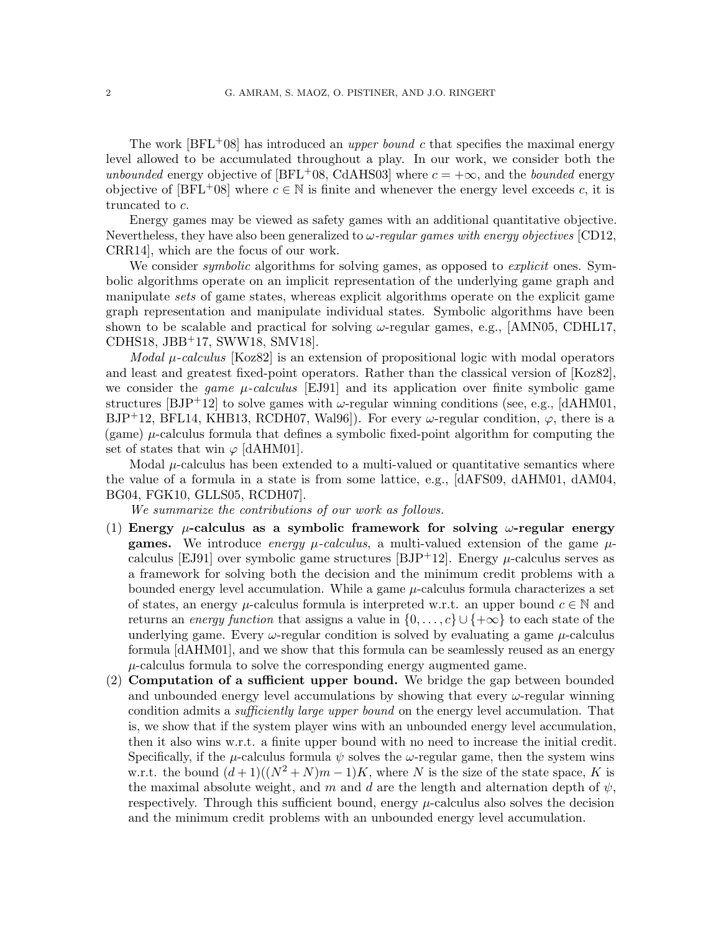The work  $[BFL+08]$  $[BFL+08]$  has introduced an *upper bound c* that specifies the maximal energy level allowed to be accumulated throughout a play. In our work, we consider both the unbounded energy objective of [\[BFL](#page-20-1)+08, [CdAHS03\]](#page-21-0) where  $c = +\infty$ , and the bounded energy objective of [\[BFL](#page-20-1)<sup>+</sup>08] where  $c \in \mathbb{N}$  is finite and whenever the energy level exceeds c, it is truncated to c.

Energy games may be viewed as safety games with an additional quantitative objective. Nevertheless, they have also been generalized to  $\omega$ -regular games with energy objectives [\[CD12,](#page-21-1) [CRR14\]](#page-21-2), which are the focus of our work.

We consider *symbolic* algorithms for solving games, as opposed to *explicit* ones. Symbolic algorithms operate on an implicit representation of the underlying game graph and manipulate sets of game states, whereas explicit algorithms operate on the explicit game graph representation and manipulate individual states. Symbolic algorithms have been shown to be scalable and practical for solving  $\omega$ -regular games, e.g., [\[AMN05,](#page-20-4) [CDHL17,](#page-21-3) [CDHS18,](#page-21-4) [JBB](#page-22-0)+17, [SWW18,](#page-23-1) [SMV18\]](#page-23-2).

Modal  $\mu$ -calculus [\[Koz82\]](#page-23-3) is an extension of propositional logic with modal operators and least and greatest fixed-point operators. Rather than the classical version of [\[Koz82\]](#page-23-3), we consider the *game*  $\mu$ -calculus [\[EJ91\]](#page-22-1) and its application over finite symbolic game structures [\[BJP](#page-21-5)+12] to solve games with  $\omega$ -regular winning conditions (see, e.g., [\[dAHM01,](#page-21-6) [BJP](#page-21-5)<sup>+</sup>12, [BFL14,](#page-20-5) [KHB13,](#page-22-2) [RCDH07,](#page-23-4) [Wal96\]](#page-23-5)). For every  $\omega$ -regular condition,  $\varphi$ , there is a (game)  $\mu$ -calculus formula that defines a symbolic fixed-point algorithm for computing the set of states that win  $\varphi$  [\[dAHM01\]](#page-21-6).

Modal  $\mu$ -calculus has been extended to a multi-valued or quantitative semantics where the value of a formula in a state is from some lattice, e.g., [\[dAFS09,](#page-21-7) [dAHM01,](#page-21-6) [dAM04,](#page-21-8) [BG04,](#page-20-6) [FGK10,](#page-22-3) [GLLS05,](#page-22-4) [RCDH07\]](#page-23-4).

We summarize the contributions of our work as follows.

- (1) Energy  $\mu$ -calculus as a symbolic framework for solving  $\omega$ -regular energy **games.** We introduce energy  $\mu$ -calculus, a multi-valued extension of the game  $\mu$ -calculus [\[EJ91\]](#page-22-1) over symbolic game structures [\[BJP](#page-21-5)+12]. Energy  $\mu$ -calculus serves as a framework for solving both the decision and the minimum credit problems with a bounded energy level accumulation. While a game  $\mu$ -calculus formula characterizes a set of states, an energy  $\mu$ -calculus formula is interpreted w.r.t. an upper bound  $c \in \mathbb{N}$  and returns an energy function that assigns a value in  $\{0,\ldots,c\} \cup \{\pm \infty\}$  to each state of the underlying game. Every  $\omega$ -regular condition is solved by evaluating a game  $\mu$ -calculus formula [\[dAHM01\]](#page-21-6), and we show that this formula can be seamlessly reused as an energy  $\mu$ -calculus formula to solve the corresponding energy augmented game.
- (2) Computation of a sufficient upper bound. We bridge the gap between bounded and unbounded energy level accumulations by showing that every  $\omega$ -regular winning condition admits a *sufficiently large upper bound* on the energy level accumulation. That is, we show that if the system player wins with an unbounded energy level accumulation, then it also wins w.r.t. a finite upper bound with no need to increase the initial credit. Specifically, if the  $\mu$ -calculus formula  $\psi$  solves the  $\omega$ -regular game, then the system wins w.r.t. the bound  $(d+1)((N^2+N)m-1)K$ , where N is the size of the state space, K is the maximal absolute weight, and m and d are the length and alternation depth of  $\psi$ , respectively. Through this sufficient bound, energy  $\mu$ -calculus also solves the decision and the minimum credit problems with an unbounded energy level accumulation.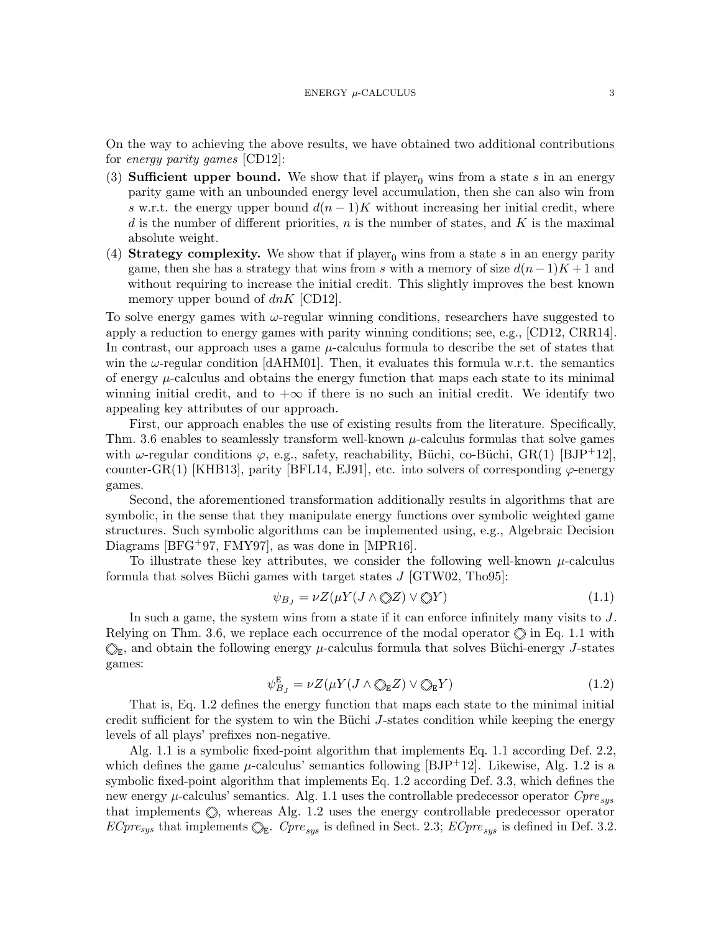On the way to achieving the above results, we have obtained two additional contributions for energy parity games [\[CD12\]](#page-21-1):

- (3) **Sufficient upper bound.** We show that if player<sub>0</sub> wins from a state s in an energy parity game with an unbounded energy level accumulation, then she can also win from s w.r.t. the energy upper bound  $d(n-1)K$  without increasing her initial credit, where d is the number of different priorities,  $n$  is the number of states, and  $K$  is the maximal absolute weight.
- (4) Strategy complexity. We show that if player<sub>0</sub> wins from a state s in an energy parity game, then she has a strategy that wins from s with a memory of size  $d(n-1)K + 1$  and without requiring to increase the initial credit. This slightly improves the best known memory upper bound of  $dnK$  [\[CD12\]](#page-21-1).

To solve energy games with  $\omega$ -regular winning conditions, researchers have suggested to apply a reduction to energy games with parity winning conditions; see, e.g., [\[CD12,](#page-21-1) [CRR14\]](#page-21-2). In contrast, our approach uses a game  $\mu$ -calculus formula to describe the set of states that win the  $\omega$ -regular condition [\[dAHM01\]](#page-21-6). Then, it evaluates this formula w.r.t. the semantics of energy  $\mu$ -calculus and obtains the energy function that maps each state to its minimal winning initial credit, and to  $+\infty$  if there is no such an initial credit. We identify two appealing key attributes of our approach.

First, our approach enables the use of existing results from the literature. Specifically, Thm. [3.6](#page-12-0) enables to seamlessly transform well-known  $\mu$ -calculus formulas that solve games with  $\omega$ -regular conditions  $\varphi$ , e.g., safety, reachability, Büchi, co-Büchi, GR(1) [\[BJP](#page-21-5)<sup>+</sup>12], counter-GR(1) [\[KHB13\]](#page-22-2), parity [\[BFL14,](#page-20-5) [EJ91\]](#page-22-1), etc. into solvers of corresponding  $\varphi$ -energy games.

Second, the aforementioned transformation additionally results in algorithms that are symbolic, in the sense that they manipulate energy functions over symbolic weighted game structures. Such symbolic algorithms can be implemented using, e.g., Algebraic Decision Diagrams [\[BFG](#page-20-7)+97, [FMY97\]](#page-22-5), as was done in [\[MPR16\]](#page-23-6).

To illustrate these key attributes, we consider the following well-known  $\mu$ -calculus formula that solves Büchi games with target states  $J$  [\[GTW02,](#page-22-6) [Tho95\]](#page-23-7):

<span id="page-2-0"></span>
$$
\psi_{B_J} = \nu Z(\mu Y(J \wedge \textcircled{\ot} Z) \vee \textcircled{\vee} Y) \tag{1.1}
$$

In such a game, the system wins from a state if it can enforce infinitely many visits to J. Relying on Thm. [3.6,](#page-12-0) we replace each occurrence of the modal operator  $\Diamond$  in Eq. [1.1](#page-2-0) with  $_{\texttt{E}}$ , and obtain the following energy  $\mu$ -calculus formula that solves Büchi-energy J-states games:

<span id="page-2-1"></span>
$$
\psi_{B_J}^{\mathbf{E}} = \nu Z(\mu Y(J \wedge \mathbb{Q}_{\mathbf{E}} Z) \vee \mathbb{Q}_{\mathbf{E}} Y) \tag{1.2}
$$

That is, Eq. [1.2](#page-2-1) defines the energy function that maps each state to the minimal initial credit sufficient for the system to win the Büchi  $J$ -states condition while keeping the energy levels of all plays' prefixes non-negative.

Alg. [1.1](#page-3-0) is a symbolic fixed-point algorithm that implements Eq. [1.1](#page-2-0) according Def. [2.2,](#page-8-0) which defines the game  $\mu$ -calculus' semantics following [\[BJP](#page-21-5)<sup>+</sup>12]. Likewise, Alg. [1.2](#page-3-1) is a symbolic fixed-point algorithm that implements Eq. [1.2](#page-2-1) according Def. [3.3,](#page-10-0) which defines the new energy  $\mu$ -calculus' semantics. Alg. [1.1](#page-3-0) uses the controllable predecessor operator  $Cpre_{sus}$ that implements  $\oslash$ , whereas Alg. [1.2](#page-3-1) uses the energy controllable predecessor operator  $ECpre_{sys}$  that implements  $\mathbb{Q}_E$ .  $Cpre_{sys}$  is defined in Sect. [2.3;](#page-7-0)  $ECpre_{sys}$  is defined in Def. [3.2.](#page-9-0)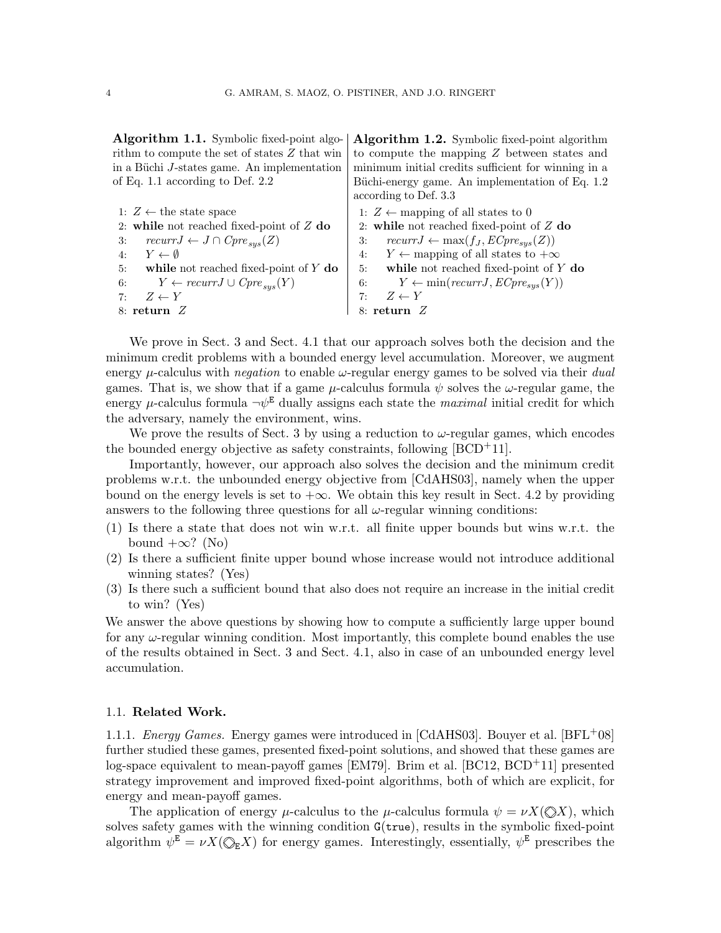<span id="page-3-0"></span>Algorithm 1.1. Symbolic fixed-point algorithm to compute the set of states Z that win in a Büchi J-states game. An implementation of Eq. [1.1](#page-2-0) according to Def. [2.2](#page-8-0)

1:  $Z \leftarrow$  the state space 2: while not reached fixed-point of Z do 3:  $recurrJ \leftarrow J \cap Cpre_{sus}(Z)$ 4:  $Y \leftarrow \emptyset$ 5: while not reached fixed-point of Y do 6:  $Y \leftarrow \operatorname{recurr} J \cup \operatorname{Cpre}_{sys}(Y)$ <br>7:  $Z \leftarrow Y$  $Z \leftarrow Y$ 8: return Z

<span id="page-3-1"></span>Algorithm 1.2. Symbolic fixed-point algorithm to compute the mapping Z between states and minimum initial credits sufficient for winning in a Büchi-energy game. An implementation of Eq. [1.2](#page-2-1) according to Def. [3.3](#page-10-0)

1:  $Z \leftarrow$  mapping of all states to 0 2: while not reached fixed-point of Z do 3:  $recurrJ \leftarrow \max(f_J, ECpre_{sus}(Z))$ 4:  $Y \leftarrow$  mapping of all states to  $+\infty$ 5: while not reached fixed-point of Y do 6:  $Y \leftarrow min(recurrJ, ECpre_{sys}(Y))$ 7:  $Z \leftarrow Y$ 8: return Z

We prove in Sect. [3](#page-8-1) and Sect. [4.1](#page-13-0) that our approach solves both the decision and the minimum credit problems with a bounded energy level accumulation. Moreover, we augment energy  $\mu$ -calculus with *negation* to enable  $\omega$ -regular energy games to be solved via their dual games. That is, we show that if a game  $\mu$ -calculus formula  $\psi$  solves the  $\omega$ -regular game, the energy  $\mu$ -calculus formula  $\neg \psi^E$  dually assigns each state the *maximal* initial credit for which the adversary, namely the environment, wins.

We prove the results of Sect. [3](#page-8-1) by using a reduction to  $\omega$ -regular games, which encodes the bounded energy objective as safety constraints, following  $[BCD<sup>+</sup>11]$  $[BCD<sup>+</sup>11]$ .

Importantly, however, our approach also solves the decision and the minimum credit problems w.r.t. the unbounded energy objective from [\[CdAHS03\]](#page-21-0), namely when the upper bound on the energy levels is set to  $+\infty$ . We obtain this key result in Sect. [4.2](#page-14-0) by providing answers to the following three questions for all  $\omega$ -regular winning conditions:

- (1) Is there a state that does not win w.r.t. all finite upper bounds but wins w.r.t. the bound  $+\infty$ ? (No)
- (2) Is there a sufficient finite upper bound whose increase would not introduce additional winning states? (Yes)
- (3) Is there such a sufficient bound that also does not require an increase in the initial credit to win? (Yes)

We answer the above questions by showing how to compute a sufficiently large upper bound for any  $\omega$ -regular winning condition. Most importantly, this complete bound enables the use of the results obtained in Sect. [3](#page-8-1) and Sect. [4.1,](#page-13-0) also in case of an unbounded energy level accumulation.

#### 1.1. Related Work.

<span id="page-3-2"></span>1.1.1. *Energy Games.* Energy games were introduced in [\[CdAHS03\]](#page-21-0). Bouyer et al.  $[BFL+08]$  $[BFL+08]$ further studied these games, presented fixed-point solutions, and showed that these games are log-space equivalent to mean-payoff games [\[EM79\]](#page-22-7). Brim et al. [\[BC12,](#page-20-2) [BCD](#page-20-3)+11] presented strategy improvement and improved fixed-point algorithms, both of which are explicit, for energy and mean-payoff games.

The application of energy  $\mu$ -calculus to the  $\mu$ -calculus formula  $\psi = \nu X(\mathbb{Q}X)$ , which solves safety games with the winning condition  $G(\text{true})$ , results in the symbolic fixed-point algorithm  $\psi^{\mathbf{E}} = \nu X(\mathbb{Q}_{\mathbf{E}}X)$  for energy games. Interestingly, essentially,  $\psi^{\mathbf{E}}$  prescribes the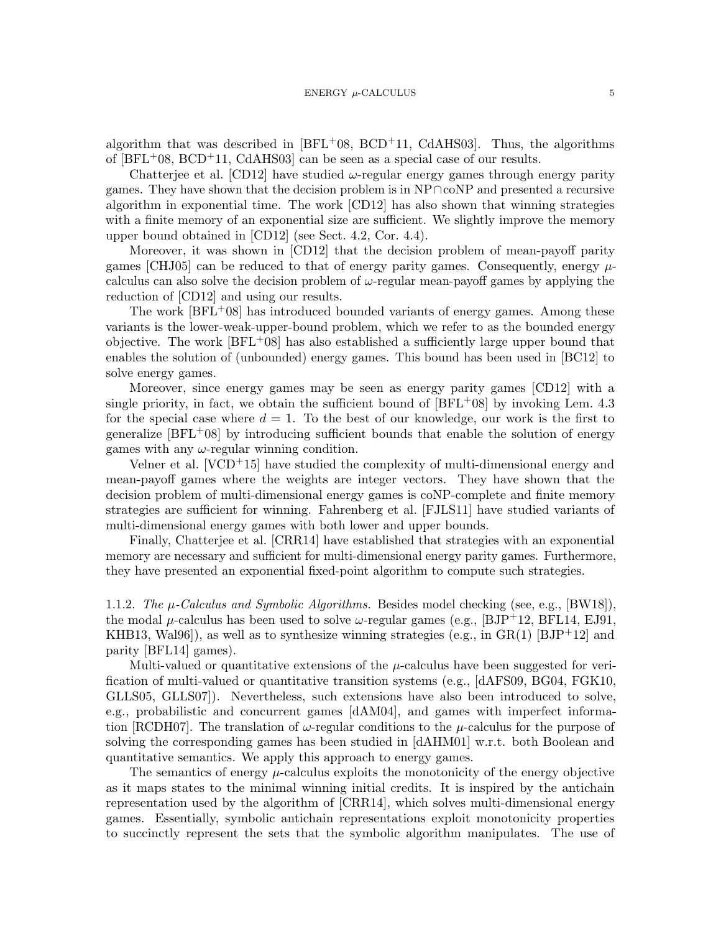algorithm that was described in  $[BFL+08, BCD+11, CdAHS03]$  $[BFL+08, BCD+11, CdAHS03]$  $[BFL+08, BCD+11, CdAHS03]$  $[BFL+08, BCD+11, CdAHS03]$  $[BFL+08, BCD+11, CdAHS03]$ . Thus, the algorithms of  $[BFL<sup>+</sup>08, BCD<sup>+</sup>11, CdAHS03]$  $[BFL<sup>+</sup>08, BCD<sup>+</sup>11, CdAHS03]$  $[BFL<sup>+</sup>08, BCD<sup>+</sup>11, CdAHS03]$  $[BFL<sup>+</sup>08, BCD<sup>+</sup>11, CdAHS03]$  $[BFL<sup>+</sup>08, BCD<sup>+</sup>11, CdAHS03]$  can be seen as a special case of our results.

Chatterjee et al. [\[CD12\]](#page-21-1) have studied  $\omega$ -regular energy games through energy parity games. They have shown that the decision problem is in NP∩coNP and presented a recursive algorithm in exponential time. The work [\[CD12\]](#page-21-1) has also shown that winning strategies with a finite memory of an exponential size are sufficient. We slightly improve the memory upper bound obtained in [\[CD12\]](#page-21-1) (see Sect. [4.2,](#page-14-0) Cor. [4.4\)](#page-16-0).

Moreover, it was shown in [\[CD12\]](#page-21-1) that the decision problem of mean-payoff parity games [\[CHJ05\]](#page-21-9) can be reduced to that of energy parity games. Consequently, energy  $\mu$ calculus can also solve the decision problem of  $\omega$ -regular mean-payoff games by applying the reduction of [\[CD12\]](#page-21-1) and using our results.

The work [\[BFL](#page-20-1)+08] has introduced bounded variants of energy games. Among these variants is the lower-weak-upper-bound problem, which we refer to as the bounded energy objective. The work  $BFL+08$  has also established a sufficiently large upper bound that enables the solution of (unbounded) energy games. This bound has been used in [\[BC12\]](#page-20-2) to solve energy games.

Moreover, since energy games may be seen as energy parity games [\[CD12\]](#page-21-1) with a single priority, in fact, we obtain the sufficient bound of  $[BFL+08]$  $[BFL+08]$  by invoking Lem. [4.3](#page-16-1) for the special case where  $d = 1$ . To the best of our knowledge, our work is the first to generalize  $|BFL+08|$  by introducing sufficient bounds that enable the solution of energy games with any  $\omega$ -regular winning condition.

Velner et al.  $[VCD+15]$  $[VCD+15]$  have studied the complexity of multi-dimensional energy and mean-payoff games where the weights are integer vectors. They have shown that the decision problem of multi-dimensional energy games is coNP-complete and finite memory strategies are sufficient for winning. Fahrenberg et al. [\[FJLS11\]](#page-22-8) have studied variants of multi-dimensional energy games with both lower and upper bounds.

Finally, Chatterjee et al. [\[CRR14\]](#page-21-2) have established that strategies with an exponential memory are necessary and sufficient for multi-dimensional energy parity games. Furthermore, they have presented an exponential fixed-point algorithm to compute such strategies.

1.1.2. The  $\mu$ -Calculus and Symbolic Algorithms. Besides model checking (see, e.g., [\[BW18\]](#page-21-10)), the modal  $\mu$ -calculus has been used to solve  $\omega$ -regular games (e.g., [\[BJP](#page-21-5)<sup>+</sup>12, [BFL14,](#page-20-5) [EJ91,](#page-22-1) [KHB13,](#page-22-2) [Wal96\]](#page-23-5)), as well as to synthesize winning strategies (e.g., in  $GR(1)$  [\[BJP](#page-21-5)+12] and parity [\[BFL14\]](#page-20-5) games).

Multi-valued or quantitative extensions of the  $\mu$ -calculus have been suggested for verification of multi-valued or quantitative transition systems (e.g., [\[dAFS09,](#page-21-7) [BG04,](#page-20-6) [FGK10,](#page-22-3) [GLLS05,](#page-22-4) [GLLS07\]](#page-22-9)). Nevertheless, such extensions have also been introduced to solve, e.g., probabilistic and concurrent games [\[dAM04\]](#page-21-8), and games with imperfect informa-tion [\[RCDH07\]](#page-23-4). The translation of  $\omega$ -regular conditions to the  $\mu$ -calculus for the purpose of solving the corresponding games has been studied in [\[dAHM01\]](#page-21-6) w.r.t. both Boolean and quantitative semantics. We apply this approach to energy games.

The semantics of energy  $\mu$ -calculus exploits the monotonicity of the energy objective as it maps states to the minimal winning initial credits. It is inspired by the antichain representation used by the algorithm of [\[CRR14\]](#page-21-2), which solves multi-dimensional energy games. Essentially, symbolic antichain representations exploit monotonicity properties to succinctly represent the sets that the symbolic algorithm manipulates. The use of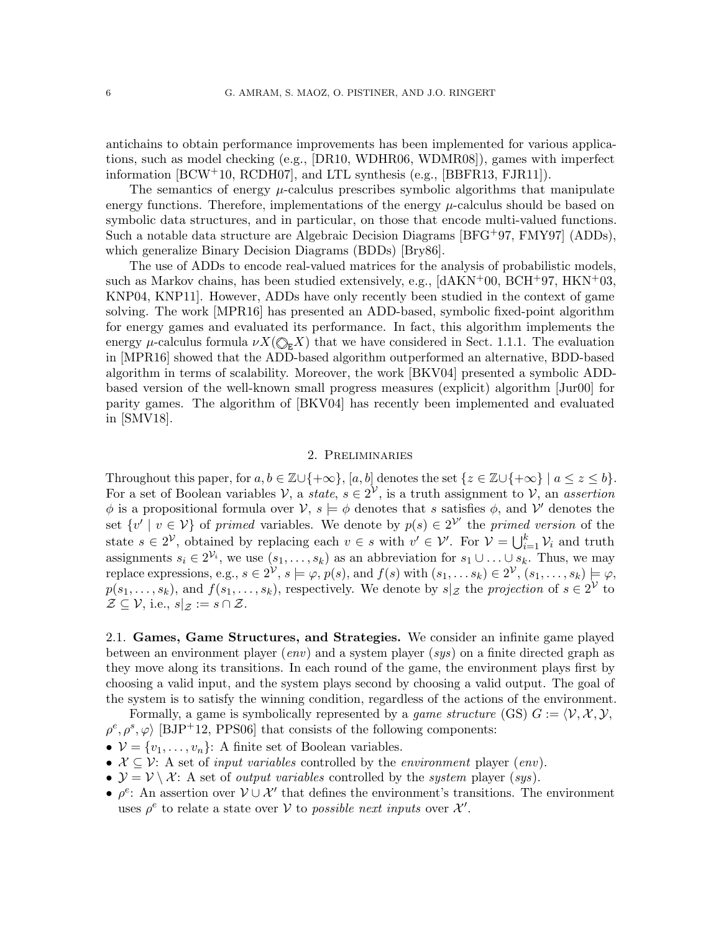antichains to obtain performance improvements has been implemented for various applications, such as model checking (e.g., [\[DR10,](#page-21-11) [WDHR06,](#page-23-8) [WDMR08\]](#page-23-9)), games with imperfect information [\[BCW](#page-20-8)+10, [RCDH07\]](#page-23-4), and LTL synthesis (e.g., [\[BBFR13,](#page-20-0) [FJR11\]](#page-22-10)).

The semantics of energy  $\mu$ -calculus prescribes symbolic algorithms that manipulate energy functions. Therefore, implementations of the energy  $\mu$ -calculus should be based on symbolic data structures, and in particular, on those that encode multi-valued functions. Such a notable data structure are Algebraic Decision Diagrams [\[BFG](#page-20-7)+97, [FMY97\]](#page-22-5) (ADDs), which generalize Binary Decision Diagrams (BDDs) [\[Bry86\]](#page-21-12).

The use of ADDs to encode real-valued matrices for the analysis of probabilistic models, such as Markov chains, has been studied extensively, e.g.,  $\text{[dAKN+00, BCH+97, HKN+03]}$  $\text{[dAKN+00, BCH+97, HKN+03]}$  $\text{[dAKN+00, BCH+97, HKN+03]}$  $\text{[dAKN+00, BCH+97, HKN+03]}$  $\text{[dAKN+00, BCH+97, HKN+03]}$  $\text{[dAKN+00, BCH+97, HKN+03]}$  $\text{[dAKN+00, BCH+97, HKN+03]}$ [KNP04,](#page-22-12) [KNP11\]](#page-22-13). However, ADDs have only recently been studied in the context of game solving. The work [\[MPR16\]](#page-23-6) has presented an ADD-based, symbolic fixed-point algorithm for energy games and evaluated its performance. In fact, this algorithm implements the energy  $\mu$ -calculus formula  $\nu X(\mathbb{Q}_F X)$  that we have considered in Sect. [1.1.1.](#page-3-2) The evaluation in [\[MPR16\]](#page-23-6) showed that the ADD-based algorithm outperformed an alternative, BDD-based algorithm in terms of scalability. Moreover, the work [\[BKV04\]](#page-21-14) presented a symbolic ADDbased version of the well-known small progress measures (explicit) algorithm [\[Jur00\]](#page-22-14) for parity games. The algorithm of [\[BKV04\]](#page-21-14) has recently been implemented and evaluated in [\[SMV18\]](#page-23-2).

## 2. Preliminaries

<span id="page-5-0"></span>Throughout this paper, for  $a, b \in \mathbb{Z} \cup \{+\infty\}$ ,  $[a, b]$  denotes the set  $\{z \in \mathbb{Z} \cup \{+\infty\} \mid a \leq z \leq b\}$ . For a set of Boolean variables  $V$ , a *state*,  $s \in 2^V$ , is a truth assignment to  $V$ , an *assertion*  $\phi$  is a propositional formula over  $\mathcal{V}, s \models \phi$  denotes that s satisfies  $\phi$ , and  $\mathcal{V}'$  denotes the set  $\{v' \mid v \in V\}$  of primed variables. We denote by  $p(s) \in 2^{\mathcal{V}'}$  the primed version of the state  $s \in 2^{\mathcal{V}}$ , obtained by replacing each  $v \in s$  with  $v' \in \mathcal{V}'$ . For  $\mathcal{V} = \bigcup_{i=1}^{k} \mathcal{V}_i$  and truth assignments  $s_i \in 2^{\mathcal{V}_i}$ , we use  $(s_1, \ldots, s_k)$  as an abbreviation for  $s_1 \cup \ldots \cup s_k$ . Thus, we may replace expressions, e.g.,  $s \in 2^{\mathcal{V}}, s \models \varphi, p(s)$ , and  $f(s)$  with  $(s_1, \ldots s_k) \in 2^{\mathcal{V}}, (s_1, \ldots, s_k) \models \varphi$ ,  $p(s_1, \ldots, s_k)$ , and  $f(s_1, \ldots, s_k)$ , respectively. We denote by  $s|_{\mathcal{Z}}$  the projection of  $s \in 2^{\mathcal{V}}$  to  $\mathcal{Z} \subseteq \mathcal{V}$ , i.e.,  $s|_{\mathcal{Z}} := s \cap \mathcal{Z}$ .

2.1. Games, Game Structures, and Strategies. We consider an infinite game played between an environment player (*env*) and a system player (*sys*) on a finite directed graph as they move along its transitions. In each round of the game, the environment plays first by choosing a valid input, and the system plays second by choosing a valid output. The goal of the system is to satisfy the winning condition, regardless of the actions of the environment.

Formally, a game is symbolically represented by a *qame structure* (GS)  $G := \langle V, \mathcal{X}, \mathcal{Y}, \mathcal{Y} \rangle$  $\rho^e, \rho^s, \varphi$  [\[BJP](#page-21-5)+12, [PPS06\]](#page-23-10) that consists of the following components:

- $V = \{v_1, \ldots, v_n\}$ : A finite set of Boolean variables.
- $X \subseteq V$ : A set of *input variables* controlled by the *environment* player *(env)*.
- $\mathcal{Y} = \mathcal{V} \setminus \mathcal{X}$ : A set of *output variables* controlled by the *system* player (*sys*).
- $\rho^e$ : An assertion over  $\mathcal{V} \cup \mathcal{X}'$  that defines the environment's transitions. The environment uses  $\rho^e$  to relate a state over V to possible next inputs over  $\mathcal{X}'$ .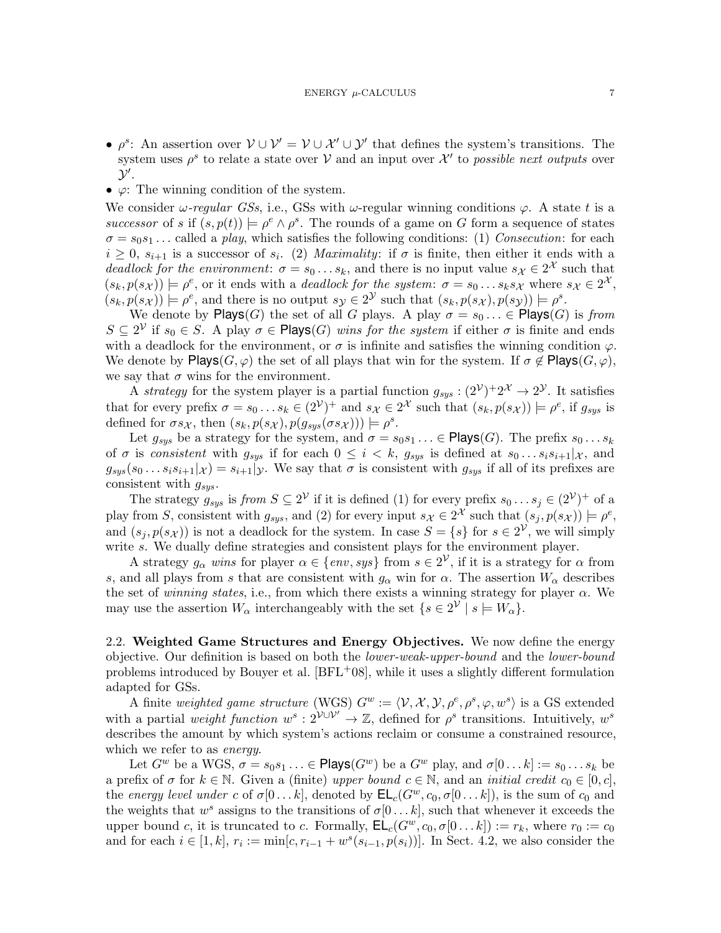- $\rho^s$ : An assertion over  $V \cup V' = V \cup \mathcal{X}' \cup \mathcal{Y}'$  that defines the system's transitions. The system uses  $\rho^s$  to relate a state over V and an input over  $\mathcal{X}'$  to possible next outputs over  $\mathcal{Y}'$ .
- $\varphi$ : The winning condition of the system.

We consider  $\omega$ -regular GSs, i.e., GSs with  $\omega$ -regular winning conditions  $\varphi$ . A state t is a successor of s if  $(s, p(t)) \models \rho^e \land \rho^s$ . The rounds of a game on G form a sequence of states  $\sigma = s_0 s_1 \dots$  called a play, which satisfies the following conditions: (1) Consecution: for each  $i \geq 0$ ,  $s_{i+1}$  is a successor of  $s_i$ . (2) Maximality: if  $\sigma$  is finite, then either it ends with a deadlock for the environment:  $\sigma = s_0 \dots s_k$ , and there is no input value  $s_{\mathcal{X}} \in 2^{\mathcal{X}}$  such that  $(s_k, p(s_{\mathcal{X}})) \models \rho^e$ , or it ends with a *deadlock for the system:*  $\sigma = s_0 \dots s_k s_{\mathcal{X}}$  where  $s_{\mathcal{X}} \in 2^{\mathcal{X}},$  $(s_k, p(s_{\mathcal{X}})) \models \rho^e$ , and there is no output  $s_{\mathcal{Y}} \in 2^{\mathcal{Y}}$  such that  $(s_k, p(s_{\mathcal{X}}), p(s_{\mathcal{Y}})) \models \rho^s$ .

We denote by  $\mathsf{Plays}(G)$  the set of all G plays. A play  $\sigma = s_0 \ldots \in \mathsf{Plays}(G)$  is from  $S \subseteq 2^{\mathcal{V}}$  if  $s_0 \in S$ . A play  $\sigma \in \mathsf{Plays}(G)$  wins for the system if either  $\sigma$  is finite and ends with a deadlock for the environment, or  $\sigma$  is infinite and satisfies the winning condition  $\varphi$ . We denote by  $\mathsf{Plays}(G, \varphi)$  the set of all plays that win for the system. If  $\sigma \notin \mathsf{Plays}(G, \varphi)$ , we say that  $\sigma$  wins for the environment.

A strategy for the system player is a partial function  $g_{sys} : (2^{\mathcal{V}})^+ 2^{\mathcal{X}} \to 2^{\mathcal{Y}}$ . It satisfies that for every prefix  $\sigma = s_0 \dots s_k \in (2^{\mathcal{V}})^+$  and  $s_{\mathcal{X}} \in 2^{\mathcal{X}}$  such that  $(s_k, p(s_{\mathcal{X}})) \models \rho^e$ , if  $g_{sys}$  is defined for  $\sigma s_{\mathcal{X}}$ , then  $(s_k, p(s_{\mathcal{X}}), p(g_{sys}(\sigma s_{\mathcal{X}}))) \models \rho^s$ .

Let  $g_{sys}$  be a strategy for the system, and  $\sigma = s_0 s_1 \ldots \in \mathsf{Plays}(G)$ . The prefix  $s_0 \ldots s_k$ of  $\sigma$  is consistent with  $g_{sys}$  if for each  $0 \leq i \leq k$ ,  $g_{sys}$  is defined at  $s_0 \dots s_i s_{i+1} |_{\mathcal{X}}$ , and  $g_{sys}(s_0...s_is_{i+1}|\chi) = s_{i+1}|\chi$ . We say that  $\sigma$  is consistent with  $g_{sys}$  if all of its prefixes are consistent with  $g_{sys}$ .

The strategy  $g_{sys}$  is from  $S \subseteq 2^{\mathcal{V}}$  if it is defined (1) for every prefix  $s_0 \dots s_j \in (2^{\mathcal{V}})^+$  of a play from S, consistent with  $g_{sys}$ , and (2) for every input  $s_{\mathcal{X}} \in 2^{\mathcal{X}}$  such that  $(s_j, p(s_{\mathcal{X}})) \models \rho^e$ , and  $(s_j, p(s_{\mathcal{X}}))$  is not a deadlock for the system. In case  $S = \{s\}$  for  $s \in 2^{\mathcal{V}}$ , we will simply write s. We dually define strategies and consistent plays for the environment player.

A strategy  $g_{\alpha}$  wins for player  $\alpha \in \{env, sys\}$  from  $s \in 2^{\mathcal{V}}$ , if it is a strategy for  $\alpha$  from s, and all plays from s that are consistent with  $g_{\alpha}$  win for  $\alpha$ . The assertion  $W_{\alpha}$  describes the set of winning states, i.e., from which there exists a winning strategy for player  $\alpha$ . We may use the assertion  $W_{\alpha}$  interchangeably with the set  $\{s \in 2^{\mathcal{V}} \mid s \models W_{\alpha}\}.$ 

<span id="page-6-0"></span>2.2. Weighted Game Structures and Energy Objectives. We now define the energy objective. Our definition is based on both the lower-weak-upper-bound and the lower-bound problems introduced by Bouyer et al.  $[BFL+08]$  $[BFL+08]$ , while it uses a slightly different formulation adapted for GSs.

A finite weighted game structure (WGS)  $G^w := \langle \mathcal{V}, \mathcal{X}, \mathcal{Y}, \rho^e, \rho^s, \varphi, w^s \rangle$  is a GS extended with a partial weight function  $w^s : 2^{\mathcal{V} \cup \mathcal{V}'} \to \mathbb{Z}$ , defined for  $\rho^s$  transitions. Intuitively,  $w^s$ describes the amount by which system's actions reclaim or consume a constrained resource, which we refer to as *energy*.

Let  $G^w$  be a WGS,  $\sigma = s_0 s_1 \ldots \in \mathsf{Plays}(G^w)$  be a  $G^w$  play, and  $\sigma[0 \ldots k] := s_0 \ldots s_k$  be a prefix of  $\sigma$  for  $k \in \mathbb{N}$ . Given a (finite) upper bound  $c \in \mathbb{N}$ , and an initial credit  $c_0 \in [0, c]$ , the energy level under c of  $\sigma[0 \dots k]$ , denoted by  $\mathsf{EL}_c(G^w, c_0, \sigma[0 \dots k])$ , is the sum of  $c_0$  and the weights that  $w^s$  assigns to the transitions of  $\sigma[0...k]$ , such that whenever it exceeds the upper bound c, it is truncated to c. Formally,  $\mathsf{EL}_c(G^w, c_0, \sigma[0...k]) := r_k$ , where  $r_0 := c_0$ and for each  $i \in [1, k]$ ,  $r_i := \min[c, r_{i-1} + w^s(s_{i-1}, p(s_i))]$ . In Sect. [4.2,](#page-14-0) we also consider the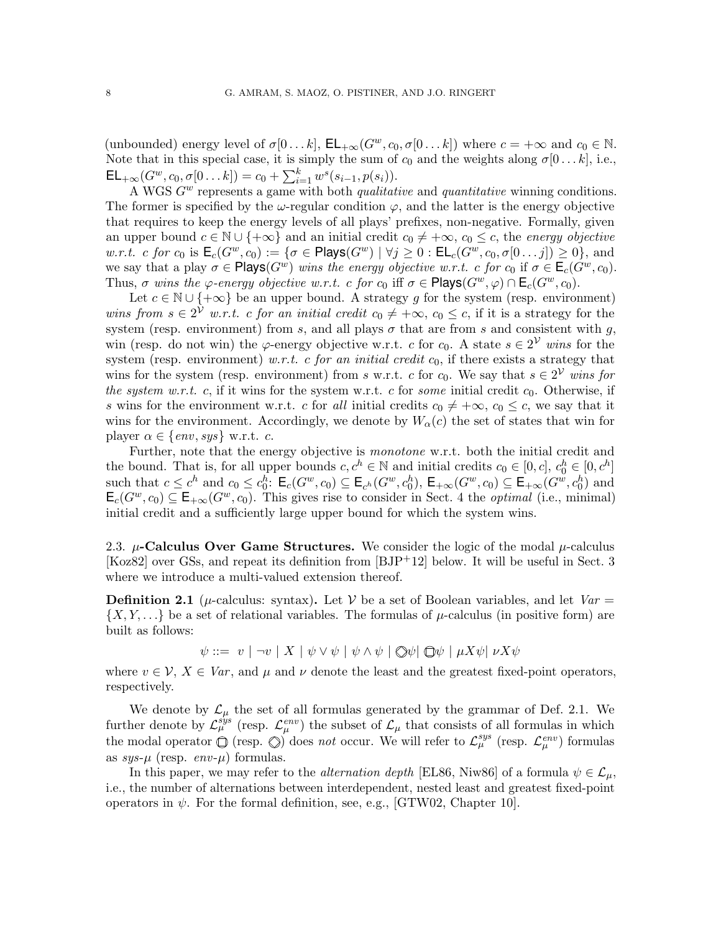(unbounded) energy level of  $\sigma[0 \dots k]$ ,  $\mathsf{EL}_{+\infty}(G^w, c_0, \sigma[0 \dots k])$  where  $c = +\infty$  and  $c_0 \in \mathbb{N}$ . Note that in this special case, it is simply the sum of  $c_0$  and the weights along  $\sigma[0 \dots k]$ , i.e.,  $\mathsf{EL}_{+\infty}(G^w, c_0, \sigma[0 \dots k]) = c_0 + \sum_{i=1}^k w^s(s_{i-1}, p(s_i)).$ 

A WGS  $G^w$  represents a game with both *qualitative* and *quantitative* winning conditions. The former is specified by the  $\omega$ -regular condition  $\varphi$ , and the latter is the energy objective that requires to keep the energy levels of all plays' prefixes, non-negative. Formally, given an upper bound  $c \in \mathbb{N} \cup \{+\infty\}$  and an initial credit  $c_0 \neq +\infty$ ,  $c_0 \leq c$ , the energy objective w.r.t. c for  $c_0$  is  $\mathsf{E}_c(G^w, c_0) := \{ \sigma \in \mathsf{Plays}(G^w) \mid \forall j \geq 0 : \mathsf{EL}_c(G^w, c_0, \sigma[0 \dots j]) \geq 0 \}$ , and we say that a play  $\sigma \in \mathsf{Plays}(G^w)$  wins the energy objective w.r.t. c for  $c_0$  if  $\sigma \in \mathsf{E}_c(G^w, c_0)$ . Thus,  $\sigma$  wins the  $\varphi$ -energy objective w.r.t. c for  $c_0$  iff  $\sigma \in \mathsf{Plays}(G^w, \varphi) \cap \mathsf{E}_c(G^w, c_0)$ .

Let  $c \in \mathbb{N} \cup \{+\infty\}$  be an upper bound. A strategy g for the system (resp. environment) wins from  $s \in 2^{\mathcal{V}}$  w.r.t. c for an initial credit  $c_0 \neq +\infty$ ,  $c_0 \leq c$ , if it is a strategy for the system (resp. environment) from s, and all plays  $\sigma$  that are from s and consistent with g. win (resp. do not win) the  $\varphi$ -energy objective w.r.t. c for c<sub>0</sub>. A state  $s \in 2^{\mathcal{V}}$  wins for the system (resp. environment) w.r.t. c for an initial credit  $c_0$ , if there exists a strategy that wins for the system (resp. environment) from s w.r.t. c for  $c_0$ . We say that  $s \in 2^{\mathcal{V}}$  wins for the system w.r.t. c, if it wins for the system w.r.t. c for some initial credit  $c_0$ . Otherwise, if s wins for the environment w.r.t. c for all initial credits  $c_0 \neq +\infty$ ,  $c_0 \leq c$ , we say that it wins for the environment. Accordingly, we denote by  $W_{\alpha}(c)$  the set of states that win for player  $\alpha \in \{env, sys\}$  w.r.t. c.

Further, note that the energy objective is monotone w.r.t. both the initial credit and the bound. That is, for all upper bounds  $c, c^h \in \mathbb{N}$  and initial credits  $c_0 \in [0, c]$ ,  $c_0^h \in [0, c^h]$ such that  $c \leq c^h$  and  $c_0 \leq c_0^h$ :  $\mathsf{E}_c(G^w, c_0) \subseteq \mathsf{E}_{c^h}(G^w, c_0^h)$ ,  $\mathsf{E}_{+\infty}(G^w, c_0) \subseteq \mathsf{E}_{+\infty}(G^w, c_0^h)$  and  $\mathsf{E}_c(G^w, c_0) \subseteq \mathsf{E}_{+\infty}(G^w, c_0)$ . This gives rise to consider in Sect. [4](#page-13-1) the *optimal* (i.e., minimal) initial credit and a sufficiently large upper bound for which the system wins.

<span id="page-7-0"></span>2.3.  $\mu$ -Calculus Over Game Structures. We consider the logic of the modal  $\mu$ -calculus [\[Koz82\]](#page-23-3) over GSs, and repeat its definition from [\[BJP](#page-21-5)+12] below. It will be useful in Sect. [3](#page-8-1) where we introduce a multi-valued extension thereof.

<span id="page-7-1"></span>**Definition 2.1** ( $\mu$ -calculus: syntax). Let V be a set of Boolean variables, and let  $Var =$  $\{X, Y, \ldots\}$  be a set of relational variables. The formulas of  $\mu$ -calculus (in positive form) are built as follows:

 $\psi ::= v \mid \neg v \mid X \mid \psi \vee \psi \mid \psi \wedge \psi \mid \Diamond \psi \mid \Box \psi \mid \mu X \psi \mid \nu X \psi$ 

where  $v \in V$ ,  $X \in Var$ , and  $\mu$  and  $\nu$  denote the least and the greatest fixed-point operators, respectively.

We denote by  $\mathcal{L}_{\mu}$  the set of all formulas generated by the grammar of Def. [2.1.](#page-7-1) We further denote by  $\mathcal{L}_{\mu}^{sys}$  (resp.  $\mathcal{L}_{\mu}^{env}$ ) the subset of  $\mathcal{L}_{\mu}$  that consists of all formulas in which the modal operator  $\overline{O}$  (resp.  $\overline{O}$ ) does not occur. We will refer to  $\mathcal{L}_{\mu}^{sys}$  (resp.  $\mathcal{L}_{\mu}^{env}$ ) formulas as  $sys-\mu$  (resp.  $env-\mu$ ) formulas.

In this paper, we may refer to the *alternation depth* [\[EL86,](#page-22-15) [Niw86\]](#page-23-11) of a formula  $\psi \in \mathcal{L}_{\mu}$ . i.e., the number of alternations between interdependent, nested least and greatest fixed-point operators in  $\psi$ . For the formal definition, see, e.g., [\[GTW02,](#page-22-6) Chapter 10].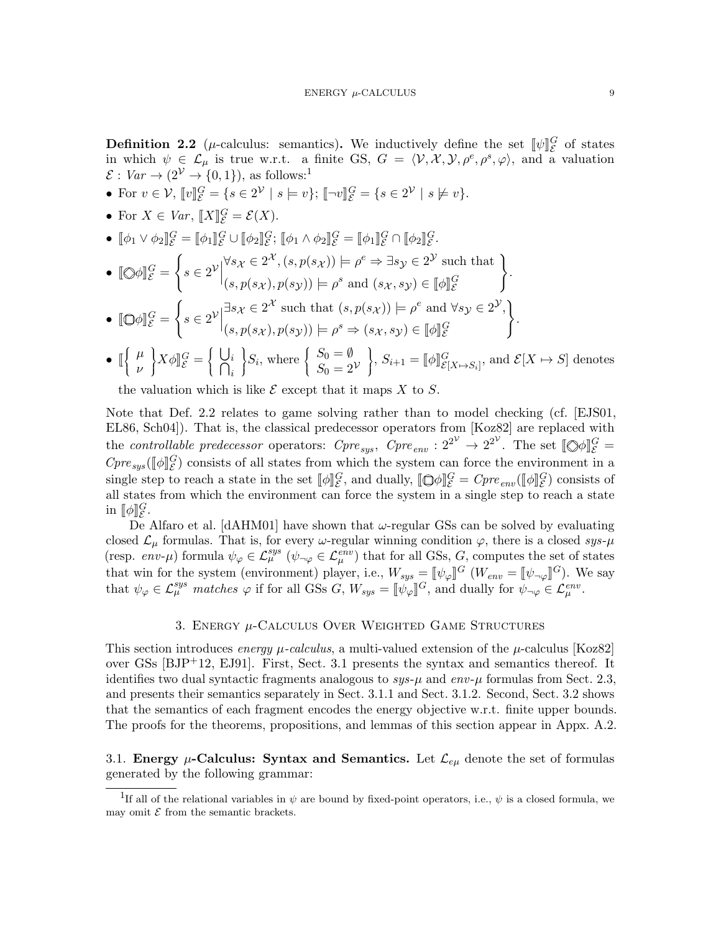<span id="page-8-0"></span>**Definition 2.2** (*µ*-calculus: semantics). We inductively define the set  $[\![\psi]\!]_S^G$  of states in which she  $C$  is two weat as finite  $CS C = \langle V, V, \psi \rangle$  she she as a valuation in which  $\psi \in \mathcal{L}_{\mu}$  is true w.r.t. a finite GS,  $G = \langle \mathcal{V}, \mathcal{X}, \mathcal{Y}, \rho^e, \rho^s, \varphi \rangle$ , and a valuation  $\mathcal{E}: Var \rightarrow (2^{\mathcal{V}} \rightarrow \{0,1\}),$  $\mathcal{E}: Var \rightarrow (2^{\mathcal{V}} \rightarrow \{0,1\}),$  $\mathcal{E}: Var \rightarrow (2^{\mathcal{V}} \rightarrow \{0,1\}),$  as follows:<sup>1</sup>

- For  $v \in \mathcal{V}$ ,  $[\![v]\!]_{{\mathcal{E}}}^G = \{s \in 2^{\mathcal{V}} \mid s \models v\};\ [\![\neg v]\!]_{{\mathcal{E}}}^G = \{s \in 2^{\mathcal{V}} \mid s \not\models v\}.$
- For  $X \in Var$ ,  $[[X]]_{\mathcal{E}}^G = \mathcal{E}(X)$ .
- $[\![\phi_1 \vee \phi_2]\!]_{{\mathcal{E}}}^{{\mathcal{G}}} = [\![\phi_1]\!]_{{\mathcal{E}}}^{{\mathcal{G}}} \cup [\![\phi_2]\!]_{{\mathcal{E}}}^{{\mathcal{G}}}; [\![\phi_1 \wedge \phi_2]\!]_{{\mathcal{E}}}^{{\mathcal{G}}} = [\![\phi_1]\!]_{{\mathcal{E}}}^{{\mathcal{G}}} \cap [\![\phi_2]\!]_{{\mathcal{E}}}^{{\mathcal{G}}}.$

• 
$$
\llbracket \bigotimes \phi \rrbracket_{\mathcal{E}}^G = \left\{ s \in 2^{\mathcal{V}} \middle| \begin{aligned} \forall s_{\mathcal{X}} \in 2^{\mathcal{X}}, (s, p(s_{\mathcal{X}})) \models \rho^e \Rightarrow \exists s_{\mathcal{Y}} \in 2^{\mathcal{Y}} \text{ such that} \\ (s, p(s_{\mathcal{X}}), p(s_{\mathcal{Y}})) \models \rho^s \text{ and } (s_{\mathcal{X}}, s_{\mathcal{Y}}) \in [\![\phi]\!]_{\mathcal{E}}^G \end{aligned} \right\}.
$$

• 
$$
[\mathbb{Q}\phi]\]_{\mathcal{E}}^G = \left\{ s \in 2^{\mathcal{V}} \Big| \begin{matrix} \exists s_{\mathcal{X}} \in 2^{\mathcal{X}} \text{ such that } (s, p(s_{\mathcal{X}})) \models \rho^e \text{ and } \forall s_{\mathcal{Y}} \in 2^{\mathcal{Y}}, \\ (s, p(s_{\mathcal{X}}), p(s_{\mathcal{Y}})) \models \rho^s \Rightarrow (s_{\mathcal{X}}, s_{\mathcal{Y}}) \in [\![\phi]\!]_{\mathcal{E}}^G \end{matrix} \right\}
$$

 $\bullet$   $\lbrack \! \lbrack$  $\mathbf{I}$  $\mu$ ν  $\mathfrak{f}$  $\Big\}X\phi \Vert_{\mathcal{E}}^G=\Big\{$  $\mathbf{I}$ U  $\bigcap^i_i$ i  $\mathfrak{c}$  $S_i$ , where  $\Big\{$  $\mathfrak{r}$  $S_0 = \emptyset$  $S_0 = 2^{\mathcal{V}}$  $\mathfrak{f}$  $\left\{S, S_{i+1} = [\![\phi]\!]_{\mathcal{E}[X \mapsto S_i]}^G, \text{ and } \mathcal{E}[X \mapsto S] \text{ denotes }\right\}$ 

the valuation which is like  $\mathcal E$  except that it maps X to S.

Note that Def. [2.2](#page-8-0) relates to game solving rather than to model checking (cf. [\[EJS01,](#page-22-16) [EL86,](#page-22-15) [Sch04\]](#page-23-12)). That is, the classical predecessor operators from [\[Koz82\]](#page-23-3) are replaced with the *controllable predecessor* operators:  $Cpre_{sys}$ ,  $Cpre_{env}$ :  $2^{2^{\mathcal{V}}} \rightarrow 2^{2^{\mathcal{V}}}$ . The set  $[\![\Diamond \phi]\!]_{{\mathcal{E}}}^G =$  $Cpre<sub>sys</sub>(\llbracket \phi \rrbracket_S^G)$  consists of all states from which the system can force the environment in a single step to reach a state in the set  $[\![\phi]\!]_S^G$ , and dually,  $[\![\bigcirc \phi]\!]_S^G = Cpre_{env}([\![\phi]\!]_S^G)$  consists of all states from which the environment can force the system in a single step to reach a state in  $\llbracket \phi \rrbracket_{\mathcal{E}}^G$ .

De Alfaro et al. [\[dAHM01\]](#page-21-6) have shown that  $\omega$ -regular GSs can be solved by evaluating closed  $\mathcal{L}_{\mu}$  formulas. That is, for every  $\omega$ -regular winning condition  $\varphi$ , there is a closed sys- $\mu$ (resp.  $env-\mu$ ) formula  $\psi_{\varphi} \in \mathcal{L}_{\mu}^{sys}$  ( $\psi_{\neg \varphi} \in \mathcal{L}_{\mu}^{env}$ ) that for all GSs, G, computes the set of states that win for the system (environment) player, i.e.,  $W_{sys} = [\psi_{\varphi}]^G$   $(W_{env} = [\psi_{\varphi}]^G$ . We say that  $\psi_{\varphi} \in \mathcal{L}_{\mu}^{sys}$  matches  $\varphi$  if for all GSs G,  $W_{sys} = [\![\psi_{\varphi}]\!]^G$ , and dually for  $\psi_{\neg \varphi} \in \mathcal{L}_{\mu}^{env}$ .

#### 3. ENERGY  $\mu$ -CALCULUS OVER WEIGHTED GAME STRUCTURES

<span id="page-8-1"></span>This section introduces energy  $\mu$ -calculus, a multi-valued extension of the  $\mu$ -calculus [\[Koz82\]](#page-23-3) over GSs [\[BJP](#page-21-5)+12, [EJ91\]](#page-22-1). First, Sect. [3.1](#page-8-3) presents the syntax and semantics thereof. It identifies two dual syntactic fragments analogous to  $sys-\mu$  and  $env-\mu$  formulas from Sect. [2.3,](#page-7-0) and presents their semantics separately in Sect. [3.1.1](#page-9-1) and Sect. [3.1.2.](#page-11-0) Second, Sect. [3.2](#page-12-1) shows that the semantics of each fragment encodes the energy objective w.r.t. finite upper bounds. The proofs for the theorems, propositions, and lemmas of this section appear in Appx. [A.2.](#page-26-0)

# <span id="page-8-3"></span>3.1. Energy  $\mu$ -Calculus: Syntax and Semantics. Let  $\mathcal{L}_{e\mu}$  denote the set of formulas generated by the following grammar:

.

<span id="page-8-2"></span><sup>&</sup>lt;sup>1</sup>If all of the relational variables in  $\psi$  are bound by fixed-point operators, i.e.,  $\psi$  is a closed formula, we may omit  $\mathcal E$  from the semantic brackets.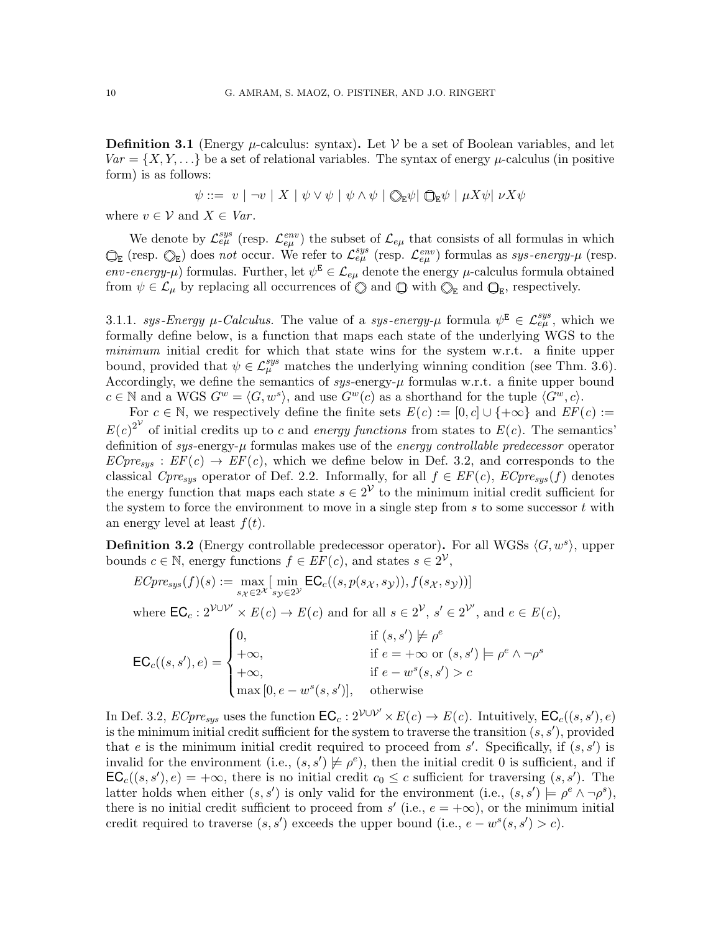<span id="page-9-2"></span>**Definition 3.1** (Energy  $\mu$ -calculus: syntax). Let  $\mathcal V$  be a set of Boolean variables, and let  $Var = \{X, Y, \ldots\}$  be a set of relational variables. The syntax of energy  $\mu$ -calculus (in positive form) is as follows:

$$
\psi ::= v \mid \neg v \mid X \mid \psi \vee \psi \mid \psi \wedge \psi \mid \text{Q}_E \psi \mid \text{Q}_E \psi \mid \mu X \psi \mid \nu X \psi
$$

where  $v \in V$  and  $X \in Var$ .

We denote by  $\mathcal{L}^{sys}_{e\mu}$  (resp.  $\mathcal{L}^{env}_{e\mu}$ ) the subset of  $\mathcal{L}_{e\mu}$  that consists of all formulas in which  $\mathcal{L}_{\varepsilon\mu}$  (resp.  $\mathbb{Q}_{\mathsf{E}}$ ) does not occur. We refer to  $\mathcal{L}_{e\mu}^{sys}$  (resp.  $\mathcal{L}_{e\mu}^{env}$ ) formulas as sys-energy- $\mu$  (resp. env-energy- $\mu$ ) formulas. Further, let  $\psi^E \in \mathcal{L}_{e\mu}$  denote the energy  $\mu$ -calculus formula obtained from  $\psi \in \mathcal{L}_{\mu}$  by replacing all occurrences of  $\mathbb{Q}$  and  $\mathbb{Q}$  with  $\mathbb{Q}_{E}$  and  $\mathbb{Q}_{E}$ , respectively.

<span id="page-9-1"></span>3.1.1. sys-Energy  $\mu$ -Calculus. The value of a sys-energy- $\mu$  formula  $\psi^E \in \mathcal{L}^{sys}_{e\mu}$ , which we formally define below, is a function that maps each state of the underlying WGS to the minimum initial credit for which that state wins for the system w.r.t. a finite upper bound, provided that  $\psi \in \mathcal{L}_{\mu}^{sys}$  matches the underlying winning condition (see Thm. [3.6\)](#page-12-0). Accordingly, we define the semantics of  $sys$ -energy- $\mu$  formulas w.r.t. a finite upper bound  $c \in \mathbb{N}$  and a WGS  $G^w = \langle G, w^s \rangle$ , and use  $G^w(c)$  as a shorthand for the tuple  $\langle G^w, c \rangle$ .

For  $c \in \mathbb{N}$ , we respectively define the finite sets  $E(c) := [0, c] \cup \{+\infty\}$  and  $EF(c) :=$  $E(c)^{2^{\mathcal{V}}}$  of initial credits up to c and energy functions from states to  $E(c)$ . The semantics' definition of sys-energy- $\mu$  formulas makes use of the energy controllable predecessor operator  $ECpre_{sys}: EF(c) \rightarrow EF(c)$ , which we define below in Def. [3.2,](#page-9-0) and corresponds to the classical  $Cpre_{sys}$  operator of Def. [2.2.](#page-8-0) Informally, for all  $f \in EF(c)$ ,  $ECpre_{sys}(f)$  denotes the energy function that maps each state  $s \in 2^{\mathcal{V}}$  to the minimum initial credit sufficient for the system to force the environment to move in a single step from  $s$  to some successor  $t$  with an energy level at least  $f(t)$ .

<span id="page-9-0"></span>**Definition 3.2** (Energy controllable predecessor operator). For all WGSs  $\langle G, w^s \rangle$ , upper bounds  $c \in \mathbb{N}$ , energy functions  $f \in EF(c)$ , and states  $s \in 2^{\mathcal{V}}$ ,

$$
ECpre_{sys}(f)(s) := \max_{s_X \in 2^{\mathcal{X}}} [\min_{s_Y \in 2^{\mathcal{Y}}} \mathsf{EC}_c((s, p(s_X, s_Y)), f(s_X, s_Y))]
$$
  
where  $\mathsf{EC}_c : 2^{\mathcal{V} \cup \mathcal{V}'} \times E(c) \to E(c)$  and for all  $s \in 2^{\mathcal{V}}, s' \in 2^{\mathcal{V}'}$ , and  $e \in E(c)$ ,  

$$
\mathsf{EC}_c((s, s'), e) = \begin{cases} 0, & \text{if } (s, s') \neq \rho^e \\ +\infty, & \text{if } e = +\infty \text{ or } (s, s') \models \rho^e \land \neg \rho^s \\ +\infty, & \text{if } e - w^s(s, s') > c \\ \max [0, e - w^s(s, s')] , & \text{otherwise} \end{cases}
$$

In Def. [3.2,](#page-9-0)  $\text{E}Cpre_{sys}$  uses the function  $\textsf{EC}_c: 2^{\mathcal{V} \cup \mathcal{V}'} \times E(c) \to E(c)$ . Intuitively,  $\textsf{EC}_c((s, s'), e)$ is the minimum initial credit sufficient for the system to traverse the transition  $(s, s')$ , provided that e is the minimum initial credit required to proceed from  $s'$ . Specifically, if  $(s, s')$  is invalid for the environment (i.e.,  $(s, s') \not\models \rho^e$ ), then the initial credit 0 is sufficient, and if  $\mathsf{EC}_c((s, s'), e) = +\infty$ , there is no initial credit  $c_0 \leq c$  sufficient for traversing  $(s, s')$ . The latter holds when either  $(s, s')$  is only valid for the environment (i.e.,  $(s, s') \models \rho^e \land \neg \rho^s$ ), there is no initial credit sufficient to proceed from  $s'$  (i.e.,  $e = +\infty$ ), or the minimum initial credit required to traverse  $(s, s')$  exceeds the upper bound (i.e.,  $e - w^s(s, s') > c$ ).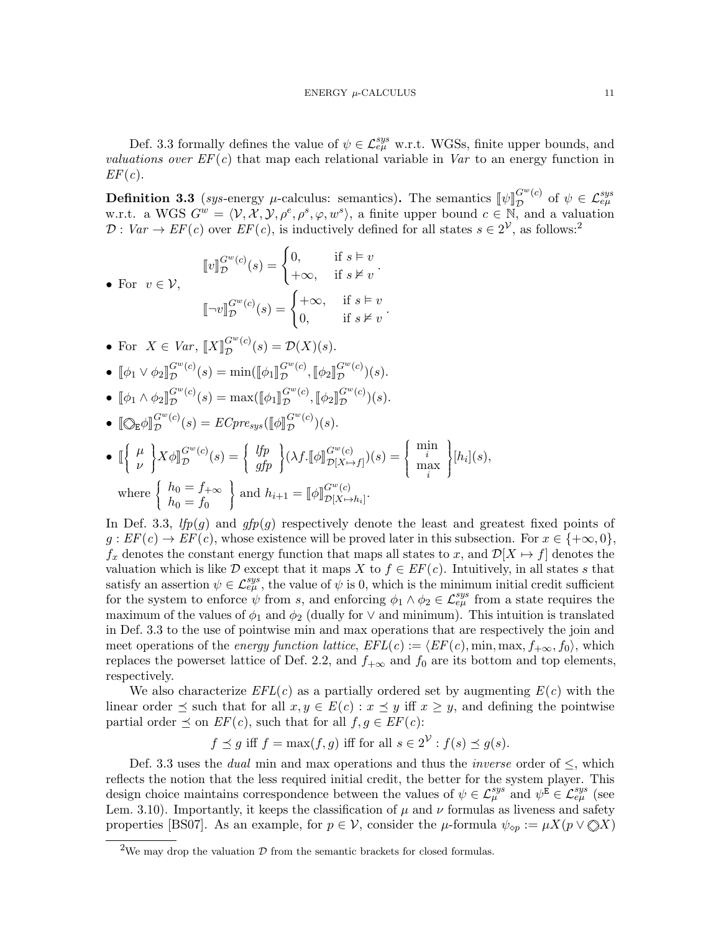Def. [3.3](#page-10-0) formally defines the value of  $\psi \in \mathcal{L}_{e\mu}^{sys}$  w.r.t. WGSs, finite upper bounds, and valuations over  $EF(c)$  that map each relational variable in Var to an energy function in  $EF(c).$ 

<span id="page-10-0"></span>**Definition 3.3** (sys-energy  $\mu$ -calculus: semantics). The semantics  $[\![\psi]\!]_D^{G^w(c)}$ **Definition 3.3** (sys-energy  $\mu$ -calculus: semantics). The semantics  $[\![\psi]\!]_D^{G^w(c)}$  of  $\psi \in \mathcal{L}_{e\mu}^{sys}$ <br>w.r.t. a WGS  $G^w = \langle \mathcal{V}, \mathcal{X}, \mathcal{Y}, \rho^e, \rho^s, \varphi, w^s \rangle$ , a finite upper bound  $c \in \mathbb{N}$ , and a valuation  $\mathcal{D}: Var \to EF(c)$  over  $EF(c)$ , is inductively defined for all states  $s \in 2^{\mathcal{V}}$  $s \in 2^{\mathcal{V}}$  $s \in 2^{\mathcal{V}}$ , as follows:<sup>2</sup>

$$
\llbracket v \rrbracket_{\mathcal{D}}^{G^w(c)}(s) = \begin{cases} 0, & \text{if } s \models v \\ +\infty, & \text{if } s \not\vDash v \end{cases}.
$$
\n
$$
\llbracket \neg v \rrbracket_{\mathcal{D}}^{G^w(c)}(s) = \begin{cases} +\infty, & \text{if } s \models v \\ 0, & \text{if } s \not\vDash v \end{cases}.
$$

- For  $X \in Var$ ,  $\llbracket X \rrbracket_{\mathcal{D}}^{G^w(c)}$  $\mathcal{D}^{G^{\infty}(c)}(s) = \mathcal{D}(X)(s).$
- $\llbracket \phi_1 \vee \phi_2 \rrbracket_{\mathcal{D}}^{G^w(c)}$  $G^{w}(c)(s) = \min(\llbracket \phi_1 \rrbracket_{\mathcal{D}}^{G^{w}(c)}$  $G^w(c)$ ,  $[\![\phi_2]\!]_D^{G^w(c)}$  $\mathcal{D}^{(c)}(s).$
- $[\![\phi_1 \wedge \phi_2]\!]_D^{G^w(c)}$  $G^{w}(c)(s) = \max([\![\phi_1]\!]_D^{G^w(c)}$  $G^w(c)$ ,  $[\![\phi_2]\!]_D^{G^w(c)}$  $\mathcal{D}^{G-(C)}(s).$

• 
$$
\mathbb{Q}_E \phi \mathbb{I}_{\mathcal{D}}^{G^w(c)}(s) = E C pre_{sys}(\mathbb{Q} \phi \mathbb{I}_{\mathcal{D}}^{G^w(c)})(s).
$$

$$
\begin{aligned}\n\bullet \quad & \mathbb{I}\left\{\begin{array}{c} \mu \\ \nu \end{array}\right\} X \phi \mathbb{I}_{\mathcal{D}}^{G^{w}(c)}(s) = \left\{\begin{array}{c} lfp \\ gfp \end{array}\right\} (\lambda f. \mathbb{I} \phi \mathbb{I}_{\mathcal{D}[X \mapsto f]}^{G^{w}(c)})(s) = \left\{\begin{array}{c} \min_{i} \\ \max_{i} \end{array}\right\} [h_{i}](s), \\
\text{where } \left\{\begin{array}{c} h_{0} = f_{+\infty} \\ h_{0} = f_{0} \end{array}\right\} \text{ and } h_{i+1} = \mathbb{I} \phi \mathbb{I}_{\mathcal{D}[X \mapsto h_{i}]}^{G^{w}(c)}.\n\end{aligned}
$$

In Def. [3.3,](#page-10-0)  $lfp(g)$  and  $gfp(g)$  respectively denote the least and greatest fixed points of  $g: EF(c) \to EF(c)$ , whose existence will be proved later in this subsection. For  $x \in \{+\infty, 0\}$ ,  $f_x$  denotes the constant energy function that maps all states to x, and  $\mathcal{D}[X \mapsto f]$  denotes the valuation which is like D except that it maps X to  $f \in EF(c)$ . Intuitively, in all states s that satisfy an assertion  $\psi \in \mathcal{L}_{e\mu}^{sys}$ , the value of  $\psi$  is 0, which is the minimum initial credit sufficient for the system to enforce  $\psi$  from s, and enforcing  $\phi_1 \wedge \phi_2 \in \mathcal{L}^{sys}_{e\mu}$  from a state requires the maximum of the values of  $\phi_1$  and  $\phi_2$  (dually for  $\vee$  and minimum). This intuition is translated in Def. [3.3](#page-10-0) to the use of pointwise min and max operations that are respectively the join and meet operations of the *energy function lattice*,  $EFL(c) := \langle EF(c), \min, \max, f_{+\infty}, f_0 \rangle$ , which replaces the powerset lattice of Def. [2.2,](#page-8-0) and  $f_{+\infty}$  and  $f_0$  are its bottom and top elements, respectively.

We also characterize  $EFL(c)$  as a partially ordered set by augmenting  $E(c)$  with the linear order  $\preceq$  such that for all  $x, y \in E(c) : x \preceq y$  iff  $x \geq y$ , and defining the pointwise partial order  $\preceq$  on  $EF(c)$ , such that for all  $f, g \in EF(c)$ :

$$
f \preceq g
$$
 iff  $f = \max(f, g)$  iff for all  $s \in 2^{\mathcal{V}} : f(s) \preceq g(s)$ .

Def. [3.3](#page-10-0) uses the *dual* min and max operations and thus the *inverse* order of  $\leq$ , which reflects the notion that the less required initial credit, the better for the system player. This design choice maintains correspondence between the values of  $\psi \in \mathcal{L}^{sys}_{\mu}$  and  $\psi^{\vec{E}} \in \mathcal{L}^{sys}_{e\mu}$  (see Lem. [3.10\)](#page-13-2). Importantly, it keeps the classification of  $\mu$  and  $\nu$  formulas as liveness and safety properties [\[BS07\]](#page-21-15). As an example, for  $p \in V$ , consider the  $\mu$ -formula  $\psi_{\infty} := \mu X(p \vee \mathbb{Q}X)$ 

<span id="page-10-1"></span> $^2\!$  We may drop the valuation  $\mathcal D$  from the semantic brackets for closed formulas.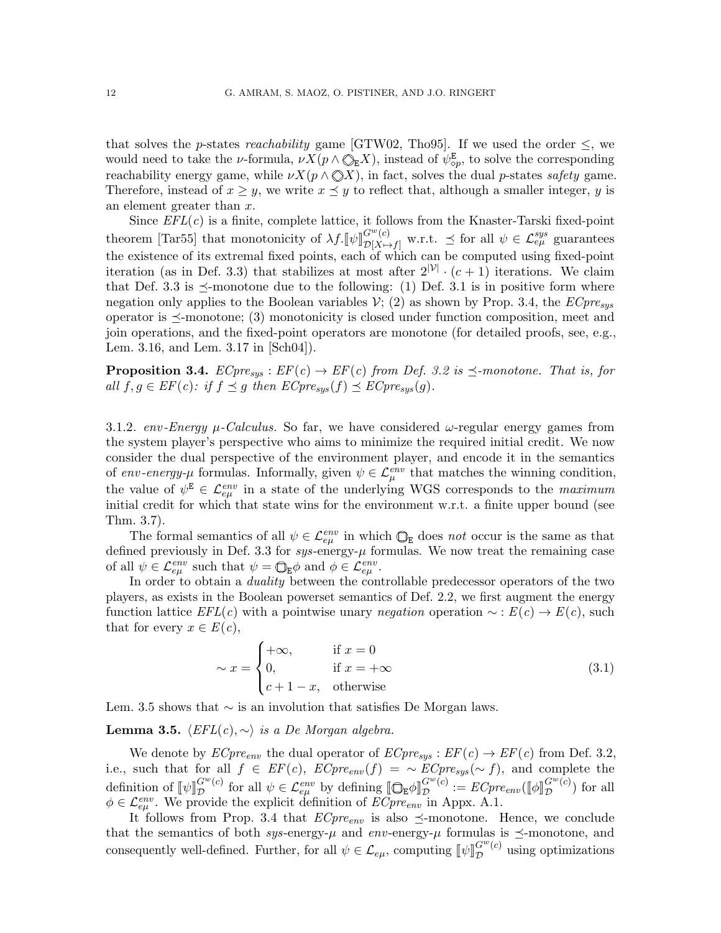that solves the *p*-states *reachability* game [\[GTW02,](#page-22-6) [Tho95\]](#page-23-7). If we used the order  $\leq$ , we would need to take the *ν*-formula,  $\nu X(p \wedge \mathbb{Q}_E X)$ , instead of  $\psi_{\infty}^E$ , to solve the corresponding reachability energy game, while  $\nu X(p \wedge \bigotimes X)$ , in fact, solves the dual p-states safety game. Therefore, instead of  $x \geq y$ , we write  $x \preceq y$  to reflect that, although a smaller integer, y is an element greater than x.

Since  $EFL(c)$  is a finite, complete lattice, it follows from the Knaster-Tarski fixed-point theorem [\[Tar55\]](#page-23-13) that monotonicity of  $\lambda f. [\![\psi]\!]_{\mathcal{D}[X \mapsto \mathcal{L}]}^{G^w(c)}$  $\mathcal{L}^{gw(c)}_{\mathcal{D}[X \mapsto f]}$  w.r.t.  $\preceq$  for all  $\psi \in \mathcal{L}^{sys}_{e\mu}$  guarantees the existence of its extremal fixed points, each of which can be computed using fixed-point iteration (as in Def. [3.3\)](#page-10-0) that stabilizes at most after  $2^{|{\mathcal{V}}|} \cdot (c+1)$  iterations. We claim that Def. [3.3](#page-10-0) is  $\prec$ -monotone due to the following: (1) Def. [3.1](#page-9-2) is in positive form where negation only applies to the Boolean variables  $V$ ; (2) as shown by Prop. [3.4,](#page-11-1) the  $ECpre_{sys}$ operator is  $\preceq$ -monotone; (3) monotonicity is closed under function composition, meet and join operations, and the fixed-point operators are monotone (for detailed proofs, see, e.g., Lem. 3.16, and Lem. 3.17 in [\[Sch04\]](#page-23-12)).

<span id="page-11-1"></span>**Proposition 3.4.**  $ECpre_{sys}: EF(c) \rightarrow EF(c)$  from Def. [3.2](#page-9-0) is  $\preceq$ -monotone. That is, for all  $f, g \in EF(c)$ : if  $f \preceq g$  then  $ECpre_{sys}(f) \preceq ECpre_{sys}(g)$ .

<span id="page-11-0"></span>3.1.2. env-Energy  $\mu$ -Calculus. So far, we have considered  $\omega$ -regular energy games from the system player's perspective who aims to minimize the required initial credit. We now consider the dual perspective of the environment player, and encode it in the semantics of env-energy- $\mu$  formulas. Informally, given  $\psi \in \mathcal{L}^{env}_{\mu}$  that matches the winning condition, the value of  $\psi^{\mathsf{E}} \in \mathcal{L}_{e\mu}^{env}$  in a state of the underlying WGS corresponds to the *maximum* initial credit for which that state wins for the environment w.r.t. a finite upper bound (see Thm. [3.7\)](#page-12-2).

The formal semantics of all  $\psi \in \mathcal{L}^{env}_{e\mu}$  in which  $\mathbb{Q}_E$  does not occur is the same as that defined previously in Def. [3.3](#page-10-0) for  $sys$ -energy- $\mu$  formulas. We now treat the remaining case of all  $\psi \in \mathcal{L}^{env}_{e\mu}$  such that  $\psi = \bigoplus_{\mathbf{E}} \phi$  and  $\phi \in \mathcal{L}^{env}_{e\mu}$ .

In order to obtain a duality between the controllable predecessor operators of the two players, as exists in the Boolean powerset semantics of Def. [2.2,](#page-8-0) we first augment the energy function lattice  $EFL(c)$  with a pointwise unary negation operation  $\sim : E(c) \rightarrow E(c)$ , such that for every  $x \in E(c)$ ,

<span id="page-11-3"></span>
$$
\sim x = \begin{cases} +\infty, & \text{if } x = 0\\ 0, & \text{if } x = +\infty\\ c+1-x, & \text{otherwise} \end{cases}
$$
(3.1)

Lem. [3.5](#page-11-2) shows that  $~\sim$  is an involution that satisfies De Morgan laws.

<span id="page-11-2"></span>**Lemma 3.5.**  $\langle EFL(c), \sim \rangle$  is a De Morgan algebra.

We denote by  $ECpre_{env}$  the dual operator of  $ECpre_{sus}: EF(c) \rightarrow EF(c)$  from Def. [3.2,](#page-9-0) i.e., such that for all  $f \in EF(c)$ ,  $ECpre_{env}(f) = \sim ECpre_{sys}(\sim f)$ , and complete the definition of  $[\![\psi]\!]_D^{G^w(c)}$  $G^w(c)$  for all  $\psi \in \mathcal{L}_{e\mu}^{env}$  by defining  $[\mathbb{Q}_E \phi]_D^{G^w(c)}$ <br>covide the explicit definition of *FC* are in  $\Lambda$  $G^w(c) := ECpre_{env}([\![\phi]\!]_D^{G^w(c)}$ <br>in Appy A 1  $\mathcal{D}^{(c)}$  for all  $\phi \in \mathcal{L}_{e\mu}^{env}$ . We provide the explicit definition of  $\overline{ECpre_{env}}$  in Appx. [A.1.](#page-24-0)

It follows from Prop. [3.4](#page-11-1) that  $ECpre_{env}$  is also  $\preceq$ -monotone. Hence, we conclude that the semantics of both sys-energy- $\mu$  and env-energy- $\mu$  formulas is  $\preceq$ -monotone, and consequently well-defined. Further, for all  $\psi \in \mathcal{L}_{e\mu}$ , computing  $[\![\psi]\!]_D^{G^w(c)}$  $\sigma^{\text{C}}(c)$  using optimizations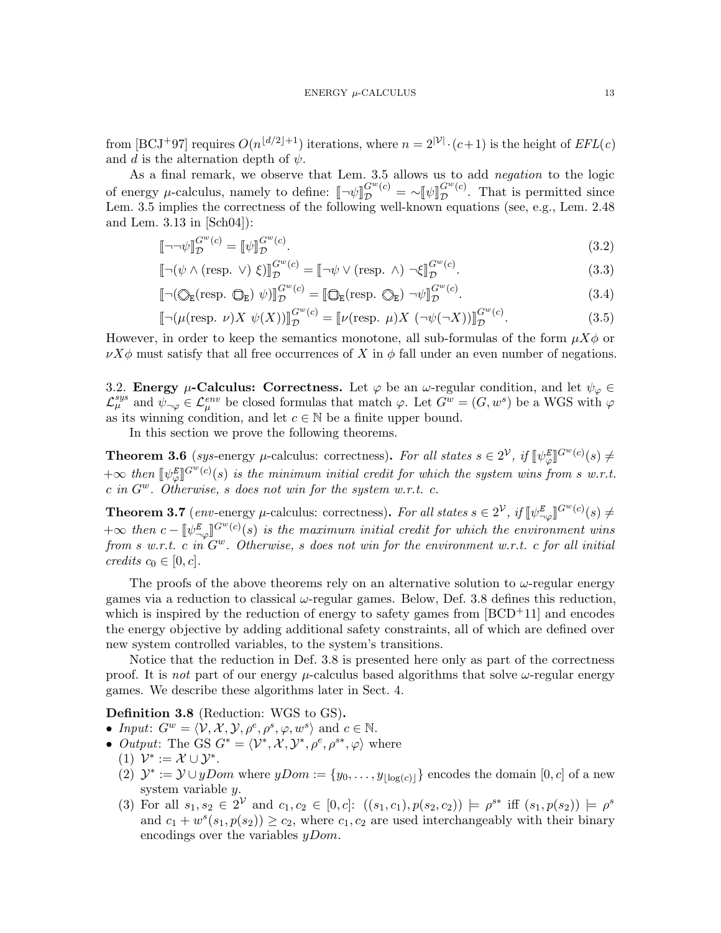from [\[BCJ](#page-20-10)<sup>+</sup>97] requires  $O(n^{\lfloor d/2 \rfloor + 1})$  iterations, where  $n = 2^{|V|} \cdot (c+1)$  is the height of  $EFL(c)$ and d is the alternation depth of  $\psi$ .

As a final remark, we observe that Lem. [3.5](#page-11-2) allows us to add negation to the logic of energy *µ*-calculus, namely to define:  $[\neg \psi]_{\mathcal{D}}^{G^w(c)} = \sim [\![ \psi ] \!]_{\mathcal{D}}^{G^w(c)}$ <br>Lome 3.5 implies the correctness of the following well known count  $\mathcal{D}^{\text{G-c}}$ . That is permitted since Lem. [3.5](#page-11-2) implies the correctness of the following well-known equations (see, e.g., Lem. 2.48 and Lem. 3.13 in [\[Sch04\]](#page-23-12)):

<span id="page-12-4"></span>
$$
\llbracket \neg \neg \psi \rrbracket_{\mathcal{D}}^{G^w(c)} = \llbracket \psi \rrbracket_{\mathcal{D}}^{G^w(c)}.\tag{3.2}
$$

$$
\left[\neg(\psi \land (\text{resp. } \vee) \xi)\right]_{\mathcal{D}}^{G^w(c)} = \left[\neg\psi \lor (\text{resp. } \wedge) \neg\xi\right]_{\mathcal{D}}^{G^w(c)}.\tag{3.3}
$$

$$
\left[\neg(\bigotimes_{\mathsf{E}}(\text{resp. }\bigcirc_{\mathsf{E}})\ \psi)\right]_{\mathcal{D}}^{G^{w}(c)} = \left[\bigcirc_{\mathsf{E}}(\text{resp. }\bigcirc_{\mathsf{E}})\ \neg\psi\right]_{\mathcal{D}}^{G^{w}(c)}.
$$
\n(3.4)

<span id="page-12-5"></span>
$$
\left[\neg(\mu(\text{resp. }\nu)X\ \psi(X))\right]_{\mathcal{D}}^{G^w(c)} = \left[\nu(\text{resp. }\mu)X\ (\neg\psi(\neg X))\right]_{\mathcal{D}}^{G^w(c)}.
$$
\n(3.5)

However, in order to keep the semantics monotone, all sub-formulas of the form  $\mu X\phi$  or  $\nu X\phi$  must satisfy that all free occurrences of X in  $\phi$  fall under an even number of negations.

<span id="page-12-1"></span>3.2. Energy  $\mu$ -Calculus: Correctness. Let  $\varphi$  be an  $\omega$ -regular condition, and let  $\psi_{\varphi} \in$  $\mathcal{L}_{\mu}^{sys}$  and  $\psi_{\neg \varphi} \in \mathcal{L}_{\mu}^{env}$  be closed formulas that match  $\varphi$ . Let  $G^w = (G, w^s)$  be a WGS with  $\varphi$ as its winning condition, and let  $c \in \mathbb{N}$  be a finite upper bound.

In this section we prove the following theorems.

<span id="page-12-0"></span>**Theorem 3.6** (sys-energy  $\mu$ -calculus: correctness). For all states  $s \in 2^{\mathcal{V}}$ , if  $[\![\psi^E_{\varphi}]\!]^{G^w(c)}(s) \neq$ لام<br>م  $+\infty$  then  $[\psi_{\varphi}^E]^{G^w(c)}(s)$  is the minimum initial credit for which the system wins from s w.r.t.<br>c in  $G^w$ . Otherwise, s does not win for the system w.r.t. c  $\mathbb{R}^{\infty}$  in Eq. (3) is the minimum initial create for which c in  $G^w$ . Otherwise, s does not win for the system w.r.t. c.

<span id="page-12-2"></span>**Theorem 3.7** (env-energy  $\mu$ -calculus: correctness). For all states  $s \in 2^{\mathcal{V}}$ , if  $[\![\psi^E_{\neg \varphi}]\!]^{G^w(c)}(s) \neq$  $\neg \varphi$ l  $+\infty$  then  $c - [\psi^E_{\neg \varphi}]^{G^w(c)}(s)$  is the maximum initial credit for which the environment wins<br>from  $c, w, r, t, c, \text{in } C^w$ . Otherwise, a does not win for the environment w.r.t. c for all initial  $f \propto$  then  $c - \psi_{\neg \varphi}$   $\Box$   $\Box$   $\Diamond$  (s) is the maximum initial creati for which the environment w.r.t. c for all initial from s w.r.t. c in  $G^w$ . Otherwise, s does not win for the environment w.r.t. c for all initia credits  $c_0 \in [0, c]$ .

The proofs of the above theorems rely on an alternative solution to  $\omega$ -regular energy games via a reduction to classical  $\omega$ -regular games. Below, Def. [3.8](#page-12-3) defines this reduction, which is inspired by the reduction of energy to safety games from  $[BCD<sup>+</sup>11]$  $[BCD<sup>+</sup>11]$  and encodes the energy objective by adding additional safety constraints, all of which are defined over new system controlled variables, to the system's transitions.

Notice that the reduction in Def. [3.8](#page-12-3) is presented here only as part of the correctness proof. It is not part of our energy  $\mu$ -calculus based algorithms that solve  $\omega$ -regular energy games. We describe these algorithms later in Sect. [4.](#page-13-1)

### Definition 3.8 (Reduction: WGS to GS).

- Input:  $G^w = \langle \mathcal{V}, \mathcal{X}, \mathcal{Y}, \rho^e, \rho^s, \varphi, w^s \rangle$  and  $c \in \mathbb{N}$ .
- <span id="page-12-3"></span>• *Output*: The GS  $G^* = \langle \mathcal{V}^*, \mathcal{X}, \mathcal{Y}^*, \rho^e, \rho^{s*}, \varphi \rangle$  where
	- (1)  $\mathcal{V}^* := \mathcal{X} \cup \mathcal{Y}^*$ .
	- (2)  $\mathcal{Y}^* := \mathcal{Y} \cup yDom$  where  $yDom := \{y_0, \ldots, y_{|\log(c)|}\}\$ encodes the domain  $[0, c]$  of a new system variable y.
	- (3) For all  $s_1, s_2 \in 2^{\mathcal{V}}$  and  $c_1, c_2 \in [0, c]$ :  $((s_1, c_1), p(s_2, c_2)) \models \rho^{s*}$  iff  $(s_1, p(s_2)) \models \rho^{s*}$ and  $c_1 + w^s(s_1, p(s_2)) \ge c_2$ , where  $c_1, c_2$  are used interchangeably with their binary encodings over the variables  $yDom$ .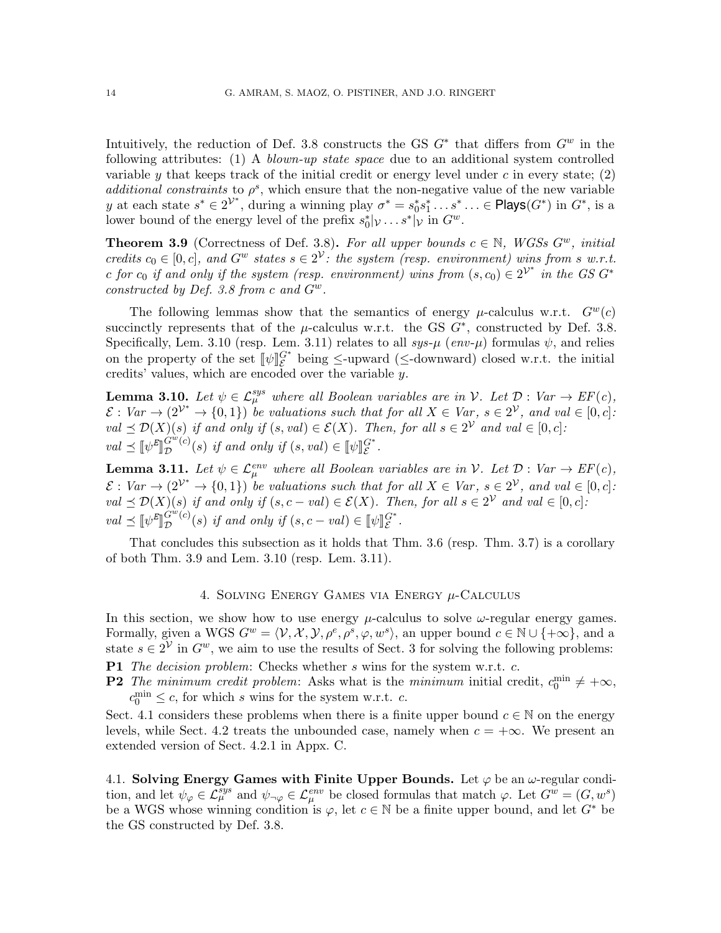Intuitively, the reduction of Def. [3.8](#page-12-3) constructs the GS  $G^*$  that differs from  $G^w$  in the following attributes: (1) A *blown-up state space* due to an additional system controlled variable y that keeps track of the initial credit or energy level under c in every state;  $(2)$ additional constraints to  $\rho^s$ , which ensure that the non-negative value of the new variable y at each state  $s^* \in 2^{\mathcal{V}^*}$ , during a winning play  $\sigma^* = s_0^* s_1^* \dots s^* \dots \in \mathsf{Plays}(G^*)$  in  $G^*$ , is a lower bound of the energy level of the prefix  $s_0^*|_V \dots s^*|_V$  in  $G^w$ .

<span id="page-13-4"></span>**Theorem 3.9** (Correctness of Def. [3.8\)](#page-12-3). For all upper bounds  $c \in \mathbb{N}$ , WGSs  $G^w$ , initial credits  $c_0 \in [0, c]$ , and  $G^w$  states  $s \in 2^{\mathcal{V}}$ : the system (resp. environment) wins from s w.r.t. c for  $c_0$  if and only if the system (resp. environment) wins from  $(s, c_0) \in 2^{\mathcal{V}^*}$  in the GS  $G^*$ constructed by Def. [3.8](#page-12-3) from c and  $G^w$ .

The following lemmas show that the semantics of energy  $\mu$ -calculus w.r.t.  $G^w(c)$ succinctly represents that of the  $\mu$ -calculus w.r.t. the GS  $G^*$ , constructed by Def. [3.8.](#page-12-3) Specifically, Lem. [3.10](#page-13-2) (resp. Lem. [3.11\)](#page-13-3) relates to all  $sys-\mu$  (env- $\mu$ ) formulas  $\psi$ , and relies on the property of the set  $[\![\psi]\!]_{\mathcal{E}}^{G^*}$  being  $\leq$ -upward ( $\leq$ -downward) closed w.r.t. the initial credits' values which are encoded over the variable  $\mathcal{U}$ credits' values, which are encoded over the variable y.

<span id="page-13-2"></span>**Lemma 3.10.** Let  $\psi \in \mathcal{L}_{\mu}^{sys}$  where all Boolean variables are in V. Let  $\mathcal{D}: Var \to EF(c)$ ,  $\mathcal{E}: Var \to (2^{\mathcal{V}^*} \to \{0,1\})$  be valuations such that for all  $X \in Var$ ,  $s \in 2^{\mathcal{V}}$ , and val  $\in [0,c]$ .  $val \preceq \mathcal{D}(X)(s)$  if and only if  $(s, val) \in \mathcal{E}(X)$ . Then, for all  $s \in 2^{\mathcal{V}}$  and  $val \in [0, c]$ :  $val \preceq \llbracket \psi^E$ ll<br>I  $\overset{w}{Gw}(c)$  $_{\mathcal{D}}^{G^w(c)}(s)$  if and only if  $(s, val) \in [\![\psi]\!]_{\mathcal{E}}^{G^*}.$ 

<span id="page-13-3"></span>**Lemma 3.11.** Let  $\psi \in \mathcal{L}_{\mu}^{env}$  where all Boolean variables are in  $\mathcal{V}$ . Let  $\mathcal{D}$ : Var  $\rightarrow EF(c)$ ,  $\mathcal{E}: Var \to (2^{\mathcal{V}^*} \to \{0,1\})$  be valuations such that for all  $X \in Var$ ,  $s \in 2^{\mathcal{V}}$ , and val  $\in [0,c]$ : val  $\leq \mathcal{D}(X)(s)$  if and only if  $(s, c - val) \in \mathcal{E}(X)$ . Then, for all  $s \in 2^{\mathcal{V}}$  and val ∈ [0, c]:  $val \preceq \llbracket \psi^E$ ll<br>I  $\hat{G}^w(c)$  $G^w(c)(s)$  if and only if  $(s, c - val) \in [\![\psi]\!]_E^{G^*}.$ 

That concludes this subsection as it holds that Thm. [3.6](#page-12-0) (resp. Thm. [3.7\)](#page-12-2) is a corollary of both Thm. [3.9](#page-13-4) and Lem. [3.10](#page-13-2) (resp. Lem. [3.11\)](#page-13-3).

### 4. SOLVING ENERGY GAMES VIA ENERGY  $\mu$ -Calculus

<span id="page-13-1"></span>In this section, we show how to use energy  $\mu$ -calculus to solve  $\omega$ -regular energy games. Formally, given a WGS  $G^w = \langle \mathcal{V}, \mathcal{X}, \mathcal{Y}, \rho^e, \rho^s, \varphi, w^s \rangle$ , an upper bound  $c \in \mathbb{N} \cup \{+\infty\}$ , and a state  $s \in 2^{\mathcal{V}}$  in  $G^w$ , we aim to use the results of Sect. [3](#page-8-1) for solving the following problems: P1 The decision problem: Checks whether  $s$  wins for the system w.r.t.  $c$ .

<span id="page-13-6"></span><span id="page-13-5"></span>**P2** The minimum credit problem: Asks what is the minimum initial credit,  $c_0^{\min} \neq +\infty$ ,  $c_0^{\min} \leq c$ , for which s wins for the system w.r.t. c.

Sect. [4.1](#page-13-0) considers these problems when there is a finite upper bound  $c \in \mathbb{N}$  on the energy levels, while Sect. [4.2](#page-14-0) treats the unbounded case, namely when  $c = +\infty$ . We present an extended version of Sect. [4.2.1](#page-17-0) in Appx. [C.](#page-37-0)

<span id="page-13-0"></span>4.1. Solving Energy Games with Finite Upper Bounds. Let  $\varphi$  be an  $\omega$ -regular condition, and let  $\psi_{\varphi} \in \mathcal{L}_{\mu}^{sys}$  and  $\psi_{\neg \varphi} \in \mathcal{L}_{\mu}^{env}$  be closed formulas that match  $\varphi$ . Let  $G^{\psi} = (G, w^s)$ be a WGS whose winning condition is  $\varphi$ , let  $c \in \mathbb{N}$  be a finite upper bound, and let  $G^*$  be the GS constructed by Def. [3.8.](#page-12-3)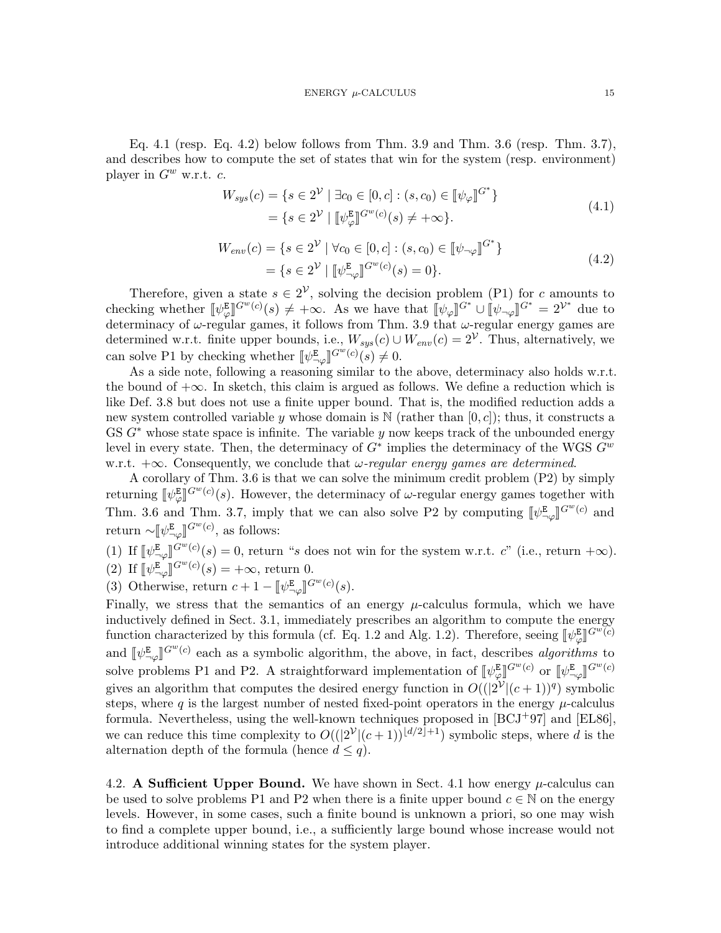<span id="page-14-1"></span>Eq. [4.1](#page-14-1) (resp. Eq. [4.2\)](#page-14-2) below follows from Thm. [3.9](#page-13-4) and Thm. [3.6](#page-12-0) (resp. Thm. [3.7\)](#page-12-2), and describes how to compute the set of states that win for the system (resp. environment) player in  $G^w$  w.r.t.  $c$ .

$$
W_{sys}(c) = \{ s \in 2^{\mathcal{V}} \mid \exists c_0 \in [0, c] : (s, c_0) \in [\![\psi_{\varphi}]\!]^{G^*} \}
$$
  
= 
$$
\{ s \in 2^{\mathcal{V}} \mid [\![\psi_{\varphi}^{\mathbb{E}}]\!]^{G^w(c)}(s) \neq +\infty \}.
$$
 (4.1)

$$
W_{env}(c) = \{s \in 2^{\mathcal{V}} \mid \forall c_0 \in [0, c] : (s, c_0) \in [\![\psi_{\neg \varphi}]\!]^{G^*} \}
$$
  
= 
$$
\{s \in 2^{\mathcal{V}} \mid [\![\psi_{\neg \varphi}^{\mathbb{E}}]\!]^{G^w(c)}(s) = 0 \}.
$$
 (4.2)

<span id="page-14-2"></span>Therefore, given a state  $s \in 2^{\mathcal{V}}$ , solving the decision problem [\(P1\)](#page-13-5) for c amounts to checking whether  $[\![\psi_{\varphi}^{\mathbf{E}}]\!]^{G^w(c)}(s) \neq +\infty$ . As we have that  $[\![\psi_{\varphi}]\!]^{G^*} \cup [\![\psi_{\neg \varphi}]\!]^{G^*} = 2^{\mathcal{V}^*}$  due to determine of  $\omega$  regular games it follows from Thm 3.9 that  $\omega$  regular energy games are determinacy of  $\omega$ -regular games, it follows from Thm. [3.9](#page-13-4) that  $\omega$ -regular energy games are determined w.r.t. finite upper bounds, i.e.,  $W_{sys}(c) \cup W_{env}(c) = 2^{\mathcal{V}}$ . Thus, alternatively, we can solve [P1](#page-13-5) by checking whether  $[\psi_{\neg \varphi}^{\mathbf{E}}]^{G^w(c)}(s) \neq 0$ .

As a side note, following a reasoning similar to the above, determinacy also holds w.r.t. the bound of  $+\infty$ . In sketch, this claim is argued as follows. We define a reduction which is like Def. [3.8](#page-12-3) but does not use a finite upper bound. That is, the modified reduction adds a new system controlled variable y whose domain is  $\mathbb{N}$  (rather than  $[0, c]$ ); thus, it constructs a GS  $G^*$  whose state space is infinite. The variable y now keeps track of the unbounded energy level in every state. Then, the determinacy of  $G^*$  implies the determinacy of the WGS  $G^w$ w.r.t.  $+\infty$ . Consequently, we conclude that  $\omega$ -regular energy games are determined.

A corollary of Thm. [3.6](#page-12-0) is that we can solve the minimum credit problem [\(P2\)](#page-13-6) by simply returning  $[\![\psi^{\mathbf{E}}_{\varphi}]\!]^{G^w(c)}(s)$ . However, the determinacy of  $\omega$ -regular energy games together with لام<br>י Thm. [3.6](#page-12-0) and Thm. [3.7,](#page-12-2) imply that we can also solve [P2](#page-13-6) by computing  $[\psi_{\neg \varphi}^{\mathbb{E}}]^{G^w(c)}$  and return  $\sim [\![\psi^{\mathsf{E}}_{\neg \varphi}]\!]^{G^w(c)}$ , as follows:

(1) If 
$$
\llbracket \psi^{\mathbf{E}}_{\neg \varphi} \rrbracket^{G^w(c)}(s) = 0
$$
, return "s does not win for the system w.r.t. c" (i.e., return  $+\infty$ ). \n(2) If  $\llbracket \psi^{\mathbf{E}}_{\neg \varphi} \rrbracket^{G^w(c)}(s) = +\infty$ , return 0.

(3) Otherwise, return  $c + 1 - [\![\psi^{\mathbb{E}}_{\neg \varphi}]\!]^{G^w(c)}(s)$ .

Finally, we stress that the semantics of an energy  $\mu$ -calculus formula, which we have inductively defined in Sect. [3.1,](#page-8-3) immediately prescribes an algorithm to compute the energy function characterized by this formula (cf. Eq. [1.2](#page-2-1) and Alg. [1.2\)](#page-3-1). Therefore, seeing  $[\![\psi^{\mathbf{E}}_{\varphi}]\!]^{G^w(\vec{c})}$ لاص<br>• and  $[\![\psi^{\mathbf{E}}_{\neg \varphi}]\!]^{G^w(c)}$  each as a symbolic algorithm, the above, in fact, describes algorithms to ¬טן<br>י solve problems [P1](#page-13-5) and [P2.](#page-13-6) A straightforward implementation of  $[\psi_{\varphi}^{\mathbf{E}}]^{G^{w}(c)}$  or  $[\psi_{-\varphi}^{\mathbf{E}}]^{G^{w}(c)}$ gives an algorithm that computes the desired energy function in  $O((2^{\mathcal{V}}|(c+1))^q)$  symbolic steps, where q is the largest number of nested fixed-point operators in the energy  $\mu$ -calculus formula. Nevertheless, using the well-known techniques proposed in [\[BCJ](#page-20-10)+97] and [\[EL86\]](#page-22-15), we can reduce this time complexity to  $O((2^{\mathcal{V}}|(c+1))^{[d/2]+1})$  symbolic steps, where d is the alternation depth of the formula (hence  $d \leq q$ ).

<span id="page-14-0"></span>4.2. A Sufficient Upper Bound. We have shown in Sect. [4.1](#page-13-0) how energy  $\mu$ -calculus can be used to solve problems [P1](#page-13-5) and [P2](#page-13-6) when there is a finite upper bound  $c \in \mathbb{N}$  on the energy levels. However, in some cases, such a finite bound is unknown a priori, so one may wish to find a complete upper bound, i.e., a sufficiently large bound whose increase would not introduce additional winning states for the system player.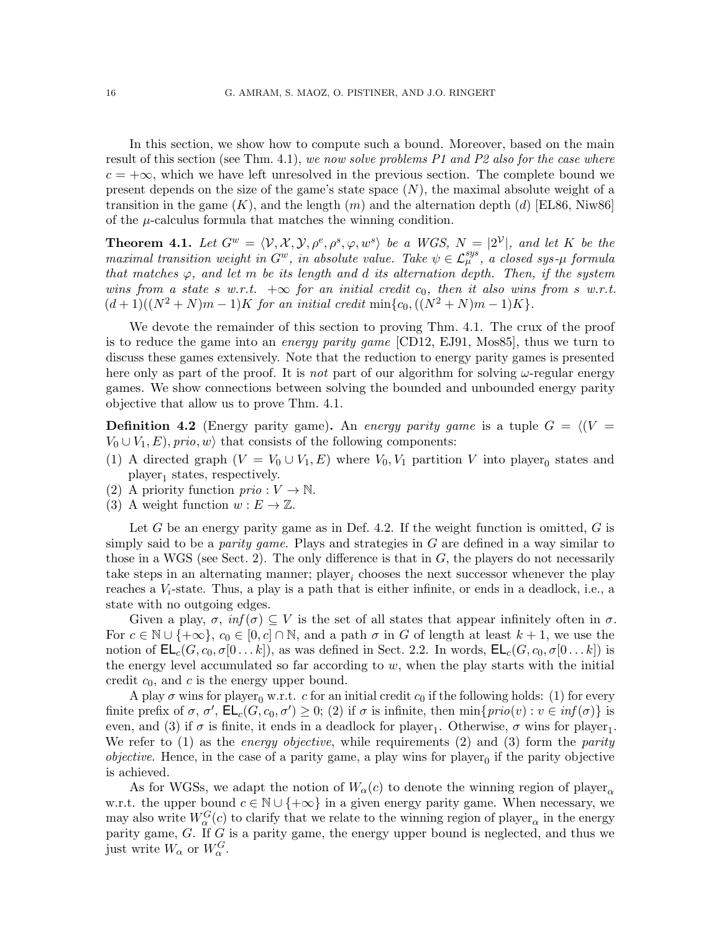In this section, we show how to compute such a bound. Moreover, based on the main result of this section (see Thm. [4.1\)](#page-15-0), we now solve problems [P1](#page-13-5) and [P2](#page-13-6) also for the case where  $c = +\infty$ , which we have left unresolved in the previous section. The complete bound we present depends on the size of the game's state space  $(N)$ , the maximal absolute weight of a transition in the game  $(K)$ , and the length  $(m)$  and the alternation depth  $(d)$  [\[EL86,](#page-22-15) [Niw86\]](#page-23-11) of the  $\mu$ -calculus formula that matches the winning condition.

<span id="page-15-0"></span>**Theorem 4.1.** Let  $G^w = \langle V, X, Y, \rho^e, \rho^s, \varphi, w^s \rangle$  be a WGS,  $N = |2^{\mathcal{V}}|$ , and let K be the maximal transition weight in  $G^w$ , in absolute value. Take  $\psi \in \mathcal{L}_{\mu}^{sys}$ , a closed sys- $\mu$  formula that matches  $\varphi$ , and let m be its length and d its alternation depth. Then, if the system wins from a state s w.r.t.  $+\infty$  for an initial credit c<sub>0</sub>, then it also wins from s w.r.t.  $(d+1)((N^2+N)m-1)K$  for an initial credit min $\{c_0, ((N^2+N)m-1)K\}.$ 

We devote the remainder of this section to proving Thm. [4.1.](#page-15-0) The crux of the proof is to reduce the game into an *energy parity game* [\[CD12,](#page-21-1) [EJ91,](#page-22-1) [Mos85\]](#page-23-14), thus we turn to discuss these games extensively. Note that the reduction to energy parity games is presented here only as part of the proof. It is not part of our algorithm for solving  $\omega$ -regular energy games. We show connections between solving the bounded and unbounded energy parity objective that allow us to prove Thm. [4.1.](#page-15-0)

<span id="page-15-1"></span>**Definition 4.2** (Energy parity game). An energy parity game is a tuple  $G = \langle (V =$  $V_0 \cup V_1, E$ , prio, w) that consists of the following components:

- (1) A directed graph  $(V = V_0 \cup V_1, E)$  where  $V_0, V_1$  partition V into player<sub>0</sub> states and  $player_1$  states, respectively.
- (2) A priority function  $\text{prio}: V \to \mathbb{N}$ .
- (3) A weight function  $w : E \to \mathbb{Z}$ .

Let  $G$  be an energy parity game as in Def. [4.2.](#page-15-1) If the weight function is omitted,  $G$  is simply said to be a *parity game*. Plays and strategies in  $G$  are defined in a way similar to those in a WGS (see Sect. [2\)](#page-5-0). The only difference is that in  $G$ , the players do not necessarily take steps in an alternating manner;  $\text{player}_i$  chooses the next successor whenever the play reaches a  $V_i$ -state. Thus, a play is a path that is either infinite, or ends in a deadlock, i.e., a state with no outgoing edges.

Given a play,  $\sigma$ ,  $inf(\sigma) \subseteq V$  is the set of all states that appear infinitely often in  $\sigma$ . For  $c \in \mathbb{N} \cup \{+\infty\}$ ,  $c_0 \in [0, c] \cap \mathbb{N}$ , and a path  $\sigma$  in G of length at least  $k + 1$ , we use the notion of  $\mathsf{EL}_c(G, c_0, \sigma[0 \dots k])$ , as was defined in Sect. [2.2.](#page-6-0) In words,  $\mathsf{EL}_c(G, c_0, \sigma[0 \dots k])$  is the energy level accumulated so far according to  $w$ , when the play starts with the initial credit  $c_0$ , and c is the energy upper bound.

A play  $\sigma$  wins for player<sub>0</sub> w.r.t. c for an initial credit c<sub>0</sub> if the following holds: (1) for every finite prefix of  $\sigma$ ,  $\sigma'$ ,  $\mathsf{EL}_c(G, c_0, \sigma') \geq 0$ ; (2) if  $\sigma$  is infinite, then  $\min\{ \text{prio}(v) : v \in \text{inf}(\sigma) \}$  is even, and (3) if  $\sigma$  is finite, it ends in a deadlock for player<sub>1</sub>. Otherwise,  $\sigma$  wins for player<sub>1</sub>. We refer to  $(1)$  as the *energy objective*, while requirements  $(2)$  and  $(3)$  form the *parity objective*. Hence, in the case of a parity game, a play wins for  $player_0$  if the parity objective is achieved.

As for WGSs, we adapt the notion of  $W_{\alpha}(c)$  to denote the winning region of player<sub> $\alpha$ </sub> w.r.t. the upper bound  $c \in \mathbb{N} \cup \{+\infty\}$  in a given energy parity game. When necessary, we may also write  $W_{\alpha}^{G}(c)$  to clarify that we relate to the winning region of player<sub> $\alpha$ </sub> in the energy parity game,  $G$ . If  $G$  is a parity game, the energy upper bound is neglected, and thus we just write  $W_{\alpha}$  or  $W_{\alpha}^G$ .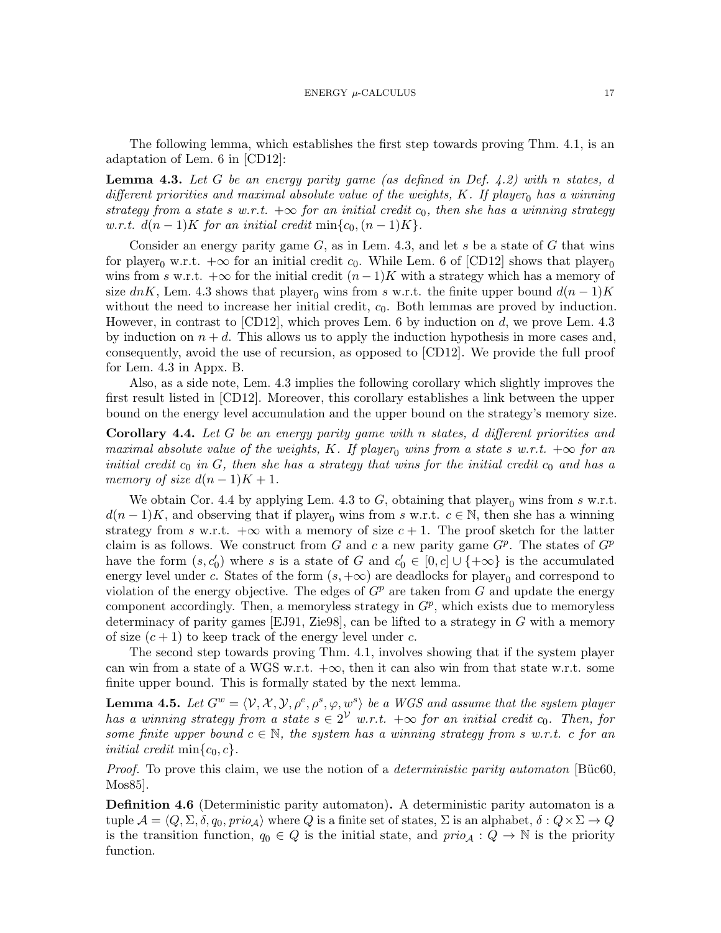The following lemma, which establishes the first step towards proving Thm. [4.1,](#page-15-0) is an adaptation of Lem. 6 in [\[CD12\]](#page-21-1):

<span id="page-16-1"></span>**Lemma 4.3.** Let G be an energy parity game (as defined in Def. [4.2\)](#page-15-1) with n states, d different priorities and maximal absolute value of the weights, K. If player<sub>0</sub> has a winning strategy from a state s w.r.t.  $+\infty$  for an initial credit c<sub>0</sub>, then she has a winning strategy w.r.t.  $d(n-1)K$  for an initial credit min $\{c_0,(n-1)K\}.$ 

Consider an energy parity game  $G$ , as in Lem. [4.3,](#page-16-1) and let  $s$  be a state of  $G$  that wins for player<sub>0</sub> w.r.t.  $+\infty$  for an initial credit c<sub>0</sub>. While Lem. 6 of [\[CD12\]](#page-21-1) shows that player<sub>0</sub> wins from s w.r.t.  $+\infty$  for the initial credit  $(n-1)K$  with a strategy which has a memory of size dnK, Lem. [4.3](#page-16-1) shows that player<sub>0</sub> wins from s w.r.t. the finite upper bound  $d(n-1)K$ without the need to increase her initial credit,  $c<sub>0</sub>$ . Both lemmas are proved by induction. However, in contrast to  $\text{[CD12]}$  $\text{[CD12]}$  $\text{[CD12]}$ , which proves Lem. 6 by induction on d, we prove Lem. [4.3](#page-16-1) by induction on  $n + d$ . This allows us to apply the induction hypothesis in more cases and, consequently, avoid the use of recursion, as opposed to [\[CD12\]](#page-21-1). We provide the full proof for Lem. [4.3](#page-16-1) in Appx. [B.](#page-31-0)

Also, as a side note, Lem. [4.3](#page-16-1) implies the following corollary which slightly improves the first result listed in [\[CD12\]](#page-21-1). Moreover, this corollary establishes a link between the upper bound on the energy level accumulation and the upper bound on the strategy's memory size.

<span id="page-16-0"></span>Corollary 4.4. Let G be an energy parity game with n states, d different priorities and maximal absolute value of the weights, K. If player<sub>0</sub> wins from a state s w.r.t.  $+\infty$  for an initial credit  $c_0$  in  $G$ , then she has a strategy that wins for the initial credit  $c_0$  and has a memory of size  $d(n-1)K + 1$ .

We obtain Cor. [4.4](#page-16-0) by applying Lem. [4.3](#page-16-1) to G, obtaining that player<sub>0</sub> wins from s w.r.t.  $d(n-1)K$ , and observing that if player<sub>0</sub> wins from s w.r.t.  $c \in \mathbb{N}$ , then she has a winning strategy from s w.r.t.  $+\infty$  with a memory of size  $c + 1$ . The proof sketch for the latter claim is as follows. We construct from G and c a new parity game  $G^p$ . The states of  $G^p$ have the form  $(s, c'_0)$  where s is a state of G and  $c'_0 \in [0, c] \cup \{+\infty\}$  is the accumulated energy level under c. States of the form  $(s, +\infty)$  are deadlocks for player<sub>0</sub> and correspond to violation of the energy objective. The edges of  $G<sup>p</sup>$  are taken from G and update the energy component accordingly. Then, a memoryless strategy in  $G<sup>p</sup>$ , which exists due to memoryless determinacy of parity games [\[EJ91,](#page-22-1) [Zie98\]](#page-24-1), can be lifted to a strategy in G with a memory of size  $(c+1)$  to keep track of the energy level under c.

The second step towards proving Thm. [4.1,](#page-15-0) involves showing that if the system player can win from a state of a WGS w.r.t.  $+\infty$ , then it can also win from that state w.r.t. some finite upper bound. This is formally stated by the next lemma.

<span id="page-16-2"></span>**Lemma 4.5.** Let  $G^w = \langle V, \mathcal{X}, \mathcal{Y}, \rho^e, \rho^s, \varphi, w^s \rangle$  be a WGS and assume that the system player has a winning strategy from a state  $s \in 2^{\mathcal{V}}$  w.r.t.  $+\infty$  for an initial credit  $c_0$ . Then, for some finite upper bound  $c \in \mathbb{N}$ , the system has a winning strategy from s w.r.t. c for an *initial credit* min $\{c_0, c\}$ .

*Proof.* To prove this claim, we use the notion of a *deterministic parity automaton* [Büc60, [Mos85\]](#page-23-14).

Definition 4.6 (Deterministic parity automaton). A deterministic parity automaton is a tuple  $\mathcal{A} = \langle Q, \Sigma, \delta, q_0, \text{prio}_{\mathcal{A}} \rangle$  where Q is a finite set of states,  $\Sigma$  is an alphabet,  $\delta : Q \times \Sigma \to Q$ is the transition function,  $q_0 \in Q$  is the initial state, and  $\text{prio}_\mathcal{A}: Q \to \mathbb{N}$  is the priority function.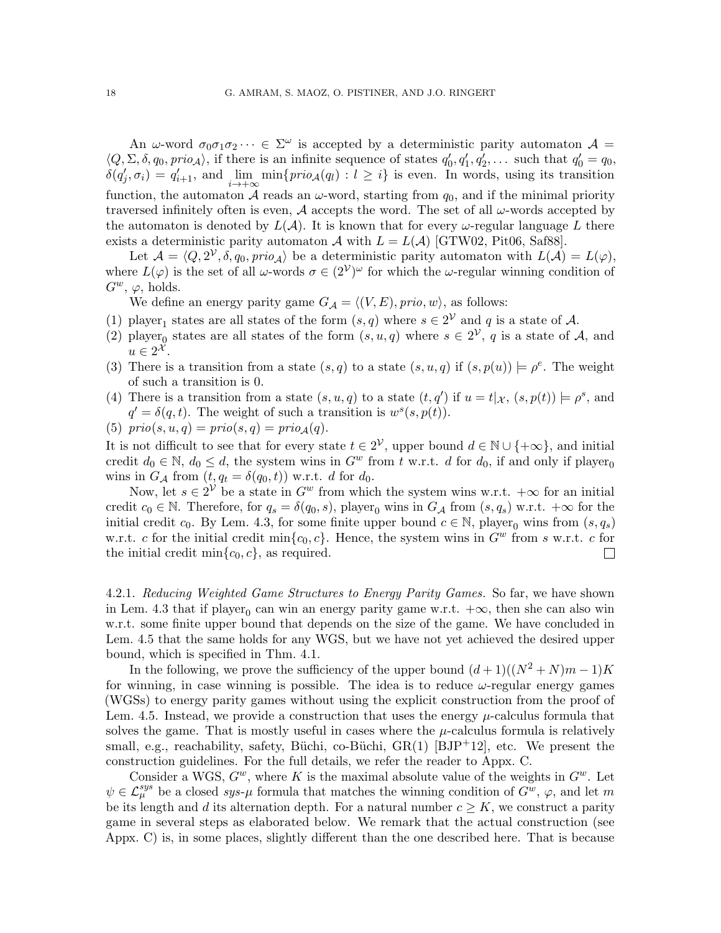An  $\omega$ -word  $\sigma_0\sigma_1\sigma_2\cdots \in \Sigma^\omega$  is accepted by a deterministic parity automaton  $\mathcal{A} =$  $\langle Q, \Sigma, \delta, q_0, \text{prio}_\mathcal{A} \rangle$ , if there is an infinite sequence of states  $q'_0, q'_1, q'_2, \dots$  such that  $q'_0 = q_0$ ,  $\delta(q'_j, \sigma_i) = q'_{i+1}$ , and  $\lim_{i \to +\infty} \min\{prio_{\mathcal{A}}(q_i) : l \geq i\}$  is even. In words, using its transition function, the automaton A reads an  $\omega$ -word, starting from  $q_0$ , and if the minimal priority traversed infinitely often is even, A accepts the word. The set of all  $\omega$ -words accepted by the automaton is denoted by  $L(\mathcal{A})$ . It is known that for every  $\omega$ -regular language L there exists a deterministic parity automaton A with  $L = L(A)$  [\[GTW02,](#page-22-6) [Pit06,](#page-23-15) [Saf88\]](#page-23-16).

Let  $\mathcal{A} = (Q, 2^{\mathcal{V}}, \delta, q_0, \text{proj}_{\mathcal{A}})$  be a deterministic parity automaton with  $L(\mathcal{A}) = L(\varphi)$ , where  $L(\varphi)$  is the set of all  $\omega$ -words  $\sigma \in (2^{\mathcal{V}})^{\omega}$  for which the  $\omega$ -regular winning condition of  $G^w$ ,  $\varphi$ , holds.

We define an energy parity game  $G_A = \langle (V, E), \text{prio}, w \rangle$ , as follows:

- (1) player<sub>1</sub> states are all states of the form  $(s, q)$  where  $s \in 2^{\mathcal{V}}$  and q is a state of A.
- (2) player<sub>0</sub> states are all states of the form  $(s, u, q)$  where  $s \in 2^{\mathcal{V}}$ , q is a state of A, and  $u \in 2^{\mathcal{X}}$ .
- (3) There is a transition from a state  $(s, q)$  to a state  $(s, u, q)$  if  $(s, p(u)) \models \rho^e$ . The weight of such a transition is 0.
- (4) There is a transition from a state  $(s, u, q)$  to a state  $(t, q')$  if  $u = t |_{\mathcal{X}}$ ,  $(s, p(t)) \models \rho^s$ , and  $q' = \delta(q, t)$ . The weight of such a transition is  $w^s(s, p(t))$ .
- (5)  $\text{prio}(s, u, q) = \text{prio}(s, q) = \text{prio}_{\mathcal{A}}(q).$

It is not difficult to see that for every state  $t \in 2^{\mathcal{V}}$ , upper bound  $d \in \mathbb{N} \cup \{+\infty\}$ , and initial credit  $d_0 \in \mathbb{N}$ ,  $d_0 \leq d$ , the system wins in  $G^w$  from t w.r.t. d for  $d_0$ , if and only if player<sub>0</sub> wins in  $G_{\mathcal{A}}$  from  $(t, q_t = \delta(q_0, t))$  w.r.t. d for  $d_0$ .

Now, let  $s \in 2^{\mathcal{V}}$  be a state in  $G^w$  from which the system wins w.r.t.  $+\infty$  for an initial credit  $c_0 \in \mathbb{N}$ . Therefore, for  $q_s = \delta(q_0, s)$ , player<sub>0</sub> wins in  $G_A$  from  $(s, q_s)$  w.r.t.  $+\infty$  for the initial credit  $c_0$ . By Lem. [4.3,](#page-16-1) for some finite upper bound  $c \in \mathbb{N}$ , player<sub>0</sub> wins from  $(s, q_s)$ w.r.t. c for the initial credit min ${c_0, c}$ . Hence, the system wins in  $G^w$  from s w.r.t. c for the initial credit min $\{c_0, c\}$ , as required.  $\mathbf{L}$ 

<span id="page-17-0"></span>4.2.1. Reducing Weighted Game Structures to Energy Parity Games. So far, we have shown in Lem. [4.3](#page-16-1) that if player<sub>0</sub> can win an energy parity game w.r.t.  $+\infty$ , then she can also win w.r.t. some finite upper bound that depends on the size of the game. We have concluded in Lem. [4.5](#page-16-2) that the same holds for any WGS, but we have not yet achieved the desired upper bound, which is specified in Thm. [4.1.](#page-15-0)

In the following, we prove the sufficiency of the upper bound  $(d+1)((N^2+N)m-1)K$ for winning, in case winning is possible. The idea is to reduce  $\omega$ -regular energy games (WGSs) to energy parity games without using the explicit construction from the proof of Lem. [4.5.](#page-16-2) Instead, we provide a construction that uses the energy  $\mu$ -calculus formula that solves the game. That is mostly useful in cases where the  $\mu$ -calculus formula is relatively small, e.g., reachability, safety, Büchi, co-Büchi,  $GR(1)$  [\[BJP](#page-21-5)+12], etc. We present the construction guidelines. For the full details, we refer the reader to Appx. [C.](#page-37-0)

Consider a WGS,  $G^w$ , where K is the maximal absolute value of the weights in  $G^w$ . Let  $\psi \in \mathcal{L}_{\mu}^{sys}$  be a closed  $sys-\mu$  formula that matches the winning condition of  $G^w$ ,  $\varphi$ , and let m be its length and d its alternation depth. For a natural number  $c \geq K$ , we construct a parity game in several steps as elaborated below. We remark that the actual construction (see Appx. [C\)](#page-37-0) is, in some places, slightly different than the one described here. That is because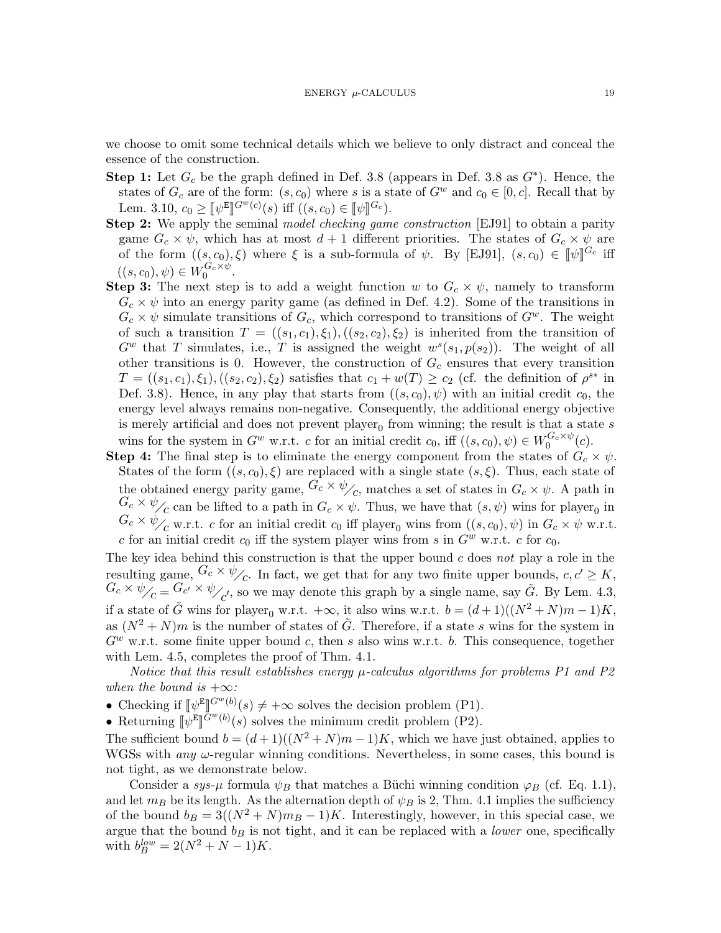we choose to omit some technical details which we believe to only distract and conceal the essence of the construction.

- Step 1: Let  $G_c$  be the graph defined in Def. [3.8](#page-12-3) (appears in Def. 3.8 as  $G^*$ ). Hence, the states of  $G_c$  are of the form:  $(s, c_0)$  where s is a state of  $G^w$  and  $c_0 \in [0, c]$ . Recall that by Lem. [3.10,](#page-13-2)  $c_0 \geq [\psi^E]^{G^w(c)}(s)$  iff  $((s, c_0) \in [\psi]^{G_c})$ .<br> **on 2:** We apply the seminal model checking cam
- Step 2: We apply the seminal model checking game construction [\[EJ91\]](#page-22-1) to obtain a parity game  $G_c \times \psi$ , which has at most  $d+1$  different priorities. The states of  $G_c \times \psi$  are of the form  $((s, c_0), \xi)$  where  $\xi$  is a sub-formula of  $\psi$ . By [\[EJ91\]](#page-22-1),  $(s, c_0) \in [\![\psi]\!]^{G_c}$  iff  $((s, c_0), \psi) \in W_0^{G_c \times \psi}.$
- Step 3: The next step is to add a weight function w to  $G_c \times \psi$ , namely to transform  $G_c \times \psi$  into an energy parity game (as defined in Def. [4.2\)](#page-15-1). Some of the transitions in  $G_c \times \psi$  simulate transitions of  $G_c$ , which correspond to transitions of  $G<sup>w</sup>$ . The weight of such a transition  $T = ((s_1, c_1), \xi_1), ((s_2, c_2), \xi_2)$  is inherited from the transition of  $G^w$  that T simulates, i.e., T is assigned the weight  $w^s(s_1, p(s_2))$ . The weight of all other transitions is 0. However, the construction of  $G_c$  ensures that every transition  $T = ((s_1, c_1), \xi_1), ((s_2, c_2), \xi_2)$  satisfies that  $c_1 + w(T) \ge c_2$  (cf. the definition of  $\rho^{s*}$  in Def. [3.8\)](#page-12-3). Hence, in any play that starts from  $((s, c_0), \psi)$  with an initial credit  $c_0$ , the energy level always remains non-negative. Consequently, the additional energy objective is merely artificial and does not prevent  $player_0$  from winning; the result is that a state s wins for the system in  $G^w$  w.r.t. c for an initial credit  $c_0$ , iff  $((s, c_0), \psi) \in W_0^{G_c \times \psi}(c)$ .
- **Step 4:** The final step is to eliminate the energy component from the states of  $G_c \times \psi$ . States of the form  $((s, c_0), \xi)$  are replaced with a single state  $(s, \xi)$ . Thus, each state of the obtained energy parity game,  $G_c \times \psi_c$ , matches a set of states in  $G_c \times \psi$ . A path in  $G_c \times \psi_{\text{c}}$  can be lifted to a path in  $G_c \times \psi$ . Thus, we have that  $(s, \psi)$  wins for player<sub>0</sub> in  $G_c \times \psi_{\text{c}}$  w.r.t. c for an initial credit  $c_0$  iff player<sub>0</sub> wins from  $((s, c_0), \psi)$  in  $G_c \times \psi$  w.r.t. c for an initial credit  $c_0$  iff the system player wins from s in  $G^w$  w.r.t. c for  $c_0$ .

The key idea behind this construction is that the upper bound  $c$  does not play a role in the resulting game,  $G_c \times \psi_{c}$ . In fact, we get that for any two finite upper bounds,  $c, c' \geq K$ ,  $G_c \times \psi_C = G_{c'} \times \psi_C$ , so we may denote this graph by a single name, say  $\tilde{G}$ . By Lem. [4.3,](#page-16-1) if a state of  $\tilde{G}$  wins for player<sub>0</sub> w.r.t. +∞, it also wins w.r.t.  $b = (d+1)((N^2+N)m-1)K$ , as  $(N^2 + N)m$  is the number of states of  $\tilde{G}$ . Therefore, if a state s wins for the system in  $G^w$  w.r.t. some finite upper bound c, then s also wins w.r.t. b. This consequence, together with Lem. [4.5,](#page-16-2) completes the proof of Thm. [4.1.](#page-15-0)

Notice that this result establishes energy  $\mu$ -calculus algorithms for problems [P1](#page-13-5) and [P2](#page-13-6) when the bound is  $+\infty$ :

- Checking if  $[\psi^E]^{G^w(b)}(s) \neq +\infty$  solves the decision problem [\(P1\)](#page-13-5).
- Returning  $\llbracket \psi^E \rrbracket^{G^w(b)}(s)$  solves the minimum credit problem [\(P2\)](#page-13-6).

The sufficient bound  $b = (d+1)((N^2+N)m-1)K$ , which we have just obtained, applies to WGSs with *any*  $\omega$ -regular winning conditions. Nevertheless, in some cases, this bound is not tight, as we demonstrate below.

Consider a sys- $\mu$  formula  $\psi_B$  that matches a Büchi winning condition  $\varphi_B$  (cf. Eq. [1.1\)](#page-2-0). and let  $m_B$  be its length. As the alternation depth of  $\psi_B$  is 2, Thm. [4.1](#page-15-0) implies the sufficiency of the bound  $b_B = 3((N^2 + N)m_B - 1)K$ . Interestingly, however, in this special case, we argue that the bound  $b_B$  is not tight, and it can be replaced with a *lower* one, specifically with  $b_B^{low} = 2(N^2 + N - 1)K$ .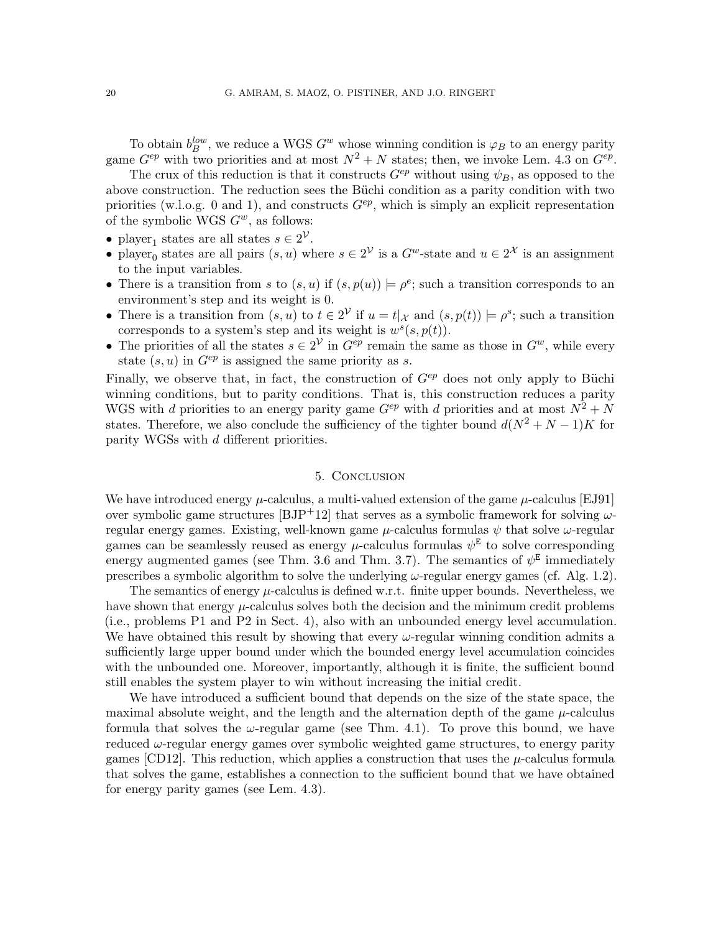To obtain  $b_B^{low}$ , we reduce a WGS  $G^w$  whose winning condition is  $\varphi_B$  to an energy parity game  $G^{ep}$  with two priorities and at most  $N^2 + N$  states; then, we invoke Lem. [4.3](#page-16-1) on  $G^{ep}$ .

The crux of this reduction is that it constructs  $G^{ep}$  without using  $\psi_B$ , as opposed to the above construction. The reduction sees the Büchi condition as a parity condition with two priorities (w.l.o.g. 0 and 1), and constructs  $G^{ep}$ , which is simply an explicit representation of the symbolic WGS  $G^w$ , as follows:

- player<sub>1</sub> states are all states  $s \in 2^{\mathcal{V}}$ .
- player<sub>0</sub> states are all pairs  $(s, u)$  where  $s \in 2^{\mathcal{V}}$  is a  $G^w$ -state and  $u \in 2^{\mathcal{X}}$  is an assignment to the input variables.
- There is a transition from s to  $(s, u)$  if  $(s, p(u)) \models \rho^e$ ; such a transition corresponds to an environment's step and its weight is 0.
- There is a transition from  $(s, u)$  to  $t \in 2^{\mathcal{V}}$  if  $u = t |_{\mathcal{X}}$  and  $(s, p(t)) \models \rho^s$ ; such a transition corresponds to a system's step and its weight is  $w^s(s, p(t))$ .
- The priorities of all the states  $s \in 2^{\mathcal{V}}$  in  $G^{ep}$  remain the same as those in  $G^w$ , while every state  $(s, u)$  in  $G^{ep}$  is assigned the same priority as s.

Finally, we observe that, in fact, the construction of  $G^{ep}$  does not only apply to Büchi winning conditions, but to parity conditions. That is, this construction reduces a parity WGS with d priorities to an energy parity game  $G^{ep}$  with d priorities and at most  $N^2 + N$ states. Therefore, we also conclude the sufficiency of the tighter bound  $d(N^2 + N - 1)K$  for parity WGSs with d different priorities.

### 5. Conclusion

We have introduced energy  $\mu$ -calculus, a multi-valued extension of the game  $\mu$ -calculus [\[EJ91\]](#page-22-1) over symbolic game structures [\[BJP](#page-21-5)+12] that serves as a symbolic framework for solving  $\omega$ regular energy games. Existing, well-known game  $\mu$ -calculus formulas  $\psi$  that solve  $\omega$ -regular games can be seamlessly reused as energy  $\mu$ -calculus formulas  $\psi^{\text{E}}$  to solve corresponding energy augmented games (see Thm. [3.6](#page-12-0) and Thm. [3.7\)](#page-12-2). The semantics of  $\psi^E$  immediately prescribes a symbolic algorithm to solve the underlying  $\omega$ -regular energy games (cf. Alg. [1.2\)](#page-3-1).

The semantics of energy  $\mu$ -calculus is defined w.r.t. finite upper bounds. Nevertheless, we have shown that energy  $\mu$ -calculus solves both the decision and the minimum credit problems (i.e., problems [P1](#page-13-5) and [P2](#page-13-6) in Sect. [4\)](#page-13-1), also with an unbounded energy level accumulation. We have obtained this result by showing that every  $\omega$ -regular winning condition admits a sufficiently large upper bound under which the bounded energy level accumulation coincides with the unbounded one. Moreover, importantly, although it is finite, the sufficient bound still enables the system player to win without increasing the initial credit.

We have introduced a sufficient bound that depends on the size of the state space, the maximal absolute weight, and the length and the alternation depth of the game  $\mu$ -calculus formula that solves the  $\omega$ -regular game (see Thm. [4.1\)](#page-15-0). To prove this bound, we have reduced  $\omega$ -regular energy games over symbolic weighted game structures, to energy parity games [\[CD12\]](#page-21-1). This reduction, which applies a construction that uses the  $\mu$ -calculus formula that solves the game, establishes a connection to the sufficient bound that we have obtained for energy parity games (see Lem. [4.3\)](#page-16-1).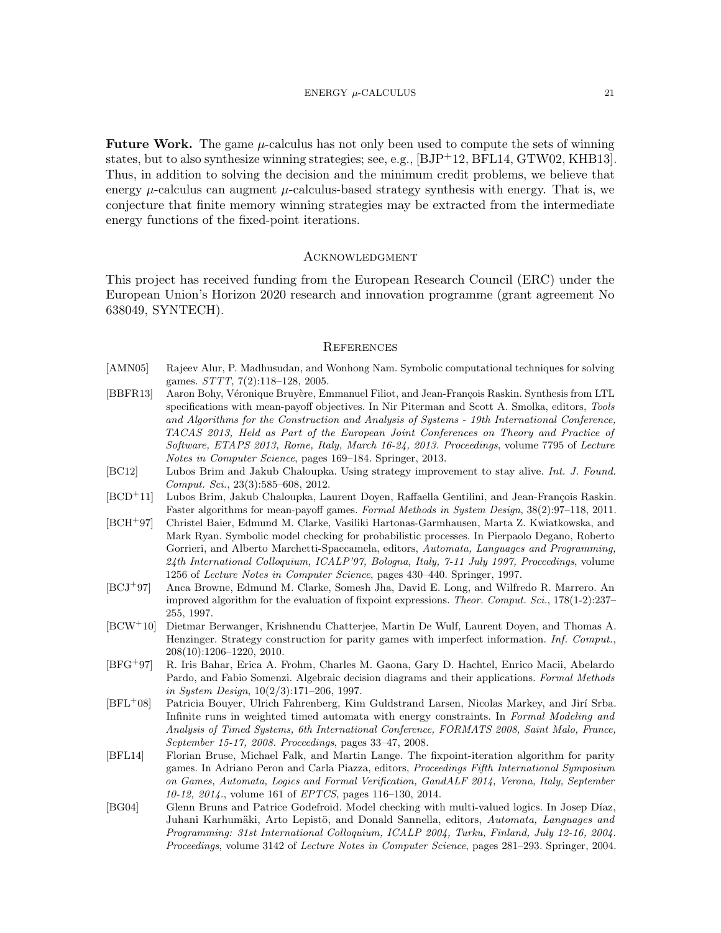**Future Work.** The game  $\mu$ -calculus has not only been used to compute the sets of winning states, but to also synthesize winning strategies; see, e.g., [\[BJP](#page-21-5)+12, [BFL14,](#page-20-5) [GTW02,](#page-22-6) [KHB13\]](#page-22-2). Thus, in addition to solving the decision and the minimum credit problems, we believe that energy  $\mu$ -calculus can augment  $\mu$ -calculus-based strategy synthesis with energy. That is, we conjecture that finite memory winning strategies may be extracted from the intermediate energy functions of the fixed-point iterations.

#### **ACKNOWLEDGMENT**

This project has received funding from the European Research Council (ERC) under the European Union's Horizon 2020 research and innovation programme (grant agreement No 638049, SYNTECH).

#### **REFERENCES**

- <span id="page-20-4"></span>[AMN05] Rajeev Alur, P. Madhusudan, and Wonhong Nam. Symbolic computational techniques for solving games. STTT, 7(2):118–128, 2005.
- <span id="page-20-0"></span>[BBFR13] Aaron Bohy, Véronique Bruyère, Emmanuel Filiot, and Jean-François Raskin. Synthesis from LTL specifications with mean-payoff objectives. In Nir Piterman and Scott A. Smolka, editors, Tools and Algorithms for the Construction and Analysis of Systems - 19th International Conference, TACAS 2013, Held as Part of the European Joint Conferences on Theory and Practice of Software, ETAPS 2013, Rome, Italy, March 16-24, 2013. Proceedings, volume 7795 of Lecture Notes in Computer Science, pages 169–184. Springer, 2013.
- <span id="page-20-2"></span>[BC12] Lubos Brim and Jakub Chaloupka. Using strategy improvement to stay alive. Int. J. Found. Comput. Sci., 23(3):585–608, 2012.
- <span id="page-20-3"></span>[BCD<sup>+</sup>11] Lubos Brim, Jakub Chaloupka, Laurent Doyen, Raffaella Gentilini, and Jean-François Raskin. Faster algorithms for mean-payoff games. Formal Methods in System Design, 38(2):97–118, 2011.
- <span id="page-20-9"></span>[BCH<sup>+</sup>97] Christel Baier, Edmund M. Clarke, Vasiliki Hartonas-Garmhausen, Marta Z. Kwiatkowska, and Mark Ryan. Symbolic model checking for probabilistic processes. In Pierpaolo Degano, Roberto Gorrieri, and Alberto Marchetti-Spaccamela, editors, Automata, Languages and Programming, 24th International Colloquium, ICALP'97, Bologna, Italy, 7-11 July 1997, Proceedings, volume 1256 of Lecture Notes in Computer Science, pages 430–440. Springer, 1997.
- <span id="page-20-10"></span>[BCJ<sup>+</sup>97] Anca Browne, Edmund M. Clarke, Somesh Jha, David E. Long, and Wilfredo R. Marrero. An improved algorithm for the evaluation of fixpoint expressions. Theor. Comput. Sci., 178(1-2):237– 255, 1997.
- <span id="page-20-8"></span>[BCW<sup>+</sup>10] Dietmar Berwanger, Krishnendu Chatterjee, Martin De Wulf, Laurent Doyen, and Thomas A. Henzinger. Strategy construction for parity games with imperfect information. Inf. Comput., 208(10):1206–1220, 2010.
- <span id="page-20-7"></span>[BFG<sup>+</sup>97] R. Iris Bahar, Erica A. Frohm, Charles M. Gaona, Gary D. Hachtel, Enrico Macii, Abelardo Pardo, and Fabio Somenzi. Algebraic decision diagrams and their applications. Formal Methods in System Design, 10(2/3):171–206, 1997.
- <span id="page-20-1"></span>[BFL<sup>+</sup>08] Patricia Bouyer, Ulrich Fahrenberg, Kim Guldstrand Larsen, Nicolas Markey, and Jirí Srba. Infinite runs in weighted timed automata with energy constraints. In Formal Modeling and Analysis of Timed Systems, 6th International Conference, FORMATS 2008, Saint Malo, France, September 15-17, 2008. Proceedings, pages 33–47, 2008.
- <span id="page-20-5"></span>[BFL14] Florian Bruse, Michael Falk, and Martin Lange. The fixpoint-iteration algorithm for parity games. In Adriano Peron and Carla Piazza, editors, Proceedings Fifth International Symposium on Games, Automata, Logics and Formal Verification, GandALF 2014, Verona, Italy, September 10-12, 2014., volume 161 of *EPTCS*, pages 116-130, 2014.
- <span id="page-20-6"></span>[BG04] Glenn Bruns and Patrice Godefroid. Model checking with multi-valued logics. In Josep Díaz, Juhani Karhumäki, Arto Lepistö, and Donald Sannella, editors, Automata, Languages and Programming: 31st International Colloquium, ICALP 2004, Turku, Finland, July 12-16, 2004. Proceedings, volume 3142 of Lecture Notes in Computer Science, pages 281–293. Springer, 2004.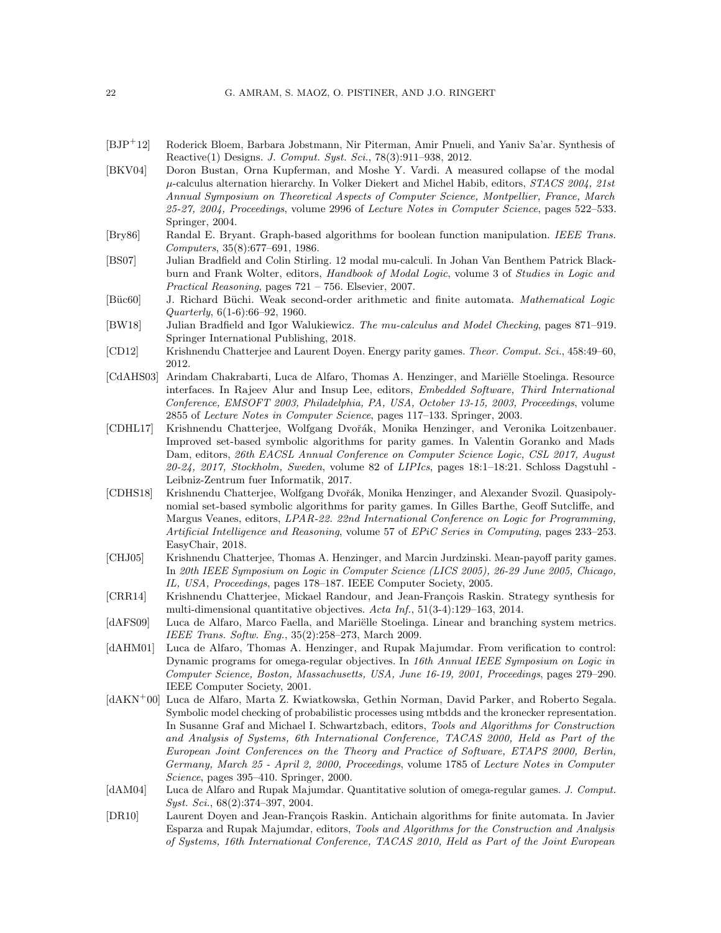- <span id="page-21-5"></span>[BJP<sup>+</sup>12] Roderick Bloem, Barbara Jobstmann, Nir Piterman, Amir Pnueli, and Yaniv Sa'ar. Synthesis of Reactive(1) Designs. J. Comput. Syst. Sci., 78(3):911–938, 2012.
- <span id="page-21-14"></span>[BKV04] Doron Bustan, Orna Kupferman, and Moshe Y. Vardi. A measured collapse of the modal  $\mu$ -calculus alternation hierarchy. In Volker Diekert and Michel Habib, editors,  $STACS$  2004, 21st Annual Symposium on Theoretical Aspects of Computer Science, Montpellier, France, March 25-27, 2004, Proceedings, volume 2996 of Lecture Notes in Computer Science, pages 522–533. Springer, 2004.
- <span id="page-21-12"></span>[Bry86] Randal E. Bryant. Graph-based algorithms for boolean function manipulation. IEEE Trans. Computers, 35(8):677–691, 1986.
- <span id="page-21-15"></span>[BS07] Julian Bradfield and Colin Stirling. 12 modal mu-calculi. In Johan Van Benthem Patrick Blackburn and Frank Wolter, editors, Handbook of Modal Logic, volume 3 of Studies in Logic and Practical Reasoning, pages 721 – 756. Elsevier, 2007.
- <span id="page-21-16"></span>[Büc60] J. Richard Büchi. Weak second-order arithmetic and finite automata. Mathematical Logic Quarterly, 6(1-6):66–92, 1960.
- <span id="page-21-10"></span>[BW18] Julian Bradfield and Igor Walukiewicz. The mu-calculus and Model Checking, pages 871–919. Springer International Publishing, 2018.
- <span id="page-21-1"></span>[CD12] Krishnendu Chatterjee and Laurent Doyen. Energy parity games. Theor. Comput. Sci., 458:49–60, 2012.
- <span id="page-21-0"></span>[CdAHS03] Arindam Chakrabarti, Luca de Alfaro, Thomas A. Henzinger, and Mariëlle Stoelinga. Resource interfaces. In Rajeev Alur and Insup Lee, editors, Embedded Software, Third International Conference, EMSOFT 2003, Philadelphia, PA, USA, October 13-15, 2003, Proceedings, volume 2855 of Lecture Notes in Computer Science, pages 117–133. Springer, 2003.
- <span id="page-21-3"></span>[CDHL17] Krishnendu Chatterjee, Wolfgang Dvořák, Monika Henzinger, and Veronika Loitzenbauer. Improved set-based symbolic algorithms for parity games. In Valentin Goranko and Mads Dam, editors, 26th EACSL Annual Conference on Computer Science Logic, CSL 2017, August  $20-24$ ,  $2017$ , Stockholm, Sweden, volume 82 of LIPIcs, pages 18:1-18:21. Schloss Dagstuhl -Leibniz-Zentrum fuer Informatik, 2017.
- <span id="page-21-4"></span>[CDHS18] Krishnendu Chatterjee, Wolfgang Dvořák, Monika Henzinger, and Alexander Svozil. Quasipolynomial set-based symbolic algorithms for parity games. In Gilles Barthe, Geoff Sutcliffe, and Margus Veanes, editors, LPAR-22. 22nd International Conference on Logic for Programming, Artificial Intelligence and Reasoning, volume 57 of EPiC Series in Computing, pages 233–253. EasyChair, 2018.
- <span id="page-21-9"></span>[CHJ05] Krishnendu Chatterjee, Thomas A. Henzinger, and Marcin Jurdzinski. Mean-payoff parity games. In 20th IEEE Symposium on Logic in Computer Science (LICS 2005), 26-29 June 2005, Chicago, IL, USA, Proceedings, pages 178–187. IEEE Computer Society, 2005.
- <span id="page-21-2"></span>[CRR14] Krishnendu Chatterjee, Mickael Randour, and Jean-François Raskin. Strategy synthesis for multi-dimensional quantitative objectives. Acta Inf., 51(3-4):129–163, 2014.
- <span id="page-21-7"></span>[dAFS09] Luca de Alfaro, Marco Faella, and Mariëlle Stoelinga. Linear and branching system metrics. IEEE Trans. Softw. Eng., 35(2):258–273, March 2009.
- <span id="page-21-6"></span>[dAHM01] Luca de Alfaro, Thomas A. Henzinger, and Rupak Majumdar. From verification to control: Dynamic programs for omega-regular objectives. In 16th Annual IEEE Symposium on Logic in Computer Science, Boston, Massachusetts, USA, June 16-19, 2001, Proceedings, pages 279–290. IEEE Computer Society, 2001.
- <span id="page-21-13"></span>[dAKN<sup>+</sup>00] Luca de Alfaro, Marta Z. Kwiatkowska, Gethin Norman, David Parker, and Roberto Segala. Symbolic model checking of probabilistic processes using mtbdds and the kronecker representation. In Susanne Graf and Michael I. Schwartzbach, editors, Tools and Algorithms for Construction and Analysis of Systems, 6th International Conference, TACAS 2000, Held as Part of the European Joint Conferences on the Theory and Practice of Software, ETAPS 2000, Berlin, Germany, March 25 - April 2, 2000, Proceedings, volume 1785 of Lecture Notes in Computer Science, pages 395–410. Springer, 2000.
- <span id="page-21-8"></span>[dAM04] Luca de Alfaro and Rupak Majumdar. Quantitative solution of omega-regular games. J. Comput. Syst. Sci., 68(2):374–397, 2004.
- <span id="page-21-11"></span>[DR10] Laurent Doyen and Jean-François Raskin. Antichain algorithms for finite automata. In Javier Esparza and Rupak Majumdar, editors, Tools and Algorithms for the Construction and Analysis of Systems, 16th International Conference, TACAS 2010, Held as Part of the Joint European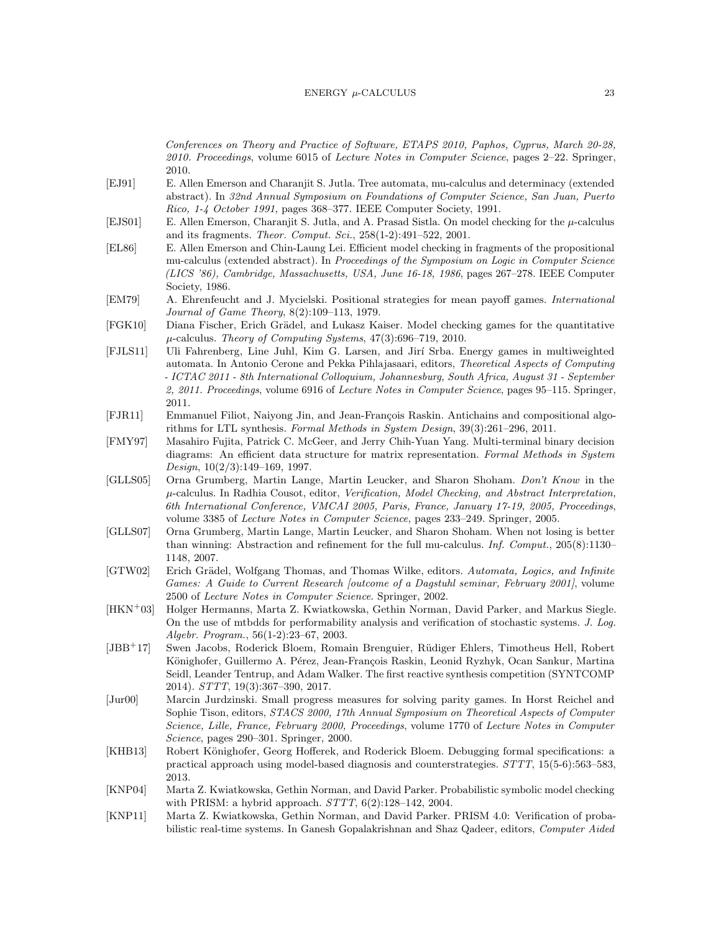#### $ENERGY$   $\mu$ -CALCULUS 23

Conferences on Theory and Practice of Software, ETAPS 2010, Paphos, Cyprus, March 20-28, 2010. Proceedings, volume 6015 of Lecture Notes in Computer Science, pages 2–22. Springer, 2010.

- <span id="page-22-1"></span>[EJ91] E. Allen Emerson and Charanjit S. Jutla. Tree automata, mu-calculus and determinacy (extended abstract). In 32nd Annual Symposium on Foundations of Computer Science, San Juan, Puerto Rico, 1-4 October 1991, pages 368–377. IEEE Computer Society, 1991.
- <span id="page-22-16"></span>[EJS01] E. Allen Emerson, Charanjit S. Jutla, and A. Prasad Sistla. On model checking for the  $\mu$ -calculus and its fragments. Theor. Comput. Sci., 258(1-2):491–522, 2001.
- <span id="page-22-15"></span>[EL86] E. Allen Emerson and Chin-Laung Lei. Efficient model checking in fragments of the propositional mu-calculus (extended abstract). In Proceedings of the Symposium on Logic in Computer Science (LICS '86), Cambridge, Massachusetts, USA, June 16-18, 1986, pages 267–278. IEEE Computer Society, 1986.
- <span id="page-22-7"></span>[EM79] A. Ehrenfeucht and J. Mycielski. Positional strategies for mean payoff games. International Journal of Game Theory, 8(2):109–113, 1979.
- <span id="page-22-3"></span>[FGK10] Diana Fischer, Erich Grädel, and Lukasz Kaiser. Model checking games for the quantitative  $\mu$ -calculus. Theory of Computing Systems, 47(3):696–719, 2010.
- <span id="page-22-8"></span>[FJLS11] Uli Fahrenberg, Line Juhl, Kim G. Larsen, and Jir´ı Srba. Energy games in multiweighted automata. In Antonio Cerone and Pekka Pihlajasaari, editors, Theoretical Aspects of Computing - ICTAC 2011 - 8th International Colloquium, Johannesburg, South Africa, August 31 - September 2, 2011. Proceedings, volume 6916 of Lecture Notes in Computer Science, pages 95-115. Springer, 2011.
- <span id="page-22-10"></span>[FJR11] Emmanuel Filiot, Naiyong Jin, and Jean-François Raskin. Antichains and compositional algorithms for LTL synthesis. Formal Methods in System Design, 39(3):261–296, 2011.
- <span id="page-22-5"></span>[FMY97] Masahiro Fujita, Patrick C. McGeer, and Jerry Chih-Yuan Yang. Multi-terminal binary decision diagrams: An efficient data structure for matrix representation. Formal Methods in System Design, 10(2/3):149–169, 1997.
- <span id="page-22-4"></span>[GLLS05] Orna Grumberg, Martin Lange, Martin Leucker, and Sharon Shoham. Don't Know in the  $\mu$ -calculus. In Radhia Cousot, editor, Verification, Model Checking, and Abstract Interpretation, 6th International Conference, VMCAI 2005, Paris, France, January 17-19, 2005, Proceedings, volume 3385 of Lecture Notes in Computer Science, pages 233–249. Springer, 2005.
- <span id="page-22-9"></span>[GLLS07] Orna Grumberg, Martin Lange, Martin Leucker, and Sharon Shoham. When not losing is better than winning: Abstraction and refinement for the full mu-calculus. Inf. Comput., 205(8):1130-1148, 2007.
- <span id="page-22-6"></span>[GTW02] Erich Grädel, Wolfgang Thomas, and Thomas Wilke, editors. Automata, Logics, and Infinite Games: A Guide to Current Research [outcome of a Dagstuhl seminar, February 2001], volume 2500 of Lecture Notes in Computer Science. Springer, 2002.
- <span id="page-22-11"></span>[HKN<sup>+</sup>03] Holger Hermanns, Marta Z. Kwiatkowska, Gethin Norman, David Parker, and Markus Siegle. On the use of mtbdds for performability analysis and verification of stochastic systems. J. Log. Algebr. Program., 56(1-2):23–67, 2003.
- <span id="page-22-0"></span>[JBB<sup>+</sup>17] Swen Jacobs, Roderick Bloem, Romain Brenguier, R¨udiger Ehlers, Timotheus Hell, Robert Könighofer, Guillermo A. Pérez, Jean-François Raskin, Leonid Ryzhyk, Ocan Sankur, Martina Seidl, Leander Tentrup, and Adam Walker. The first reactive synthesis competition (SYNTCOMP 2014). STTT, 19(3):367–390, 2017.
- <span id="page-22-14"></span>[Jur00] Marcin Jurdzinski. Small progress measures for solving parity games. In Horst Reichel and Sophie Tison, editors, STACS 2000, 17th Annual Symposium on Theoretical Aspects of Computer Science, Lille, France, February 2000, Proceedings, volume 1770 of Lecture Notes in Computer Science, pages 290–301. Springer, 2000.
- <span id="page-22-2"></span>[KHB13] Robert Könighofer, Georg Hofferek, and Roderick Bloem. Debugging formal specifications: a practical approach using model-based diagnosis and counterstrategies. STTT, 15(5-6):563–583, 2013.
- <span id="page-22-12"></span>[KNP04] Marta Z. Kwiatkowska, Gethin Norman, and David Parker. Probabilistic symbolic model checking with PRISM: a hybrid approach.  $STTT$ ,  $6(2):128-142$ ,  $2004$ .
- <span id="page-22-13"></span>[KNP11] Marta Z. Kwiatkowska, Gethin Norman, and David Parker. PRISM 4.0: Verification of probabilistic real-time systems. In Ganesh Gopalakrishnan and Shaz Qadeer, editors, Computer Aided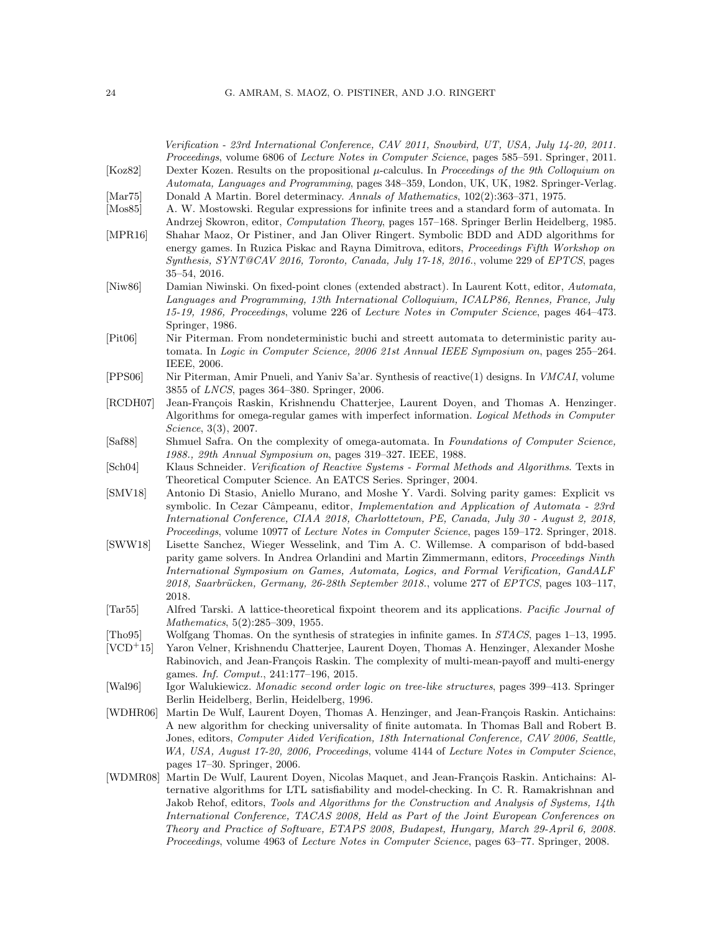<span id="page-23-17"></span><span id="page-23-16"></span><span id="page-23-15"></span><span id="page-23-14"></span><span id="page-23-13"></span><span id="page-23-12"></span><span id="page-23-11"></span><span id="page-23-10"></span><span id="page-23-9"></span><span id="page-23-8"></span><span id="page-23-7"></span><span id="page-23-6"></span><span id="page-23-5"></span><span id="page-23-4"></span><span id="page-23-3"></span><span id="page-23-2"></span><span id="page-23-1"></span><span id="page-23-0"></span>

|                               | Verification - 23rd International Conference, CAV 2011, Snowbird, UT, USA, July 14-20, 2011.<br>Proceedings, volume 6806 of Lecture Notes in Computer Science, pages 585-591. Springer, 2011.     |
|-------------------------------|---------------------------------------------------------------------------------------------------------------------------------------------------------------------------------------------------|
| [Koz82]                       | Dexter Kozen. Results on the propositional $\mu$ -calculus. In Proceedings of the 9th Colloquium on<br>Automata, Languages and Programming, pages 348–359, London, UK, UK, 1982. Springer-Verlag. |
| $\left[ \text{Mar75} \right]$ | Donald A Martin. Borel determinacy. Annals of Mathematics, 102(2):363-371, 1975.                                                                                                                  |
| $\left  {\rm Mos85}\right $   | A. W. Mostowski. Regular expressions for infinite trees and a standard form of automata. In                                                                                                       |
|                               | Andrzej Skowron, editor, <i>Computation Theory</i> , pages 157–168. Springer Berlin Heidelberg, 1985.                                                                                             |
| [MPR16]                       | Shahar Maoz, Or Pistiner, and Jan Oliver Ringert. Symbolic BDD and ADD algorithms for                                                                                                             |
|                               | energy games. In Ruzica Piskac and Rayna Dimitrova, editors, Proceedings Fifth Workshop on                                                                                                        |
|                               | Synthesis, SYNT@CAV 2016, Toronto, Canada, July 17-18, 2016., volume 229 of EPTCS, pages                                                                                                          |
|                               | $35 - 54$ , 2016.                                                                                                                                                                                 |
| [Niw86]                       | Damian Niwinski. On fixed-point clones (extended abstract). In Laurent Kott, editor, Automata,                                                                                                    |
|                               | Languages and Programming, 13th International Colloquium, ICALP86, Rennes, France, July                                                                                                           |
|                               | 15-19, 1986, Proceedings, volume 226 of Lecture Notes in Computer Science, pages 464-473.                                                                                                         |
|                               | Springer, 1986.                                                                                                                                                                                   |
| [Pit06]                       | Nir Piterman. From nondeterministic buchi and streett automata to deterministic parity au-                                                                                                        |
|                               | tomata. In Logic in Computer Science, 2006 21st Annual IEEE Symposium on, pages 255–264.                                                                                                          |
|                               | IEEE, 2006.                                                                                                                                                                                       |
| [PPS06]                       | Nir Piterman, Amir Pnueli, and Yaniv Sa'ar. Synthesis of reactive(1) designs. In VMCAI, volume                                                                                                    |
|                               | 3855 of <i>LNCS</i> , pages 364–380. Springer, 2006.                                                                                                                                              |
| [RCDH07]                      | Jean-François Raskin, Krishnendu Chatterjee, Laurent Doyen, and Thomas A. Henzinger.                                                                                                              |
|                               | Algorithms for omega-regular games with imperfect information. Logical Methods in Computer                                                                                                        |
|                               | <i>Science</i> , 3(3), 2007.                                                                                                                                                                      |
| [Saf88]                       | Shmuel Safra. On the complexity of omega-automata. In Foundations of Computer Science,                                                                                                            |
|                               | 1988., 29th Annual Symposium on, pages 319–327. IEEE, 1988.                                                                                                                                       |
| [Sch04]                       | Klaus Schneider. Verification of Reactive Systems - Formal Methods and Algorithms. Texts in                                                                                                       |
|                               | Theoretical Computer Science. An EATCS Series. Springer, 2004.                                                                                                                                    |
| $\left[\text{SMV18}\right]$   | Antonio Di Stasio, Aniello Murano, and Moshe Y. Vardi. Solving parity games: Explicit vs                                                                                                          |
|                               | symbolic. In Cezar Câmpeanu, editor, <i>Implementation and Application of Automata - 23rd</i>                                                                                                     |
|                               | International Conference, CIAA 2018, Charlottetown, PE, Canada, July 30 - August 2, 2018,                                                                                                         |
|                               | Proceedings, volume 10977 of Lecture Notes in Computer Science, pages 159–172. Springer, 2018.                                                                                                    |
| [SWW18]                       | Lisette Sanchez, Wieger Wesselink, and Tim A. C. Willemse. A comparison of bdd-based                                                                                                              |
|                               | parity game solvers. In Andrea Orlandini and Martin Zimmermann, editors, Proceedings Ninth                                                                                                        |
|                               | International Symposium on Games, Automata, Logics, and Formal Verification, GandALF                                                                                                              |
|                               | 2018, Saarbrücken, Germany, 26-28th September 2018., volume 277 of EPTCS, pages 103-117,                                                                                                          |
|                               | 2018.                                                                                                                                                                                             |
| $\left[\text{Tar}55\right]$   | Alfred Tarski. A lattice-theoretical fixpoint theorem and its applications. Pacific Journal of                                                                                                    |
|                               | <i>Mathematics</i> , 5(2):285-309, 1955.                                                                                                                                                          |
| [Tho95]<br>$[VCD+15]$         | Wolfgang Thomas. On the synthesis of strategies in infinite games. In <i>STACS</i> , pages 1–13, 1995.                                                                                            |
|                               | Yaron Velner, Krishnendu Chatterjee, Laurent Doyen, Thomas A. Henzinger, Alexander Moshe<br>Rabinovich, and Jean-François Raskin. The complexity of multi-mean-payoff and multi-energy            |
|                               | games. Inf. Comput., 241:177-196, 2015.                                                                                                                                                           |
| [Wal96]                       | Igor Walukiewicz. Monadic second order logic on tree-like structures, pages 399–413. Springer                                                                                                     |
|                               | Berlin Heidelberg, Berlin, Heidelberg, 1996.                                                                                                                                                      |
| [WDHR06]                      | Martin De Wulf, Laurent Doyen, Thomas A. Henzinger, and Jean-François Raskin. Antichains:                                                                                                         |
|                               | A new algorithm for checking universality of finite automata. In Thomas Ball and Robert B.                                                                                                        |
|                               | Jones, editors, Computer Aided Verification, 18th International Conference, CAV 2006, Seattle,                                                                                                    |
|                               | WA, USA, August 17-20, 2006, Proceedings, volume 4144 of Lecture Notes in Computer Science,                                                                                                       |
|                               | pages $17-30$ . Springer, 2006.                                                                                                                                                                   |
| [WDMR08]                      | Martin De Wulf, Laurent Doyen, Nicolas Maquet, and Jean-François Raskin. Antichains: Al-                                                                                                          |
|                               | ternative algorithms for LTL satisfiability and model-checking. In C. R. Ramakrishnan and                                                                                                         |
|                               | Jakob Rehof, editors, Tools and Algorithms for the Construction and Analysis of Systems, 14th                                                                                                     |
|                               | International Conference, TACAS 2008, Held as Part of the Joint European Conferences on                                                                                                           |
|                               | Theory and Practice of Software, ETAPS 2008, Budapest, Hungary, March 29-April 6, 2008.                                                                                                           |
|                               | Proceedings, volume 4963 of Lecture Notes in Computer Science, pages 63–77. Springer, 2008.                                                                                                       |
|                               |                                                                                                                                                                                                   |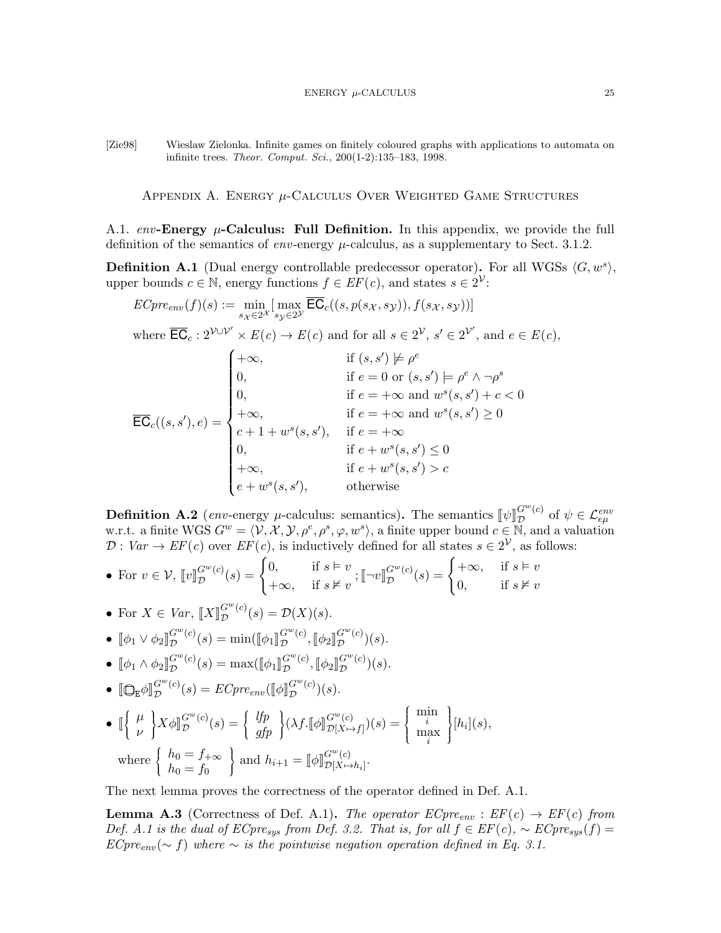<span id="page-24-1"></span>[Zie98] Wieslaw Zielonka. Infinite games on finitely coloured graphs with applications to automata on infinite trees. Theor. Comput. Sci., 200(1-2):135–183, 1998.

APPENDIX A. ENERGY  $\mu$ -Calculus Over Weighted Game Structures

<span id="page-24-0"></span>A.1. env-Energy  $\mu$ -Calculus: Full Definition. In this appendix, we provide the full definition of the semantics of env-energy  $\mu$ -calculus, as a supplementary to Sect. [3.1.2.](#page-11-0)

<span id="page-24-2"></span>**Definition A.1** (Dual energy controllable predecessor operator). For all WGSs  $\langle G, w^s \rangle$ , upper bounds  $c \in \mathbb{N}$ , energy functions  $f \in EF(c)$ , and states  $s \in 2^{\mathcal{V}}$ :

$$
ECpre_{env}(f)(s) := \min_{s_{\mathcal{X}} \in 2^{\mathcal{X}}} \left[ \max_{s_{\mathcal{Y}} \in 2^{\mathcal{Y}}} \overline{\mathsf{EC}}_{c}((s, p(s_{\mathcal{X}}, s_{\mathcal{Y}})), f(s_{\mathcal{X}}, s_{\mathcal{Y}})) \right]
$$

where  $\overline{\mathsf{EC}}_c: 2^{\mathcal{V} \cup \mathcal{V}'} \times E(c) \to E(c)$  and for all  $s \in 2^{\mathcal{V}}, s' \in 2^{\mathcal{V}'},$  and  $e \in E(c)$ ,

$$
\overline{\text{EC}}_{c}((s, s'), e) = \begin{cases}\n+\infty, & \text{if } (s, s') \not\models \rho^e \\
0, & \text{if } e = 0 \text{ or } (s, s') \models \rho^e \land \neg \rho^s \\
0, & \text{if } e = +\infty \text{ and } w^s(s, s') + c < 0 \\
+\infty, & \text{if } e = +\infty \text{ and } w^s(s, s') \ge 0 \\
c + 1 + w^s(s, s'), & \text{if } e = +\infty \\
0, & \text{if } e + w^s(s, s') \le 0 \\
+\infty, & \text{if } e + w^s(s, s') > c \\
e + w^s(s, s'), & \text{otherwise}\n\end{cases}
$$

**Definition A.2** (env-energy  $\mu$ -calculus: semantics). The semantics  $[\![\psi]\!]_D^{G^w(c)}$  $\mathcal{L}^{G^{w}(c)}_{\mathcal{D}}$  of  $\psi \in \mathcal{L}^{env}_{e\mu}$ w.r.t. a finite WGS  $G^w = \langle V, \mathcal{X}, \mathcal{Y}, \rho^e, \rho^s, \varphi, w^s \rangle$ , a finite upper bound  $c \in \mathbb{N}$ , and a valuation  $\mathcal{D}: Var \to EF(c)$  over  $EF(c)$ , is inductively defined for all states  $s \in 2^{\mathcal{V}}$ , as follows:

• For 
$$
v \in \mathcal{V}
$$
,  $[\![v]\!]_{\mathcal{D}}^{G^{w}(c)}(s) = \begin{cases} 0, & \text{if } s \models v \\ +\infty, & \text{if } s \not\vDash v \end{cases}$ ;  $[\![\neg v]\!]_{\mathcal{D}}^{G^{w}(c)}(s) = \begin{cases} +\infty, & \text{if } s \models v \\ 0, & \text{if } s \not\vDash v \end{cases}$ 

• For 
$$
X \in Var
$$
,  $[[X]]_D^{G^w(c)}(s) = \mathcal{D}(X)(s)$ .

• 
$$
\llbracket \phi_1 \vee \phi_2 \rrbracket_{\mathcal{D}}^{G^w(c)}(s) = \min(\llbracket \phi_1 \rrbracket_{\mathcal{D}}^{G^w(c)}, \llbracket \phi_2 \rrbracket_{\mathcal{D}}^{G^w(c)}(s).
$$

$$
\bullet \ [\![\phi_1 \wedge \phi_2]\!]_{\mathcal{D}}^{G^w(c)}(s) = \max([\![\phi_1]\!]_{\mathcal{D}}^{G^w(c)}, [\![\phi_2]\!]_{\mathcal{D}}^{G^w(c)}(s).
$$

•  $\left[\mathbb{Q}_{\mathsf{E}}\phi\right]_{\mathcal{D}}^{G^{w}(c)}$  $G^{w}(c)(s) = ECpre_{env}(\llbracket \phi \rrbracket^{G^{w}})$  $\mathcal{D}^{(c)}(s).$ 

$$
\begin{aligned}\n\bullet \quad & \mathbb{I}\left\{\begin{array}{c} \mu \\ \nu \end{array}\right\} X \phi \mathbb{I}_{\mathcal{D}}^{G^{w}(c)}(s) = \left\{\begin{array}{c} lfp \\ gfp \end{array}\right\} (\lambda f. \mathbb{I} \phi \mathbb{I}_{\mathcal{D}[X \mapsto f]}^{G^{w}(c)})(s) = \left\{\begin{array}{c} \min_{i} \\ \max_{i} \end{array}\right\} [h_{i}](s), \\
\text{where } \left\{\begin{array}{c} h_{0} = f_{+\infty} \\ h_{0} = f_{0} \end{array}\right\} \text{ and } h_{i+1} = \mathbb{I} \phi \mathbb{I}_{\mathcal{D}[X \mapsto h_{i}]}^{G^{w}(c)}.\n\end{aligned}
$$

The next lemma proves the correctness of the operator defined in Def. [A.1.](#page-24-2)

**Lemma A.3** (Correctness of Def. [A.1\)](#page-24-2). The operator  $ECpre_{env}$ :  $EF(c) \rightarrow EF(c)$  from Def. [A.1](#page-24-2) is the dual of  $E Cpre_{sus}$  from Def. [3.2.](#page-9-0) That is, for all  $f \in EF(c)$ ,  $\sim E Cpre_{sus}(f)$  =  $ECpre_{env} (\sim f)$  where  $\sim$  is the pointwise negation operation defined in Eq. [3.1.](#page-11-3)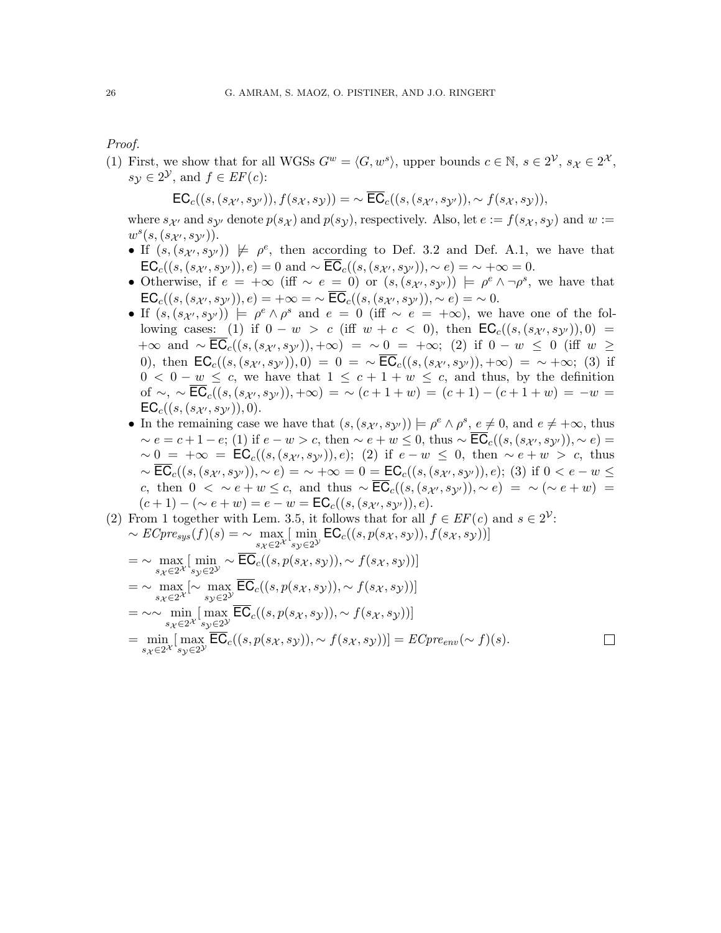Proof.

<span id="page-25-0"></span>(1) First, we show that for all WGSs  $G^w = \langle G, w^s \rangle$ , upper bounds  $c \in \mathbb{N}, s \in 2^{\mathcal{V}}, s_{\mathcal{X}} \in 2^{\mathcal{X}},$  $s_{\mathcal{Y}} \in 2^{\mathcal{Y}}$ , and  $f \in EF(c)$ :

$$
\mathsf{EC}_c((s,(s_{\mathcal{X}'},s_{\mathcal{Y}'})),f(s_{\mathcal{X}},s_{\mathcal{Y}}))=\sim \overline{\mathsf{EC}}_c((s,(s_{\mathcal{X}'},s_{\mathcal{Y}'})),\sim f(s_{\mathcal{X}},s_{\mathcal{Y}})),
$$

where  $s_{\mathcal{X}'}$  and  $s_{\mathcal{Y}'}$  denote  $p(s_{\mathcal{X}})$  and  $p(s_{\mathcal{Y}})$ , respectively. Also, let  $e := f(s_{\mathcal{X}}, s_{\mathcal{Y}})$  and  $w :=$  $w^s(s,(s_{\mathcal{X}'},s_{\mathcal{Y}'}))$  .

- If  $(s, (s_{\mathcal{X}}, s_{\mathcal{Y}})) \not\models \rho^e$ , then according to Def. [3.2](#page-9-0) and Def. [A.1,](#page-24-2) we have that  $\mathsf{EC}_c((s,(s_{\mathcal{X}'},s_{\mathcal{Y}'})),e) = 0$  and  $\sim \overline{\mathsf{EC}}_c((s,(s_{\mathcal{X}'},s_{\mathcal{Y}'})),\sim e) = \sim +\infty = 0.$
- Otherwise, if  $e = +\infty$  (iff  $\sim e = 0$ ) or  $(s, (s_{\mathcal{X}}, s_{\mathcal{Y}})) \models \rho^e \land \neg \rho^s$ , we have that  $\mathsf{EC}_c((s,(s_{\mathcal{X}'},s_{\mathcal{Y}'})),e) = +\infty = \sim \overline{\mathsf{EC}}_c((s,(s_{\mathcal{X}'},s_{\mathcal{Y}'})),\sim e) = \sim 0.$
- If  $(s,(s_{\mathcal{X}'},s_{\mathcal{Y}'})) \models \rho^e \wedge \rho^s$  and  $e = 0$  (iff  $\sim e = +\infty$ ), we have one of the following cases: (1) if  $0 - w > c$  (iff  $w + c < 0$ ), then  $EC_c((s, (s_{\mathcal{X}}, s_{\mathcal{Y}'})), 0) =$  $+\infty$  and  $\sim \mathsf{EC}_c((s,(s_{\mathcal{X}'},s_{\mathcal{Y}'})),+\infty) = \sim 0 = +\infty;$  (2) if  $0-w \leq 0$  (iff  $w \geq 0$ 0), then  $EC_c((s,(s_{\mathcal{X}'},s_{\mathcal{Y}'})),0) = 0 = \sim \overline{EC}_c((s,(s_{\mathcal{X}'},s_{\mathcal{Y}'})),+\infty) = \sim +\infty;$  (3) if  $0 < 0 - w \leq c$ , we have that  $1 \leq c + 1 + w \leq c$ , and thus, by the definition of ~, ~  $\mathsf{EC}_c((s,(s_{\mathcal{X}'},s_{\mathcal{Y}'})),+\infty) = \sim (c+1+w) = (c+1)-(c+1+w) = -w =$  $EC_c((s,(s_{\mathcal{X}'},s_{\mathcal{Y}'})),0).$
- In the remaining case we have that  $(s, (s_{\mathcal{X}}, s_{\mathcal{Y}})) \models \rho^e \land \rho^s, e \neq 0$ , and  $e \neq +\infty$ , thus  $\sim e = c + 1 - e$ ; (1) if  $e - w > c$ , then  $\sim e + w \leq 0$ , thus  $\sim \mathsf{EC}_c((s, (s_{\mathcal{X}'}, s_{\mathcal{Y}'})), \sim e) =$  $\sim 0 = +\infty = \mathsf{EC}_c((s, (s_{\mathcal{X}}, s_{\mathcal{Y}})), e);$  (2) if  $e - w \leq 0$ , then  $\sim e + w > c$ , thus  $\sim \overline{\textsf{EC}}_c((s,(s_{\mathcal{X}}, s_{\mathcal{Y}})),\sim e) = \sim +\infty = 0 = \textsf{EC}_c((s,(s_{\mathcal{X}}, s_{\mathcal{Y}})),e);$  (3) if  $0 < e - w \leq$ c, then  $0 < \sim e + w \leq c$ , and thus  $\sim \overline{\text{EC}}_c((s, (s_{\mathcal{X}}, s_{\mathcal{Y}})), \sim e) = \sim (\sim e + w)$  $(c+1) - (\sim e + w) = e - w = \mathsf{EC}_c((s, (s_{\mathcal{X}}, s_{\mathcal{Y}})), e).$
- (2) From [1](#page-25-0) together with Lem. [3.5,](#page-11-2) it follows that for all  $f \in EF(c)$  and  $s \in 2^{\mathcal{V}}$ :  $\sim ECpre_{sys}(f)(s) = \sim \max_{s_X \in 2^X}$ [ min  $\min_{s_{\mathcal{Y}} \in 2^{\mathcal{Y}}} \mathsf{EC}_c((s, p(s_{\mathcal{X}}, s_{\mathcal{Y}})), f(s_{\mathcal{X}}, s_{\mathcal{Y}}))]$

$$
= \sim \max_{s_{\mathcal{X}} \in 2^{\mathcal{X}}} [\min_{s_{\mathcal{Y}} \in 2^{\mathcal{Y}}} \sim \overline{\text{EC}}_{c}((s, p(s_{\mathcal{X}}, s_{\mathcal{Y}})), \sim f(s_{\mathcal{X}}, s_{\mathcal{Y}}))]
$$
  
\n
$$
= \sim \max_{s_{\mathcal{X}} \in 2^{\mathcal{X}}} [\sim \max_{s_{\mathcal{Y}} \in 2^{\mathcal{Y}}} \overline{\text{EC}}_{c}((s, p(s_{\mathcal{X}}, s_{\mathcal{Y}})), \sim f(s_{\mathcal{X}}, s_{\mathcal{Y}}))]
$$
  
\n
$$
= \sim \sim \min_{s_{\mathcal{X}} \in 2^{\mathcal{X}}} [\max_{s_{\mathcal{Y}} \in 2^{\mathcal{Y}}} \overline{\text{EC}}_{c}((s, p(s_{\mathcal{X}}, s_{\mathcal{Y}})), \sim f(s_{\mathcal{X}}, s_{\mathcal{Y}}))]
$$
  
\n
$$
= \min_{s_{\mathcal{X}} \in 2^{\mathcal{X}}} [\max_{s_{\mathcal{Y}} \in 2^{\mathcal{Y}}} \overline{\text{EC}}_{c}((s, p(s_{\mathcal{X}}, s_{\mathcal{Y}})), \sim f(s_{\mathcal{X}}, s_{\mathcal{Y}}))] = \text{ECpre}_{env}(\sim f)(s).
$$

 $\Box$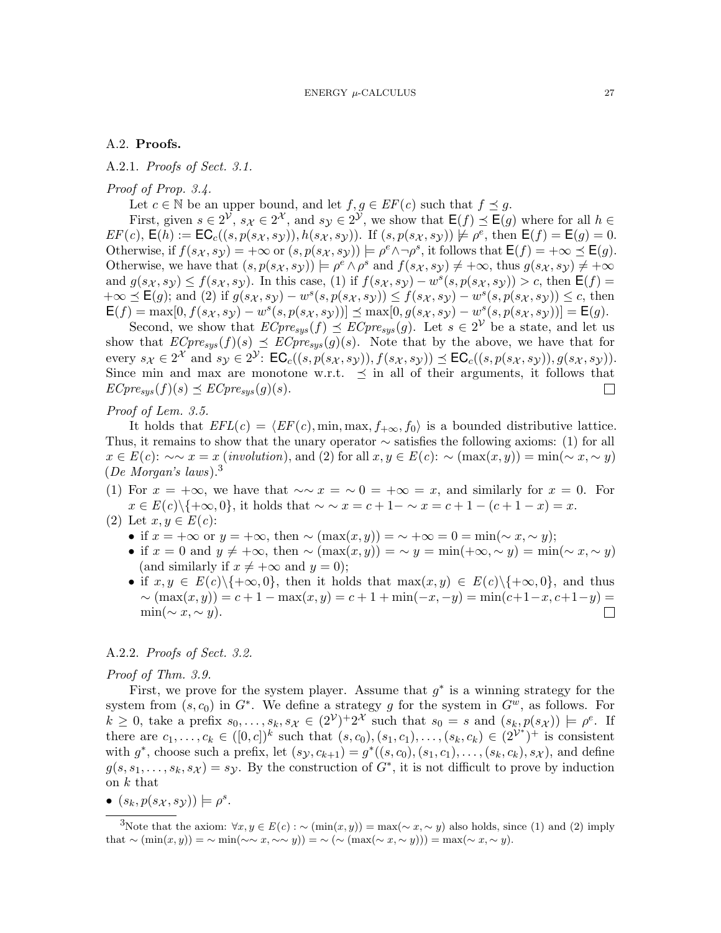## <span id="page-26-0"></span>A.2. Proofs.

A.2.1. Proofs of Sect. [3.1.](#page-8-3)

#### Proof of Prop. [3.4.](#page-11-1)

Let  $c \in \mathbb{N}$  be an upper bound, and let  $f, g \in EF(c)$  such that  $f \preceq g$ .

First, given  $s \in 2^{\mathcal{V}}, s_{\mathcal{X}} \in 2^{\mathcal{X}},$  and  $s_{\mathcal{Y}} \in 2^{\mathcal{Y}},$  we show that  $\mathsf{E}(f) \preceq \mathsf{E}(g)$  where for all  $h \in$  $EF(c)$ ,  $\mathsf{E}(h) := \mathsf{EC}_c((s, p(s_{\mathcal{X}}, s_{\mathcal{Y}})), h(s_{\mathcal{X}}, s_{\mathcal{Y}}))$ . If  $(s, p(s_{\mathcal{X}}, s_{\mathcal{Y}})) \not\models \rho^e$ , then  $\mathsf{E}(f) = \mathsf{E}(g) = 0$ . Otherwise, if  $f(s_X, s_Y) = +\infty$  or  $(s, p(s_X, s_Y)) \models \rho^e \land \neg \rho^s$ , it follows that  $\mathsf{E}(f) = +\infty \preceq \mathsf{E}(g)$ . Otherwise, we have that  $(s, p(s_X, sy)) \models \rho^e \land \rho^s$  and  $f(s_X, sy) \neq +\infty$ , thus  $g(s_X, sy) \neq +\infty$ and  $g(s_X, s_Y) \le f(s_X, s_Y)$ . In this case, (1) if  $f(s_X, s_Y) - w^s(s, p(s_X, s_Y)) > c$ , then  $\mathsf{E}(f) =$  $+\infty \preceq \mathsf{E}(g)$ ; and (2) if  $g(s_{\mathcal{X}}, s_{\mathcal{Y}}) - w^s(s, p(s_{\mathcal{X}}, s_{\mathcal{Y}})) \leq f(s_{\mathcal{X}}, s_{\mathcal{Y}}) - w^s(s, p(s_{\mathcal{X}}, s_{\mathcal{Y}})) \leq c$ , then  $\mathsf{E}(f) = \max[0, f(s_{\mathcal{X}}, s_{\mathcal{Y}}) - w^s(s, p(s_{\mathcal{X}}, s_{\mathcal{Y}}))] \preceq \max[0, g(s_{\mathcal{X}}, s_{\mathcal{Y}}) - w^s(s, p(s_{\mathcal{X}}, s_{\mathcal{Y}}))] = \mathsf{E}(g).$ 

Second, we show that  $ECpre_{sys}(f) \preceq ECpre_{sys}(g)$ . Let  $s \in 2^{\mathcal{V}}$  be a state, and let us show that  $ECpre_{sys}(f)(s) \preceq \overline{ECpre_{sys}(g)}(s)$ . Note that by the above, we have that for every  $s_{\mathcal{X}} \in 2^{\mathcal{X}}$  and  $s_{\mathcal{Y}} \in 2^{\mathcal{Y}}$ :  $\mathsf{EC}_c((s, p(s_{\mathcal{X}}, s_{\mathcal{Y}})), f(s_{\mathcal{X}}, s_{\mathcal{Y}})) \preceq \mathsf{EC}_c((s, p(s_{\mathcal{X}}, s_{\mathcal{Y}})), g(s_{\mathcal{X}}, s_{\mathcal{Y}})).$ Since min and max are monotone w.r.t.  $\preceq$  in all of their arguments, it follows that  $ECpre_{sys}(f)(s) \preceq ECpre_{sys}(g)(s).$  $\Box$ 

# Proof of Lem. [3.5.](#page-11-2)

It holds that  $EFL(c) = \langle EF(c), \min, \max, f_{+\infty}, f_0 \rangle$  is a bounded distributive lattice. Thus, it remains to show that the unary operator  $\sim$  satisfies the following axioms: (1) for all  $x \in E(c): \sim \sim x = x$  (involution), and (2) for all  $x, y \in E(c): \sim (\max(x, y)) = \min(\sim x, \sim y)$  $(De Morgan's laws).<sup>3</sup>$  $(De Morgan's laws).<sup>3</sup>$  $(De Morgan's laws).<sup>3</sup>$ 

- (1) For  $x = +\infty$ , we have that  $\sim \infty$   $x = \infty$  o =  $+\infty$  = x, and similarly for  $x = 0$ . For  $x \in E(c) \setminus \{+\infty, 0\}$ , it holds that  $\sim \sim x = c + 1 - \sim x = c + 1 - (c + 1 - x) = x$ .
- (2) Let  $x, y \in E(c)$ :
	- if  $x = +\infty$  or  $y = +\infty$ , then  $\sim$   $(\max(x, y)) = \sim +\infty = 0 = \min(\sim x, \sim y);$
	- if  $x = 0$  and  $y \neq +\infty$ , then  $\sim (\max(x, y)) = \sim y = \min(+\infty, \sim y) = \min(\sim x, \sim y)$ (and similarly if  $x \neq +\infty$  and  $y = 0$ );
	- if  $x, y \in E(c) \setminus {\{\infty, 0\}}$ , then it holds that  $\max(x, y) \in E(c) \setminus {\{\infty, 0\}}$ , and thus  $\sim$   $(\max(x, y)) = c + 1 - \max(x, y) = c + 1 + \min(-x, -y) = \min(c + 1 - x, c + 1 - y) =$  $\min(\sim x, \sim y)$ .  $\Box$

#### A.2.2. Proofs of Sect. [3.2.](#page-12-1)

#### Proof of Thm. [3.9.](#page-13-4)

First, we prove for the system player. Assume that  $g^*$  is a winning strategy for the system from  $(s, c_0)$  in  $G^*$ . We define a strategy g for the system in  $G^w$ , as follows. For  $k \geq 0$ , take a prefix  $s_0, \ldots, s_k, s_{\mathcal{X}} \in (2^{\mathcal{V}})^{+}2^{\mathcal{X}}$  such that  $s_0 = s$  and  $(s_k, p(s_{\mathcal{X}})) \models \rho^e$ . If there are  $c_1,\ldots,c_k \in ([0,c])^k$  such that  $(s,c_0),(s_1,c_1),\ldots,(s_k,c_k) \in (2^{\mathcal{V}^*})^+$  is consistent with  $g^*$ , choose such a prefix, let  $(s_y, c_{k+1}) = g^*((s, c_0), (s_1, c_1), \ldots, (s_k, c_k), s_{\mathcal{X}})$ , and define  $g(s, s_1, \ldots, s_k, s_{\mathcal{X}}) = s_{\mathcal{Y}}$ . By the construction of  $G^*$ , it is not difficult to prove by induction on  $k$  that

•  $(s_k, p(s_{\mathcal{X}}, s_{\mathcal{Y}})) \models \rho^s$ .

<span id="page-26-1"></span><sup>3</sup>Note that the axiom:  $\forall x, y \in E(c) : \sim (\min(x, y)) = \max(\sim x, \sim y)$  also holds, since (1) and (2) imply that  $\sim$   $(\min(x, y)) = \sim \min(\sim \infty, x, \sim \sim y) = \sim (\sim (\max(\sim x, \sim y))) = \max(\sim x, \sim y).$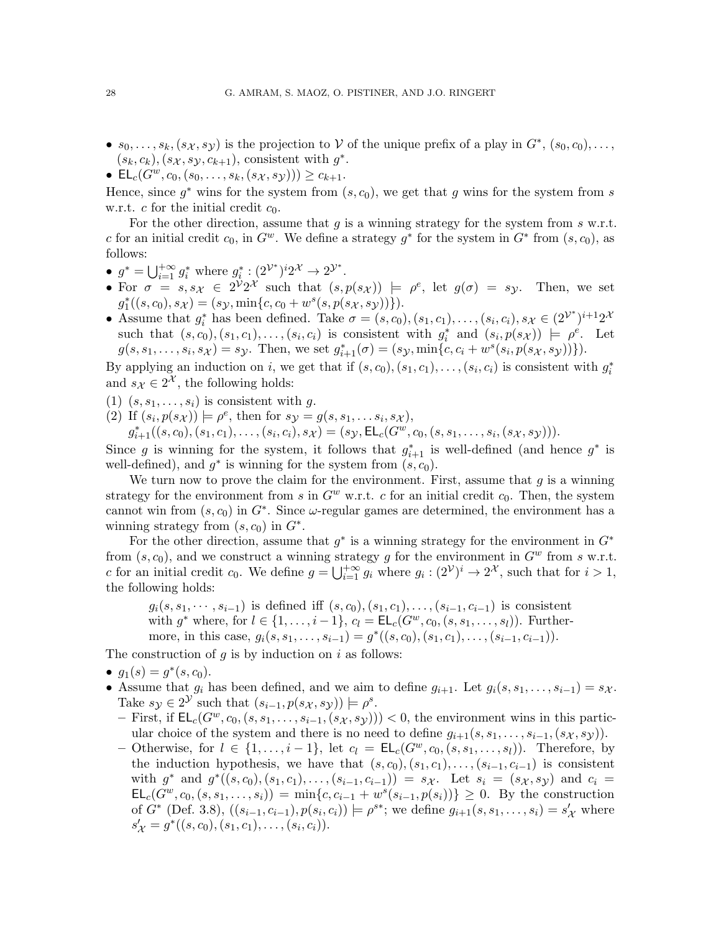- $s_0, \ldots, s_k, (s_{\mathcal{X}}, s_{\mathcal{Y}})$  is the projection to V of the unique prefix of a play in  $G^*, (s_0, c_0), \ldots$  $(s_k, c_k), (s_{\mathcal{X}}, s_{\mathcal{Y}}, c_{k+1}),$  consistent with  $g^*$ .
- $\mathsf{EL}_c(G^w, c_0, (s_0, \ldots, s_k, (s_{\mathcal{X}}, s_{\mathcal{Y}}))) \geq c_{k+1}.$

Hence, since  $g^*$  wins for the system from  $(s, c_0)$ , we get that g wins for the system from s w.r.t. c for the initial credit  $c_0$ .

For the other direction, assume that q is a winning strategy for the system from  $s$  w.r.t. c for an initial credit  $c_0$ , in  $G^w$ . We define a strategy  $g^*$  for the system in  $G^*$  from  $(s, c_0)$ , as follows:

- $g^* = \bigcup_{i=1}^{+\infty} g_i^*$  where  $g_i^* : (2^{\mathcal{V}^*})^i 2^{\mathcal{X}} \to 2^{\mathcal{Y}^*}.$
- For  $\sigma = s, s_{\mathcal{X}} \in 2^{\mathcal{V}} 2^{\mathcal{X}}$  such that  $(s, p(s_{\mathcal{X}})) \models \rho^e$ , let  $g(\sigma) = s_{\mathcal{Y}}$ . Then, we set  $g_1^*((s, c_0), s_{\mathcal{X}}) = (s_{\mathcal{Y}}, \min\{c, c_0 + w^s(s, p(s_{\mathcal{X}}, s_{\mathcal{Y}}))\}).$
- Assume that  $g_i^*$  has been defined. Take  $\sigma = (s, c_0), (s_1, c_1), \ldots, (s_i, c_i), s_{\mathcal{X}} \in (2^{\mathcal{V}^*})^{i+1}2^{\mathcal{X}}$ such that  $(s, c_0), (s_1, c_1), \ldots, (s_i, c_i)$  is consistent with  $g_i^*$  and  $(s_i, p(s_{\mathcal{X}})) \models \rho^e$ . Let  $g(s, s_1, \ldots, s_i, s_{\mathcal{X}}) = s_{\mathcal{Y}}$ . Then, we set  $g_{i+1}^*(\sigma) = (s_{\mathcal{Y}}, \min\{c, c_i + w^s(s_i, p(s_{\mathcal{X}}, s_{\mathcal{Y}}))\})$ .

By applying an induction on i, we get that if  $(s, c_0), (s_1, c_1), \ldots, (s_i, c_i)$  is consistent with  $g_i^*$ and  $s_{\mathcal{X}} \in 2^{\mathcal{X}}$ , the following holds:

- (1)  $(s, s_1, \ldots, s_i)$  is consistent with g.
- (2) If  $(s_i, p(s_{\mathcal{X}})) \models \rho^e$ , then for  $s_{\mathcal{Y}} = g(s, s_1, \dots s_i, s_{\mathcal{X}})$ ,

 $g_{i+1}^*((s, c_0), (s_1, c_1), \ldots, (s_i, c_i), s_{\mathcal{X}}) = (s_{\mathcal{Y}}, \mathsf{EL}_c(G^w, c_0, (s, s_1, \ldots, s_i, (s_{\mathcal{X}}, s_{\mathcal{Y}}))).$ 

Since g is winning for the system, it follows that  $g_{i+1}^*$  is well-defined (and hence  $g^*$  is well-defined), and  $g^*$  is winning for the system from  $(s, c_0)$ .

We turn now to prove the claim for the environment. First, assume that  $g$  is a winning strategy for the environment from s in  $G^w$  w.r.t. c for an initial credit  $c_0$ . Then, the system cannot win from  $(s, c_0)$  in  $G^*$ . Since  $\omega$ -regular games are determined, the environment has a winning strategy from  $(s, c_0)$  in  $G^*$ .

For the other direction, assume that  $g^*$  is a winning strategy for the environment in  $G^*$ from  $(s, c_0)$ , and we construct a winning strategy g for the environment in  $G^w$  from s w.r.t. c for an initial credit c<sub>0</sub>. We define  $g = \bigcup_{i=1}^{+\infty} g_i$  where  $g_i : (2^{\mathcal{V}})^i \to 2^{\mathcal{X}}$ , such that for  $i > 1$ , the following holds:

 $g_i(s, s_1, \dots, s_{i-1})$  is defined iff  $(s, c_0), (s_1, c_1), \dots, (s_{i-1}, c_{i-1})$  is consistent with  $g^*$  where, for  $l \in \{1, ..., i-1\}$ ,  $c_l = \mathsf{EL}_c(G^w, c_0, (s, s_1, ..., s_l))$ . Furthermore, in this case,  $g_i(s, s_1, \ldots, s_{i-1}) = g^*((s, c_0), (s_1, c_1), \ldots, (s_{i-1}, c_{i-1})).$ 

The construction of  $q$  is by induction on  $i$  as follows:

- $g_1(s) = g^*(s, c_0)$ .
- Assume that  $g_i$  has been defined, and we aim to define  $g_{i+1}$ . Let  $g_i(s, s_1, \ldots, s_{i-1}) = s_{\mathcal{X}}$ . Take  $s_{\mathcal{Y}} \in 2^{\mathcal{Y}}$  such that  $(s_{i-1}, p(s_{\mathcal{X}}, s_{\mathcal{Y}})) \models \rho^s$ .
	- First, if  $\mathsf{EL}_c(G^w, c_0, (s, s_1, \ldots, s_{i-1}, (s_{\mathcal{X}}, s_{\mathcal{Y}})))$  < 0, the environment wins in this particular choice of the system and there is no need to define  $q_{i+1}(s, s_1, \ldots, s_{i-1}, (s_{\mathcal{X}}, s_{\mathcal{Y}}))$ .
	- Otherwise, for  $l \in \{1, \ldots, i-1\}$ , let  $c_l = \mathsf{EL}_c(G^w, c_0, (s, s_1, \ldots, s_l))$ . Therefore, by the induction hypothesis, we have that  $(s, c_0), (s_1, c_1), \ldots, (s_{i-1}, c_{i-1})$  is consistent with  $g^*$  and  $g^*((s, c_0), (s_1, c_1), \ldots, (s_{i-1}, c_{i-1})) = s_{\mathcal{X}}$ . Let  $s_i = (s_{\mathcal{X}}, s_{\mathcal{Y}})$  and  $c_i =$  $\mathsf{EL}_c(G^w, c_0, (s, s_1, \ldots, s_i)) = \min\{c, c_{i-1} + w^s(s_{i-1}, p(s_i))\} \geq 0$ . By the construction of  $G^*$  (Def. [3.8\)](#page-12-3),  $((s_{i-1}, c_{i-1}), p(s_i, c_i)) \models \rho^{s*}$ ; we define  $g_{i+1}(s, s_1, \ldots, s_i) = s'_{\mathcal{X}}$  where  $s'_{\mathcal{X}} = g^*((s, c_0), (s_1, c_1), \ldots, (s_i, c_i)).$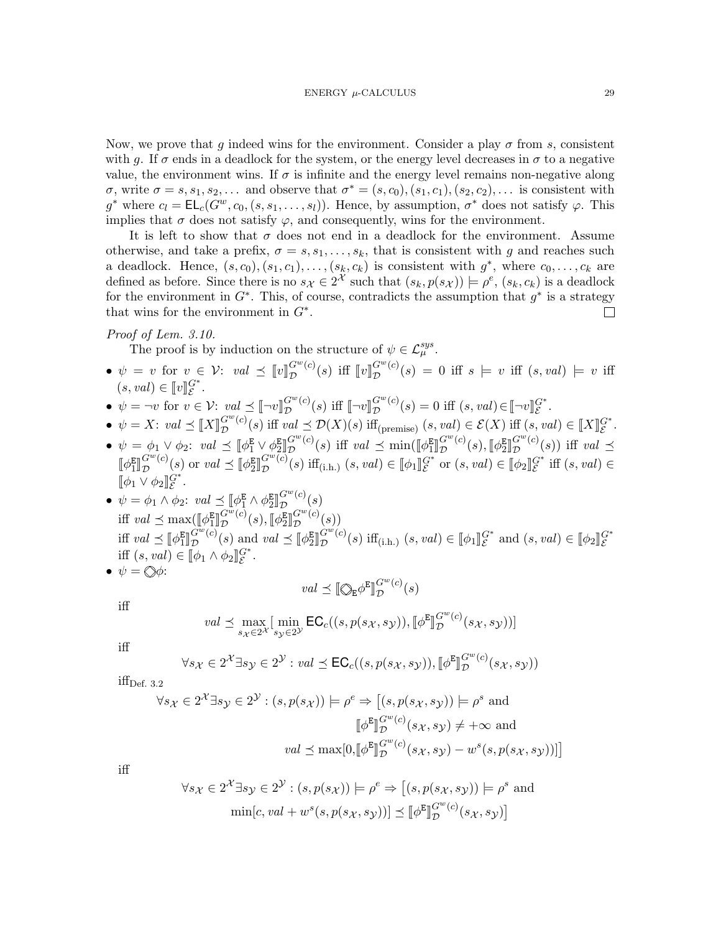Now, we prove that g indeed wins for the environment. Consider a play  $\sigma$  from s, consistent with g. If  $\sigma$  ends in a deadlock for the system, or the energy level decreases in  $\sigma$  to a negative value, the environment wins. If  $\sigma$  is infinite and the energy level remains non-negative along  $\sigma$ , write  $\sigma = s, s_1, s_2, \ldots$  and observe that  $\sigma^* = (s, c_0), (s_1, c_1), (s_2, c_2), \ldots$  is consistent with g<sup>\*</sup> where  $c_l = \mathsf{EL}_c(G^w, c_0, (s, s_1, \ldots, s_l))$ . Hence, by assumption,  $\sigma^*$  does not satisfy  $\varphi$ . This implies that  $\sigma$  does not satisfy  $\varphi$ , and consequently, wins for the environment.

It is left to show that  $\sigma$  does not end in a deadlock for the environment. Assume otherwise, and take a prefix,  $\sigma = s, s_1, \ldots, s_k$ , that is consistent with g and reaches such a deadlock. Hence,  $(s, c_0), (s_1, c_1), \ldots, (s_k, c_k)$  is consistent with  $g^*$ , where  $c_0, \ldots, c_k$  are defined as before. Since there is no  $s_{\mathcal{X}} \in 2^{\mathcal{X}}$  such that  $(s_k, p(s_{\mathcal{X}})) \models \rho^e, (s_k, c_k)$  is a deadlock for the environment in  $G^*$ . This, of course, contradicts the assumption that  $g^*$  is a strategy that wins for the environment in  $G^*$ .  $\Box$ 

## Proof of Lem. [3.10.](#page-13-2)

The proof is by induction on the structure of  $\psi \in \mathcal{L}_{\mu}^{sys}$ .

- $\psi = v$  for  $v \in \mathcal{V}$ :  $val \preceq [v]_{\mathcal{D}}^{G^w(c)}$  $G^{w}(c)(s)$  iff  $[v]_{\mathcal{D}}^{G^{w}(c)}$  $\mathcal{D}^{G^{-}(c)}(s) = 0$  iff  $s \models v$  iff  $(s, val) \models v$  iff  $(s, val) \in [v]_{\mathcal{E}}^G$  $\mathcal{G}^*$ .
- $\psi = \neg v$  for  $v \in \mathcal{V}$ :  $val \preceq [\neg v]_{\mathcal{D}}^{G^w(c)}$  $\mathcal{L}^{G^w(c)}(s)$  iff  $[\neg v]_{\mathcal{D}}^{G^w(c)}$  $G^w(c)(s) = 0$  iff  $(s, val) \in [\neg v]_{\mathcal{E}}^{G^*}.$
- $\psi = X: val \preceq [X]_{\mathcal{D}}^{G^w(c)}$  $\mathcal{L}^{G^w(c)}(s)$  iff val  $\preceq \mathcal{D}(X)(s)$  iff<sub>(premise)</sub>  $(s, val) \in \mathcal{E}(X)$  iff  $(s, val) \in [X]_{\mathcal{E}}^{G^*}.$
- $\phi \phi = \phi_1 \vee \phi_2$ :  $val \preceq [\![ \phi_1^{\mathbf{E}} \vee \phi_2^{\mathbf{E}} ]\!]$  $\mathbb{E}[Y \times \mathbb{E}[X \times \mathbb{E}[X \times \mathbb{E}[X \times \mathbb{E}[X \times \mathbb{E}[X \times \mathbb{E}[X \times \mathbb{E}[X \times \mathbb{E}[X \times \mathbb{E}[X \times \mathbb{E}[X \times \mathbb{E}[X \times \mathbb{E}[X \times \mathbb{E}[X \times \mathbb{E}[X \times \mathbb{E}[X \times \mathbb{E}[X \times \mathbb{E}[X \times \mathbb{E}[X \times \mathbb{E}[X \times \mathbb{E}[X \times \mathbb{E}[X \times \mathbb{E}[X \times \mathbb{E}[X \times \mathbb{$  $G^w(c)$  $\mathcal{D}^{G^{\omega}(c)}(s)$  iff  $val \preceq \min(\llbracket \phi_1^{\mathbf{E}} \rrbracket)$  $G^w(c)$  $\mathcal{D}^{G^w(c)}(s), \llbracket \phi_2^{\mathsf{E}} \rbrace$  $G^w(c)$  $\mathcal{D}^{G^{(c)}(s)}$  iff val  $\preceq$  $\llbracket \phi_1^{\text{E}} \rrbracket$  $G^w(c)$  $\mathcal{D}^{G^{\omega}(c)}(s)$  or  $val \preceq [\![\phi_2^{\mathbf{E}}]\!]$  $G^w(c)$  $G^w(c)(s)$  iff<sub>(i.h.)</sub>  $(s, val) \in [\![\phi_1]\!]_{\mathcal{E}}^{G^*}$  or  $(s, val) \in [\![\phi_2]\!]_{\mathcal{E}}^{G^*}$  iff  $(s, val) \in$  $[\![\phi_1\vee\phi_2]\!]^{G^*}_{{\mathcal E}}.$ E
- $\psi = \phi_1 \wedge \phi_2$ :  $val \preceq [\![\phi_1^E \wedge \phi_2^E]\!]$  $G^w(c)$  $\mathcal{D}^{G^{(c)}(s)}(s)$ iff  $val \preceq \max(\llbracket \phi_1^{\mathbf{E}} \rrbracket)$  $\mathbb{P}$  $\bar{G^w}(c)$  $\mathcal{D}^{G^w(c)}(s),\llbracket \phi_2^{\mathsf{E}}\rrbracket$  $G^w(c)$  $\mathcal{D}^{G^{(c)}(s)}(s)$ iff  $val \preceq [\![\phi^E_1]\!]$ iff  $(s, val) \in [\![\phi_1 \wedge \phi_2]\!]_{\mathcal{E}}^{\mathcal{E}^*}.$ <br>  $\psi = \{\psi \}$  $\bar{G^{w}}(c)$  $\mathcal{D}^{G^w(c)}(s) \text{ and } val \preceq [\![\phi_2^{\mathbf{E}}]\!]$  $G^w(c)$  $\mathcal{L}^{G^w(c)}(s)$  iff<sub>(i.h.)</sub>  $(s, val) \in [\![\phi_1]\!]_{\mathcal{E}}^{G^*}$  and  $(s, val) \in [\![\phi_2]\!]_{\mathcal{E}}^{G^*}$

$$
\bullet \ \psi = \bigotimes \! \phi \colon
$$

$$
val \preceq [\![ \bigotimes_{\mathsf{E}} \phi^{\mathsf{E}} ]\!]_{\mathcal{D}}^{G^w(c)}(s)
$$

iff

$$
val \preceq \max_{s_{\mathcal{X}} \in 2^{\mathcal{X}}} [\min_{s_{\mathcal{Y}} \in 2^{\mathcal{Y}}} \mathsf{EC}_c((s, p(s_{\mathcal{X}}, s_{\mathcal{Y}})), [\![\phi^{\mathbf{E}}]\!]_{\mathcal{D}}^{G^w(c)}(s_{\mathcal{X}}, s_{\mathcal{Y}}))]
$$

iff

$$
\forall s_{\mathcal{X}} \in 2^{\mathcal{X}} \exists s_{\mathcal{Y}} \in 2^{\mathcal{Y}} : val \preceq \mathsf{EC}_c((s, p(s_{\mathcal{X}}, s_{\mathcal{Y}})), [\![\phi^{\mathsf{E}}]\!]_{\mathcal{D}}^{G^{w}(c)}(s_{\mathcal{X}}, s_{\mathcal{Y}}))
$$

 $iff<sub>Def. 3.2</sub>$  $iff<sub>Def. 3.2</sub>$  $iff<sub>Def. 3.2</sub>$ 

$$
\forall s_{\mathcal{X}} \in 2^{\mathcal{X}} \exists s_{\mathcal{Y}} \in 2^{\mathcal{Y}} : (s, p(s_{\mathcal{X}})) \models \rho^e \Rightarrow [(s, p(s_{\mathcal{X}}, s_{\mathcal{Y}})) \models \rho^s \text{ and } \mathbb{I}_{\mathcal{D}}^{\mathcal{E}} \mathbb{I}_{\mathcal{D}}^{G^{w}(c)}(s_{\mathcal{X}}, s_{\mathcal{Y}}) \neq +\infty \text{ and }
$$

$$
val \preceq \max[0, [\![\phi^{\mathbb{E}}]\!]_{\mathcal{D}}^{G^{w}(c)}(s_{\mathcal{X}}, s_{\mathcal{Y}}) - w^{s}(s, p(s_{\mathcal{X}}, s_{\mathcal{Y}}))]]
$$

iff

$$
\forall s_{\mathcal{X}} \in 2^{\mathcal{X}} \exists s_{\mathcal{Y}} \in 2^{\mathcal{Y}} : (s, p(s_{\mathcal{X}})) \models \rho^e \Rightarrow [(s, p(s_{\mathcal{X}}, s_{\mathcal{Y}})) \models \rho^s \text{ and } \\ \min[c, val + w^s(s, p(s_{\mathcal{X}}, s_{\mathcal{Y}}))] \preceq [\![\phi^{\mathbf{E}}]\!]_{\mathcal{D}}^{G^w(c)}(s_{\mathcal{X}}, s_{\mathcal{Y}})]
$$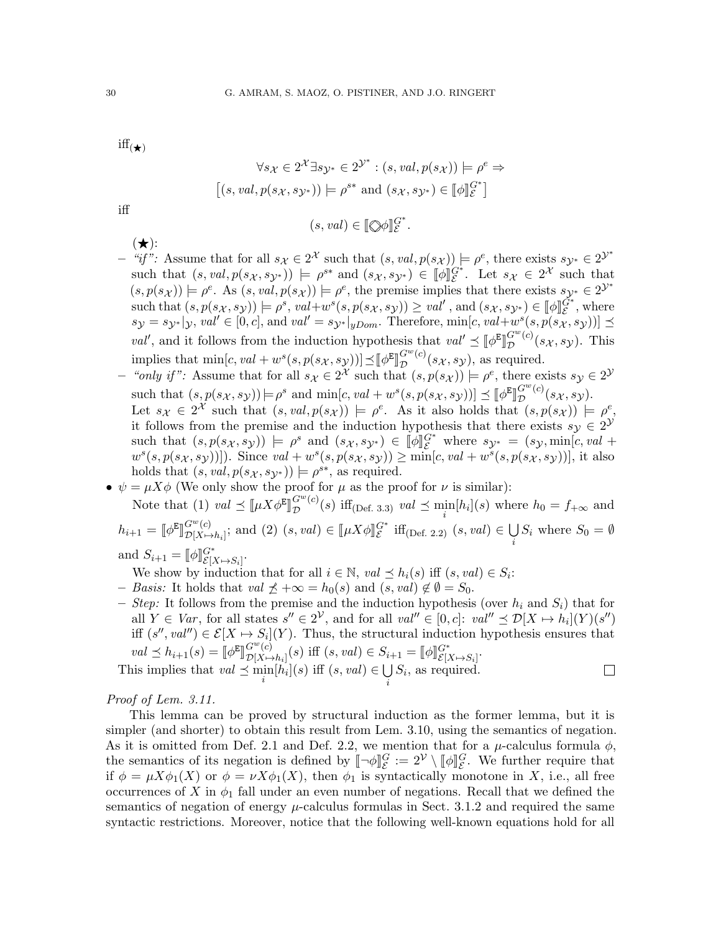$\mathrm{iff}(\star)$ 

$$
\forall s_{\mathcal{X}} \in 2^{\mathcal{X}} \exists s_{\mathcal{Y}^*} \in 2^{\mathcal{Y}^*} : (s, val, p(s_{\mathcal{X}})) \models \rho^e \Rightarrow
$$
  

$$
[(s, val, p(s_{\mathcal{X}}, s_{\mathcal{Y}^*})) \models \rho^{s*} \text{ and } (s_{\mathcal{X}}, s_{\mathcal{Y}^*}) \in [\![\phi]\!]_{\mathcal{E}}^{G^*}]
$$
  

$$
(s, val) \in [\![\Diamond\phi]\!]_{\mathcal{E}}^{G^*}.
$$

iff

 $(\bigstar)$ :

- $-$  "if": Assume that for all  $s_{\mathcal{X}} \in 2^{\mathcal{X}}$  such that  $(s, val, p(s_{\mathcal{X}})) \models \rho^e$ , there exists  $s_{\mathcal{Y}^*} \in 2^{\mathcal{Y}^*}$ such that  $(s, val, p(s_X, sy^*)) \models \rho^{s*}$  and  $(s_X, sy^*) \in [\![\phi]\!]_E^{G^*}$ . Let  $s_X \in 2^{\mathcal{X}}$  such that  $(s, p(s_{\mathcal{X}})) \models \rho^e$ . As  $(s, val, p(s_{\mathcal{X}})) \models \rho^e$ , the premise implies that there exists  $s_{\mathcal{Y}^*} \in 2^{\mathcal{Y}^*}$ such that  $(s, p(s_X, sy)) \models \rho^s$ ,  $val+w^s(s, p(s_X, sy)) \geq val'$ , and  $(s_X, sy^*) \in [\![\phi]\!]_E^{\tilde{G}^*}$ , where  $s_{\mathcal{Y}} = s_{\mathcal{Y}^*}|_{\mathcal{Y}}, \text{val}' \in [0, c],$  and  $\text{val}' = s_{\mathcal{Y}^*}|_{yDom}$ . Therefore,  $\min[c, \text{val} + w^s(s, p(s_X, s_Y))] \preceq$ val', and it follows from the induction hypothesis that  $val' \preceq [\![\phi^E]\!]_D^{G^w(c)}$ ll<br>L  $\mathcal{D}^{G^{(c)}(s_{\mathcal{X}}, s_{\mathcal{Y}})}$ . This implies that  $\min[c, val + w^s(s, p(s_X, s_Y))] \preceq [\![\phi^E]\!]$ <br>"sonly if". Assume that for all  $s \in \mathbb{R}^K$  such the الا<br>م  $G^w(c)$  $\mathcal{D}^{G^{(n)}(c)}(s_{\mathcal{X}},s_{\mathcal{Y}}),$  as required.
- "only if": Assume that for all  $s_{\mathcal{X}} \in 2^{\mathcal{X}}$  such that  $(s, p(s_{\mathcal{X}})) \models \rho^e$ , there exists  $s_{\mathcal{Y}} \in 2^{\mathcal{Y}}$ such that  $(s, p(s_X, s_Y)) \models \rho^s$  and  $\min[c, val + w^s(s, p(s_X, s_Y))] \preceq [\![\phi^E]\!]_D^{G^w(c)}$  $\mathcal{D}^{G^{-}(c)}(s_{\mathcal{X}},s_{\mathcal{Y}}).$
- Let  $s_{\mathcal{X}} \in 2^{\mathcal{X}}$  such that  $(s, val, p(s_{\mathcal{X}})) \models \rho^e$ . As it also holds that  $(s, p(s_{\mathcal{X}})) \models \rho^e$ , it follows from the premise and the induction hypothesis that there exists  $s_y \in 2^y$ such that  $(s, p(s_X, sy)) \models \rho^s$  and  $(s_X, sy^*) \in [\![\phi]\!]_E^{G^*}$  where  $sy^* = (sy, \min[c, val + \frac{as(a, p(s_X, sy))}{s})$ . Since  $sval + \frac{as(b, p(s_X, sy))}{s}$  $w^{s}(s, p(s_{\mathcal{X}}, s_{\mathcal{Y}}))]$ . Since  $val + w^{s}(s, p(s_{\mathcal{X}}, s_{\mathcal{Y}})) \geq \min[c, val + w^{s}(s, p(s_{\mathcal{X}}, s_{\mathcal{Y}}))]$ , it also holds that  $(s, val, p(s_{\mathcal{X}}, s_{\mathcal{Y}^*})) \models \rho^{s*}$ , as required.
- $\psi = \mu X \phi$  (We only show the proof for  $\mu$  as the proof for  $\nu$  is similar):

Note that (1)  $val \preceq [\![\mu X \phi^{\mathbf{E}}]\!]_{\mathcal{D}}^{G^w(c)}$  $\mathbb{P}$  (b)  $\mathbf{m}$ (Der. 3.3)  $\mathbf{m}$  =  $\mathbf{m}$  $\mathcal{D}^{G^-(c)}(s)$  iff<sub>(Def. [3.3\)](#page-10-0)</sub> val  $\preceq \min_i[h_i](s)$  where  $h_0 = f_{+\infty}$  and  $h_{i+1} = \llbracket \phi^{\text{E}}$ ll<br>L  $G^w(c)$  $G^w(c)$ <br>  $\mathcal{D}[X \mapsto h_i]$ ; and (2)  $(s, val) \in [\![\mu X \phi]\!]_c^{G^*}$  iff<sub>(Def. [2.2\)](#page-8-0)</sub>  $(s, val) \in \bigcup_i$ i  $S_i$  where  $S_0 = \emptyset$ 

and  $S_{i+1} = [\![\phi]\!]_{\mathcal{E}[X]}^{G^*}$  $\begin{array}{l} G^* \ {\mathcal E} [X \mathop{\mapsto} S_i] \end{array}$ 

We show by induction that for all  $i \in \mathbb{N}$ ,  $val \preceq h_i(s)$  iff  $(s, val) \in S_i$ :

- Basis: It holds that val  $\not\preceq +\infty = h_0(s)$  and  $(s, val) \not\in \emptyset = S_0$ .
- Step: It follows from the premise and the induction hypothesis (over  $h_i$  and  $S_i$ ) that for all  $Y \in Var$ , for all states  $s'' \in 2^{\mathcal{V}}$ , and for all  $val'' \in [0, c]$ :  $val'' \preceq \mathcal{D}[X \mapsto h_i](Y)(s'')$ iff  $(s'', val'') \in \mathcal{E}[X \mapsto S_i](Y)$ . Thus, the structural induction hypothesis ensures that  $val \preceq h_{i+1}(s) = [\![\phi^{\mathsf{E}}\!]$ l<br>I  $G^w(c)$  $G^w(c)$ <br>  $\mathcal{D}[X \mapsto h_i](s)$  iff  $(s, val) \in S_{i+1} = [\![\phi]\!]^G_{\mathcal{E}[X]}$  $\begin{array}{c} G^* \ {\mathcal E} [X \!\mapsto\! S_i] \end{array}$ This implies that  $val \preceq \min_i[h_i](s)$  iff  $(s, val) \in \bigcup_i$  $S_i$ , as required.

i

Proof of Lem. [3.11.](#page-13-3)

This lemma can be proved by structural induction as the former lemma, but it is simpler (and shorter) to obtain this result from Lem. [3.10,](#page-13-2) using the semantics of negation. As it is omitted from Def. [2.1](#page-7-1) and Def. [2.2,](#page-8-0) we mention that for a  $\mu$ -calculus formula  $\phi$ , the semantics of its negation is defined by  $[\![\neg \phi]\!]_S^C := 2^{\mathcal{V}} \setminus [\![\phi]\!]_S^C$ . We further require that if  $\phi = \mu Y \phi(X)$  and  $\phi = \mu Y \phi(X)$  then  $\phi$  is syntactically monotone in X i.e., all from if  $\phi = \mu X \phi_1(X)$  or  $\phi = \nu X \phi_1(X)$ , then  $\phi_1$  is syntactically monotone in X, i.e., all free occurrences of X in  $\phi_1$  fall under an even number of negations. Recall that we defined the semantics of negation of energy  $\mu$ -calculus formulas in Sect. [3.1.2](#page-11-0) and required the same syntactic restrictions. Moreover, notice that the following well-known equations hold for all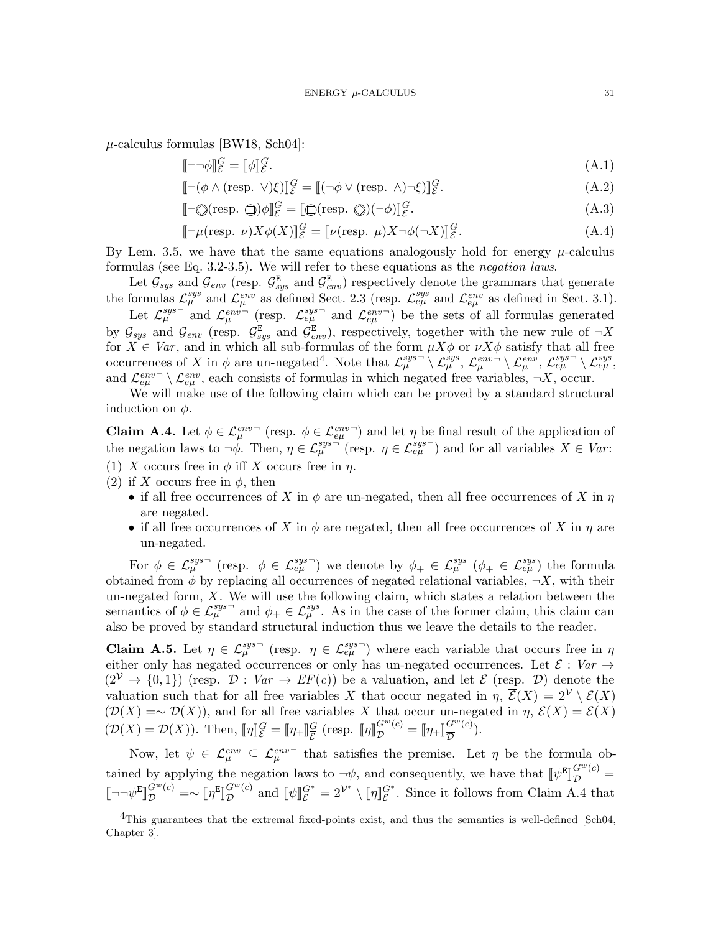$\mu$ -calculus formulas [\[BW18,](#page-21-10) [Sch04\]](#page-23-12):

$$
[\![\neg\neg\phi]\!]_{\mathcal{E}}^G = [\![\phi]\!]_{\mathcal{E}}^G. \tag{A.1}
$$

$$
\[\neg(\phi \land (\text{resp. } \vee)\xi)\]_{\mathcal{E}}^{G} = \[(\neg\phi \lor (\text{resp. } \wedge)\neg\xi)\]_{\mathcal{E}}^{G}.\tag{A.2}
$$

$$
[\![\neg \bigcirc(\text{resp. }\bigcirc\rangle\phi]\!]_{\mathcal{E}}^G = [\![\bigcirc(\text{resp. }\bigcirc\rangle(\neg\phi)]\!]_{\mathcal{E}}^G. \tag{A.3}
$$

$$
\[\neg \mu(\text{resp. } \nu) X \phi(X)\]_{\mathcal{E}}^G = [\![\nu(\text{resp. } \mu) X \neg \phi(\neg X)]\]_{\mathcal{E}}^G. \tag{A.4}
$$

By Lem. [3.5,](#page-11-2) we have that the same equations analogously hold for energy  $\mu$ -calculus formulas (see Eq. [3.2-](#page-12-4)[3.5\)](#page-12-5). We will refer to these equations as the negation laws.

Let  $\mathcal{G}_{sys}$  and  $\mathcal{G}_{env}$  (resp.  $\mathcal{G}_{sys}^{\text{E}}$  and  $\mathcal{G}_{env}^{\text{E}}$ ) respectively denote the grammars that generate the formulas  $\mathcal{L}_{\mu}^{sys}$  and  $\mathcal{L}_{\mu}^{env}$  as defined Sect. [2.3](#page-7-0) (resp.  $\mathcal{L}_{e\mu}^{sys}$  and  $\mathcal{L}_{e\mu}^{env}$  as defined in Sect. [3.1\)](#page-8-3).

Let  $\mathcal{L}_{\mu}^{sys}$  and  $\mathcal{L}_{\mu}^{env}$  (resp.  $\mathcal{L}_{e\mu}^{sys}$  and  $\mathcal{L}_{e\mu}^{env}$ ) be the sets of all formulas generated by  $\mathcal{G}_{sys}$  and  $\mathcal{G}_{env}$  (resp.  $\mathcal{G}_{sys}^{\mathbb{E}}$  and  $\mathcal{G}_{env}^{\mathbb{E}}$ ), respectively, together with the new rule of  $\neg X$ for  $X \in Var$ , and in which all sub-formulas of the form  $\mu X\phi$  or  $\nu X\phi$  satisfy that all free occurrences of X in  $\phi$  are un-negated<sup>[4](#page-30-0)</sup>. Note that  $\mathcal{L}_{\mu}^{sys} \setminus \mathcal{L}_{\mu}^{sys}$ ,  $\mathcal{L}_{\mu}^{env} \setminus \mathcal{L}_{e\mu}^{env}$ ,  $\mathcal{L}_{e\mu}^{sys} \setminus \mathcal{L}_{e\mu}^{sys}$ and  $\mathcal{L}_{e\mu}^{env} \setminus \mathcal{L}_{e\mu}^{env}$ , each consists of formulas in which negated free variables,  $\neg X$ , occur.

We will make use of the following claim which can be proved by a standard structural induction on  $\phi$ .

<span id="page-30-1"></span>**Claim A.4.** Let  $\phi \in \mathcal{L}_{\mu}^{env}$  (resp.  $\phi \in \mathcal{L}_{e\mu}^{env}$ ) and let  $\eta$  be final result of the application of the negation laws to  $\neg \phi$ . Then,  $\eta \in \mathcal{L}_{\mu}^{sys \rightarrow}$  (resp.  $\eta \in \mathcal{L}_{e\mu}^{sys \rightarrow}$ ) and for all variables  $X \in Var$ : (1) X occurs free in  $\phi$  iff X occurs free in  $\eta$ .

- (2) if X occurs free in  $\phi$ , then
	- if all free occurrences of X in  $\phi$  are un-negated, then all free occurrences of X in  $\eta$ are negated.
	- if all free occurrences of X in  $\phi$  are negated, then all free occurrences of X in  $\eta$  are un-negated.

For  $\phi \in \mathcal{L}_{\mu}^{sys}$  (resp.  $\phi \in \mathcal{L}_{e\mu}^{sys}$ ) we denote by  $\phi_+ \in \mathcal{L}_{\mu}^{sys}$  ( $\phi_+ \in \mathcal{L}_{e\mu}^{sys}$ ) the formula obtained from  $\phi$  by replacing all occurrences of negated relational variables,  $\neg X$ , with their un-negated form,  $X$ . We will use the following claim, which states a relation between the semantics of  $\phi \in \mathcal{L}_{\mu}^{sys}$  and  $\phi_+ \in \mathcal{L}_{\mu}^{sys}$ . As in the case of the former claim, this claim can also be proved by standard structural induction thus we leave the details to the reader.

<span id="page-30-2"></span>**Claim A.5.** Let  $\eta \in \mathcal{L}_{\mu}^{sys}$  (resp.  $\eta \in \mathcal{L}_{e\mu}^{sys}$ ) where each variable that occurs free in  $\eta$ either only has negated occurrences or only has un-negated occurrences. Let  $\mathcal{E}: Var \rightarrow$  $(2^{\mathcal{V}} \rightarrow \{0,1\})$  (resp.  $\mathcal{D}: Var \rightarrow EF(c)$ ) be a valuation, and let  $\overline{\mathcal{E}}$  (resp.  $\overline{\mathcal{D}}$ ) denote the valuation such that for all free variables X that occur negated in  $\eta$ ,  $\overline{\mathcal{E}}(X) = 2^{\mathcal{V}} \setminus \mathcal{E}(X)$  $(\overline{\mathcal{D}}(X) = \sim \mathcal{D}(X))$ , and for all free variables X that occur un-negated in  $\eta$ ,  $\overline{\mathcal{E}}(X) = \mathcal{E}(X)$  $(\overline{\mathcal{D}}(X) = \mathcal{D}(X))$ . Then,  $[\![\eta]\!]_{\mathcal{E}}^G = [\![\eta_+]\!]_{\mathcal{E}}^G$  $\frac{G}{\mathcal{E}}$  (resp.  $[\![\eta]\!]_D^{G^w(c)} = [\![\eta_+]\!]_D^{G^w(c)}$  $\frac{G^{(c)}}{\overline{D}}$  (c).

Now, let  $\psi \in \mathcal{L}^{env}_{\mu} \subseteq \mathcal{L}^{env}_{\mu}$  that satisfies the premise. Let  $\eta$  be the formula obtained by applying the negation laws to  $\neg \psi$ , and consequently, we have that  $[\psi^E]$ ll<br>A  $G^w(c) =$  $\llbracket \neg \neg \psi^{\texttt{E}}$ ll.<br>L  $G^w(c) = \sim [\![\eta^{\rm E}]\!]$ ll.<br>L  $G^w(c)$  $\mathcal{L}^{G^w(c)}$  and  $[\![\psi]\!]_{\mathcal{E}}^{G^*} = 2^{\mathcal{V}^*} \setminus [\![\eta]\!]_{\mathcal{E}}^{G^*}$ . Since it follows from Claim [A.4](#page-30-1) that

<span id="page-30-0"></span><sup>&</sup>lt;sup>4</sup>This guarantees that the extremal fixed-points exist, and thus the semantics is well-defined [\[Sch04,](#page-23-12) Chapter 3].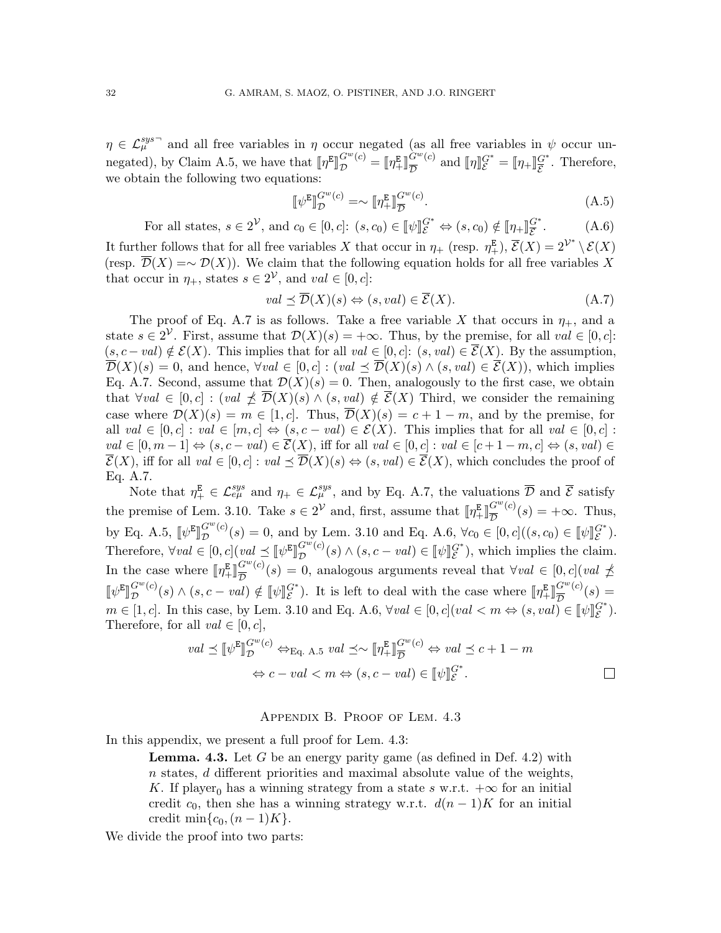$\eta \in \mathcal{L}_{\mu}^{sys}$  and all free variables in  $\eta$  occur negated (as all free variables in  $\psi$  occur un-negated), by Claim [A.5,](#page-30-2) we have that  $[\![\eta^E]\!]$ ll.<br>L  $G^w(c) = \llbracket \eta_+^{\mathbf{E}} \rrbracket$  $\overset{.}{G}^{w}(c)$  $\frac{G^w(c)}{\mathcal{D}}$  and  $[\![\eta]\!]_{\mathcal{E}}^{G^*} = [\![\eta_+\!]_{\mathcal{E}}^{G^*}$  $\frac{G^*}{\mathcal{E}}$ . Therefore, we obtain the following two equations:

<span id="page-31-2"></span>
$$
\llbracket \psi^{\mathbf{E}} \rrbracket_{\mathcal{D}}^{G^w(c)} = \sim \llbracket \eta_+^{\mathbf{E}} \rrbracket_{\overline{\mathcal{D}}}^{G^w(c)}.
$$
\n(A.5)

<span id="page-31-3"></span>For all states,  $s \in 2^{\mathcal{V}}$ , and  $c_0 \in [0, c]$ :  $(s, c_0) \in [\![\psi]\!]_{{\mathcal{E}}}^{G^*} \Leftrightarrow (s, c_0) \notin [\![\eta_+]\!]_{{\mathcal{E}}}^{G^*}$ E  $(A.6)$ It further follows that for all free variables X that occur in  $\eta_+$  (resp.  $\eta_+^{\mathbb{E}}$ ),  $\overline{\mathcal{E}}(X) = 2^{\mathcal{V}^*} \setminus \mathcal{E}(X)$ (resp.  $\overline{\mathcal{D}}(X) = \sim \mathcal{D}(X)$ ). We claim that the following equation holds for all free variables X that occur in  $\eta_+$ , states  $s \in 2^{\mathcal{V}}$ , and  $val \in [0, c]$ :

<span id="page-31-1"></span>
$$
val \preceq \overline{\mathcal{D}}(X)(s) \Leftrightarrow (s, val) \in \overline{\mathcal{E}}(X). \tag{A.7}
$$

The proof of Eq. [A.7](#page-31-1) is as follows. Take a free variable X that occurs in  $\eta_+$ , and a state  $s \in 2^{\mathcal{V}}$ . First, assume that  $\mathcal{D}(X)(s) = +\infty$ . Thus, by the premise, for all  $val \in [0, c]$ :  $(s, c - val) \notin \mathcal{E}(X)$ . This implies that for all  $val \in [0, c]$ :  $(s, val) \in \overline{\mathcal{E}}(X)$ . By the assumption,  $\overline{\mathcal{D}}(X)(s) = 0$ , and hence,  $\forall val \in [0, c] : (val \leq \overline{\mathcal{D}}(X)(s) \wedge (s, val) \in \overline{\mathcal{E}}(X))$ , which implies Eq. [A.7.](#page-31-1) Second, assume that  $\mathcal{D}(X)(s) = 0$ . Then, analogously to the first case, we obtain that  $\forall val \in [0, c] : (val \not\preceq \overline{\mathcal{D}}(X)(s) \wedge (s, val) \notin \overline{\mathcal{E}}(X)$  Third, we consider the remaining case where  $\mathcal{D}(X)(s) = m \in [1, c]$ . Thus,  $\overline{\mathcal{D}}(X)(s) = c + 1 - m$ , and by the premise, for all  $val \in [0, c]$ :  $val \in [m, c] \Leftrightarrow (s, c - val) \in \mathcal{E}(X)$ . This implies that for all  $val \in [0, c]$ :  $val \in [0, m-1] \Leftrightarrow (s, c-val) \in \overline{\mathcal{E}}(X)$ , iff for all  $val \in [0, c] : val \in [c+1-m, c] \Leftrightarrow (s, val) \in$  $\overline{\mathcal{E}}(X)$ , iff for all  $val \in [0, c] : val \preceq \overline{\mathcal{D}}(X)(s) \Leftrightarrow (s, val) \in \overline{\mathcal{E}}(X)$ , which concludes the proof of Eq. [A.7.](#page-31-1)

Note that  $\eta^{\mathbf{E}}_{+} \in \mathcal{L}^{sys}_{e\mu}$  and  $\eta_{+} \in \mathcal{L}^{sys}_{\mu}$ , and by Eq. [A.7,](#page-31-1) the valuations  $\overline{\mathcal{D}}$  and  $\overline{\mathcal{E}}$  satisfy the premise of Lem. [3.10.](#page-13-2) Take  $s \in 2^{\mathcal{V}}$  and, first, assume that  $[\![\eta^{\mathbb{E}}_{+}]\!]_{\overline{D}}^{G^w(c)}(s) = +\infty$ . Thus,  $+\mathbb{I}$ by Eq. [A.5,](#page-31-2)  $\psi^E$ ll<br>L  $G^w(c)$  $G^w(c)(s) = 0$ , and by Lem. [3.10](#page-13-2) and Eq. [A.6,](#page-31-3)  $\forall c_0 \in [0, c] ((s, c_0) \in [\![\psi]\!]_E^{G^*}).$ Therefore,  $\forall val \in [0, c] (val \preceq [\![\psi^{\mathbf{E}}]\!]_{\mathcal{D}}^{G^w(c)}$ ll<br>L  $G^w(c)(s) \wedge (s, c-val) \in [\![\psi]\!]_{\mathcal{E}}^{G^*}$ , which implies the claim. In the case where  $[\![\eta_+^{\mathtt{E}}]\!]$  $G^w(c)$  $\overline{\mathcal{D}}^{G^w(c)}(s) = 0$ , analogous arguments reveal that  $\forall val \in [0, c] (val \nleq$  $\label{eq:3.1} \begin{split} \llbracket \psi^{\texttt{E}} \rrbracket_{\mathcal{D}}^{G^w(c)} \end{split}$  $\mathbb{R}^{\mathbb{R}^{\mathbb{Z}} \times \mathbb{R}^{\mathbb{Z}}}$  (c)  $\mathbb{R}^{\mathbb{R} \times \mathbb{R}}$  (c)  $m \in [1, c]$ . In this case, by Lem. [3.10](#page-13-2) and Eq. [A.6,](#page-31-3)  $\forall val \in [0, c] (val < m \Leftrightarrow (s, val) \in [\![\psi]\!]_e^{G^*}.$ <br>Therefore, for all val  $\subseteq [0, c]$  $\mathcal{L}^{G^w(c)}(s) \wedge (s, c - val) \notin [\![\psi]\!]_{\mathcal{E}}^{G^*}.$  It is left to deal with the case where  $[\![\eta_+^E]\!]$  $G^w(c)$  $\frac{G^{(c)}(c)}{D}(s) =$ Therefore, for all  $val \in [0, c]$ ,

$$
val \preceq [\![\psi^{\mathsf{E}}]\!]_{\mathcal{D}}^{G^w(c)} \Leftrightarrow_{\text{Eq. A.5}} val \preceq \sim [\![\eta^{\mathsf{E}}_+]\!]_{\overline{\mathcal{D}}}^{G^w(c)} \Leftrightarrow val \preceq c + 1 - m
$$
  

$$
\Leftrightarrow c - val < m \Leftrightarrow (s, c - val) \in [\![\psi]\!]_{\mathcal{E}}^{G^*}.
$$

#### Appendix B. Proof of Lem. [4.3](#page-16-1)

<span id="page-31-0"></span>In this appendix, we present a full proof for Lem. [4.3:](#page-16-1)

**Lemma. [4.3.](#page-16-1)** Let G be an energy parity game (as defined in Def. [4.2\)](#page-15-1) with  $n$  states,  $d$  different priorities and maximal absolute value of the weights, K. If player<sub>0</sub> has a winning strategy from a state s w.r.t.  $+\infty$  for an initial credit c<sub>0</sub>, then she has a winning strategy w.r.t.  $d(n-1)K$  for an initial credit min $\{c_0,(n-1)K\}.$ 

We divide the proof into two parts: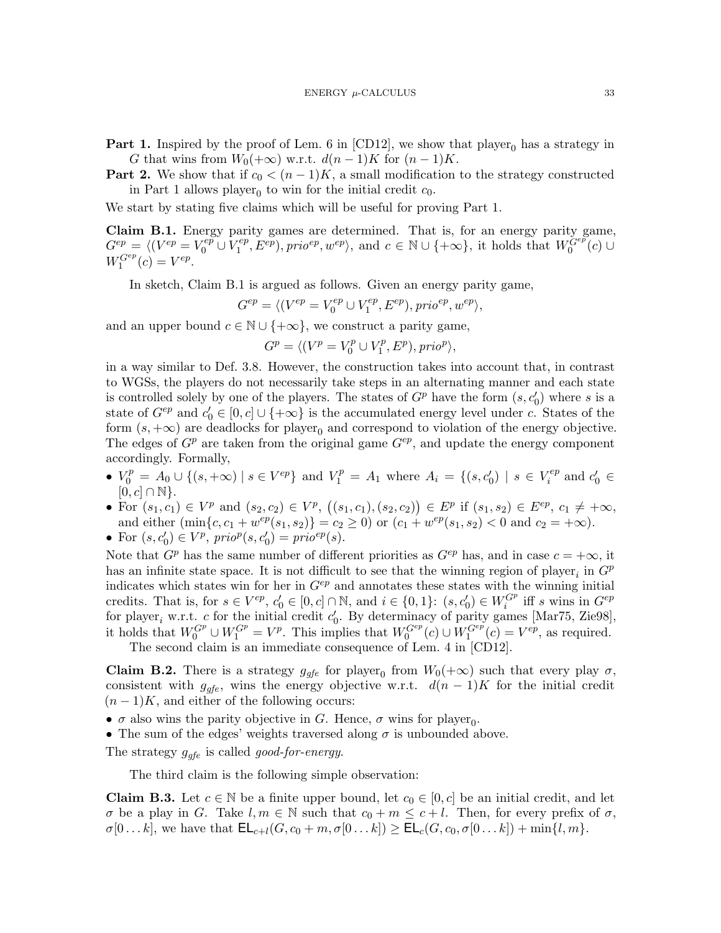<span id="page-32-0"></span>**Part 1.** Inspired by the proof of Lem. 6 in [\[CD12\]](#page-21-1), we show that player<sub>0</sub> has a strategy in G that wins from  $W_0(+\infty)$  w.r.t.  $d(n-1)K$  for  $(n-1)K$ .

<span id="page-32-3"></span>**Part 2.** We show that if  $c_0 < (n-1)K$ , a small modification to the strategy constructed in [Part 1](#page-32-0) allows player<sub>0</sub> to win for the initial credit  $c_0$ .

We start by stating five claims which will be useful for proving [Part 1.](#page-32-0)

<span id="page-32-1"></span>Claim B.1. Energy parity games are determined. That is, for an energy parity game,  $G^{ep} = \langle (V^{ep} = V_0^{ep} \cup V_1^{ep} \rangle$  $\mathcal{L}^{ep}_1, \mathcal{E}^{ep}$ , prio<sup>ep</sup>,  $w^{ep}$ , and  $c \in \mathbb{N} \cup \{+\infty\}$ , it holds that  $W_0^{Gep}(c) \cup$  $W_1^{G^{ep}}(c) = V^{ep}.$ 

In sketch, Claim [B.1](#page-32-1) is argued as follows. Given an energy parity game,

$$
G^{ep} = \langle (V^{ep} = V_0^{ep} \cup V_1^{ep}, E^{ep}), prio^{ep}, w^{ep} \rangle,
$$

and an upper bound  $c \in \mathbb{N} \cup \{+\infty\}$ , we construct a parity game,

$$
G^{p} = \langle (V^{p} = V^{p}_{0} \cup V^{p}_{1}, E^{p}), prio^{p} \rangle,
$$

in a way similar to Def. [3.8.](#page-12-3) However, the construction takes into account that, in contrast to WGSs, the players do not necessarily take steps in an alternating manner and each state is controlled solely by one of the players. The states of  $G^p$  have the form  $(s, c'_0)$  where s is a state of  $G^{ep}$  and  $c'_0 \in [0, c] \cup \{+\infty\}$  is the accumulated energy level under c. States of the form  $(s, +\infty)$  are deadlocks for player<sub>0</sub> and correspond to violation of the energy objective. The edges of  $G^p$  are taken from the original game  $G^{ep}$ , and update the energy component accordingly. Formally,

- $V_0^p = A_0 \cup \{(s, +\infty) \mid s \in V^{ep}\}\$ and  $V_1^p = A_1$  where  $A_i = \{(s, c'_0) \mid s \in V_i^{ep}\}\$  $i$ <sup>ep</sup> and  $c'_0 \in$  $[0, c] \cap \mathbb{N}$ .
- For  $(s_1, c_1) \in V^p$  and  $(s_2, c_2) \in V^p$ ,  $((s_1, c_1), (s_2, c_2)) \in E^p$  if  $(s_1, s_2) \in E^{ep}$ ,  $c_1 \neq +\infty$ , and either  $(\min\{c, c_1 + w^{ep}(s_1, s_2)\} = c_2 \ge 0)$  or  $(c_1 + w^{ep}(s_1, s_2) < 0$  and  $c_2 = +\infty)$ .
- For  $(s, c'_0) \in V^p$ ,  $\text{prio}^p(s, c'_0) = \text{prio}^{ep}(s)$ .

Note that  $G^p$  has the same number of different priorities as  $G^{ep}$  has, and in case  $c = +\infty$ , it has an infinite state space. It is not difficult to see that the winning region of player<sub>i</sub> in  $G^p$ indicates which states win for her in  $G^{ep}$  and annotates these states with the winning initial credits. That is, for  $s \in V^{ep}$ ,  $c'_0 \in [0, c] \cap \mathbb{N}$ , and  $i \in \{0, 1\}$ :  $(s, c'_0) \in W_i^{G^p}$  iff s wins in  $G^{ep}$ for player<sub>i</sub> w.r.t. c for the initial credit  $c'_0$ . By determinacy of parity games [\[Mar75,](#page-23-17) [Zie98\]](#page-24-1), it holds that  $W_0^{G^p} \cup W_1^{G^p} = V^p$ . This implies that  $W_0^{G^{ep}}(c) \cup W_1^{G^{ep}}(c) = V^{ep}$ , as required.

The second claim is an immediate consequence of Lem. 4 in [\[CD12\]](#page-21-1).

<span id="page-32-4"></span>**Claim B.2.** There is a strategy  $g_{gfe}$  for player<sub>0</sub> from  $W_0(+\infty)$  such that every play  $\sigma$ , consistent with  $g_{qfe}$ , wins the energy objective w.r.t.  $d(n-1)K$  for the initial credit  $(n-1)K$ , and either of the following occurs:

•  $\sigma$  also wins the parity objective in G. Hence,  $\sigma$  wins for player<sub>0</sub>.

• The sum of the edges' weights traversed along  $\sigma$  is unbounded above.

The strategy  $g_{qfe}$  is called good-for-energy.

The third claim is the following simple observation:

<span id="page-32-2"></span>**Claim B.3.** Let  $c \in \mathbb{N}$  be a finite upper bound, let  $c_0 \in [0, c]$  be an initial credit, and let  $\sigma$  be a play in G. Take  $l, m \in \mathbb{N}$  such that  $c_0 + m \leq c + l$ . Then, for every prefix of  $\sigma$ ,  $\sigma[0...k],$  we have that  $\mathsf{EL}_{c+l}(G, c_0+m, \sigma[0...k]) \geq \mathsf{EL}_c(G, c_0, \sigma[0...k]) + \min\{l, m\}.$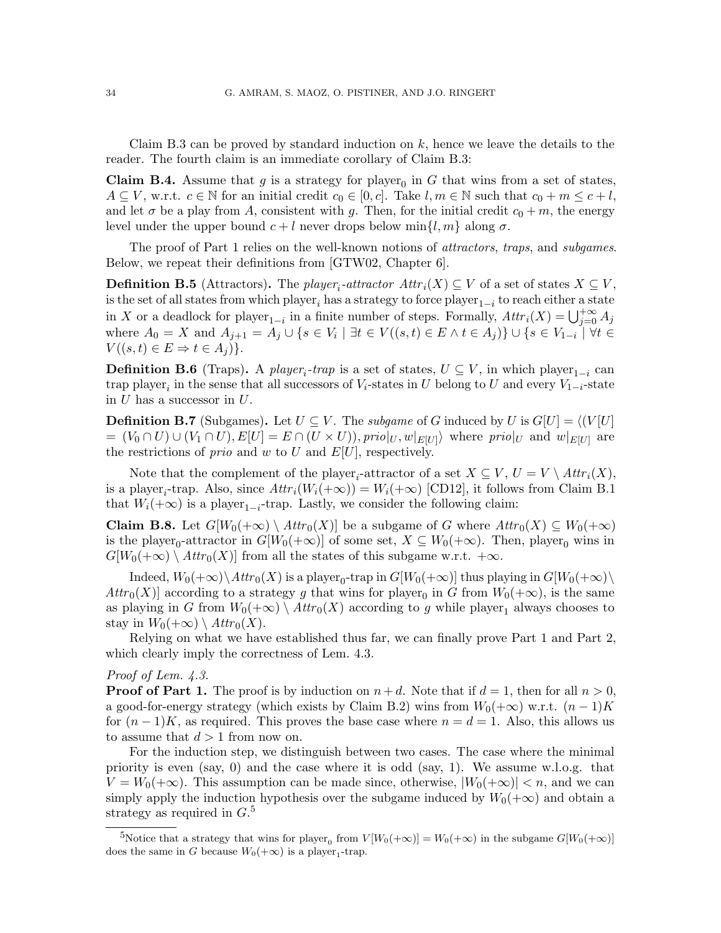Claim [B.3](#page-32-2) can be proved by standard induction on  $k$ , hence we leave the details to the reader. The fourth claim is an immediate corollary of Claim [B.3:](#page-32-2)

<span id="page-33-2"></span>**Claim B.4.** Assume that g is a strategy for player<sub>0</sub> in G that wins from a set of states,  $A \subseteq V$ , w.r.t.  $c \in \mathbb{N}$  for an initial credit  $c_0 \in [0, c]$ . Take  $l, m \in \mathbb{N}$  such that  $c_0 + m \leq c + l$ , and let  $\sigma$  be a play from A, consistent with g. Then, for the initial credit  $c_0 + m$ , the energy level under the upper bound  $c + l$  never drops below min $\{l, m\}$  along  $\sigma$ .

The proof of [Part 1](#page-32-0) relies on the well-known notions of *attractors*, *traps*, and *subgames*. Below, we repeat their definitions from [\[GTW02,](#page-22-6) Chapter 6].

**Definition B.5** (Attractors). The player<sub>i</sub>-attractor  $Attr_i(X) \subseteq V$  of a set of states  $X \subseteq V$ , is the set of all states from which  $\mathrm{player}_i$  has a strategy to force  $\mathrm{player}_{1-i}$  to reach either a state in X or a deadlock for player<sub>1-i</sub> in a finite number of steps. Formally,  $Attr_i(X) = \bigcup_{j=0}^{+\infty} A_j$ where  $A_0 = X$  and  $A_{j+1} = A_j \cup \{s \in V_i \mid \exists t \in V((s,t) \in E \land t \in A_j)\} \cup \{s \in V_{1-i} \mid \forall t \in E \land t \in A_j\}$  $V((s,t)\in E\Rightarrow t\in A_j)$ .

**Definition B.6** (Traps). A player<sub>i</sub>-trap is a set of states,  $U \subseteq V$ , in which player<sub>1-i</sub> can trap player<sub>i</sub> in the sense that all successors of  $V_i$ -states in U belong to U and every  $V_{1-i}$ -state in  $U$  has a successor in  $U$ .

**Definition B.7** (Subgames). Let  $U \subseteq V$ . The *subgame* of G induced by U is  $G[U] = \langle (V | U |$  $= (V_0 \cap U) \cup (V_1 \cap U), E[U] = E \cap (U \times U)$ ,  $\text{prio}|_U, w|_{E[U]}$  where  $\text{prio}|_U$  and  $w|_{E[U]}$  are the restrictions of *prio* and w to U and  $E[U]$ , respectively.

Note that the complement of the player<sub>i</sub>-attractor of a set  $X \subseteq V$ ,  $U = V \setminus \text{Attr}_i(X)$ , is a player<sub>i</sub>-trap. Also, since  $Attr_i(W_i(+\infty)) = W_i(+\infty)$  [\[CD12\]](#page-21-1), it follows from Claim [B.1](#page-32-1) that  $W_i(+\infty)$  is a player<sub>1-i</sub>-trap. Lastly, we consider the following claim:

<span id="page-33-1"></span>**Claim B.8.** Let  $G[W_0(+\infty) \setminus \text{Attr}_0(X)]$  be a subgame of G where  $\text{Attr}_0(X) \subseteq W_0(+\infty)$ is the player<sub>0</sub>-attractor in  $G[W_0(+\infty)]$  of some set,  $X \subseteq W_0(+\infty)$ . Then, player<sub>0</sub> wins in  $G[W_0(+\infty) \setminus \text{Attr}_0(X)]$  from all the states of this subgame w.r.t.  $+\infty$ .

Indeed,  $W_0(+\infty)\setminus Attr_0(X)$  is a player<sub>0</sub>-trap in  $G[W_0(+\infty)]$  thus playing in  $G[W_0(+\infty)\setminus$  $Attr_0(X)$  according to a strategy g that wins for player<sub>0</sub> in G from  $W_0(+\infty)$ , is the same as playing in G from  $W_0(+\infty) \setminus \text{Attr}_0(X)$  according to g while player<sub>1</sub> always chooses to stay in  $W_0(+\infty) \setminus \text{Attr}_0(X)$ .

Relying on what we have established thus far, we can finally prove [Part 1](#page-32-0) and [Part 2,](#page-32-3) which clearly imply the correctness of Lem. [4.3.](#page-16-1)

# Proof of Lem.  $4.3$ .

**Proof of [Part 1.](#page-32-0)** The proof is by induction on  $n+d$ . Note that if  $d=1$ , then for all  $n>0$ , a good-for-energy strategy (which exists by Claim [B.2\)](#page-32-4) wins from  $W_0(+\infty)$  w.r.t.  $(n-1)K$ for  $(n-1)K$ , as required. This proves the base case where  $n = d = 1$ . Also, this allows us to assume that  $d > 1$  from now on.

For the induction step, we distinguish between two cases. The case where the minimal priority is even  $(say, 0)$  and the case where it is odd  $(say, 1)$ . We assume w.l.o.g. that  $V = W_0(+\infty)$ . This assumption can be made since, otherwise,  $|W_0(+\infty)| < n$ , and we can simply apply the induction hypothesis over the subgame induced by  $W_0(+\infty)$  and obtain a strategy as required in  $G$ <sup>[5](#page-33-0)</sup>

<span id="page-33-0"></span><sup>5</sup>Notice that a strategy that wins for player<sub>0</sub> from  $V[W_0(+\infty)] = W_0(+\infty)$  in the subgame  $G[W_0(+\infty)]$ does the same in G because  $W_0(+\infty)$  is a player<sub>1</sub>-trap.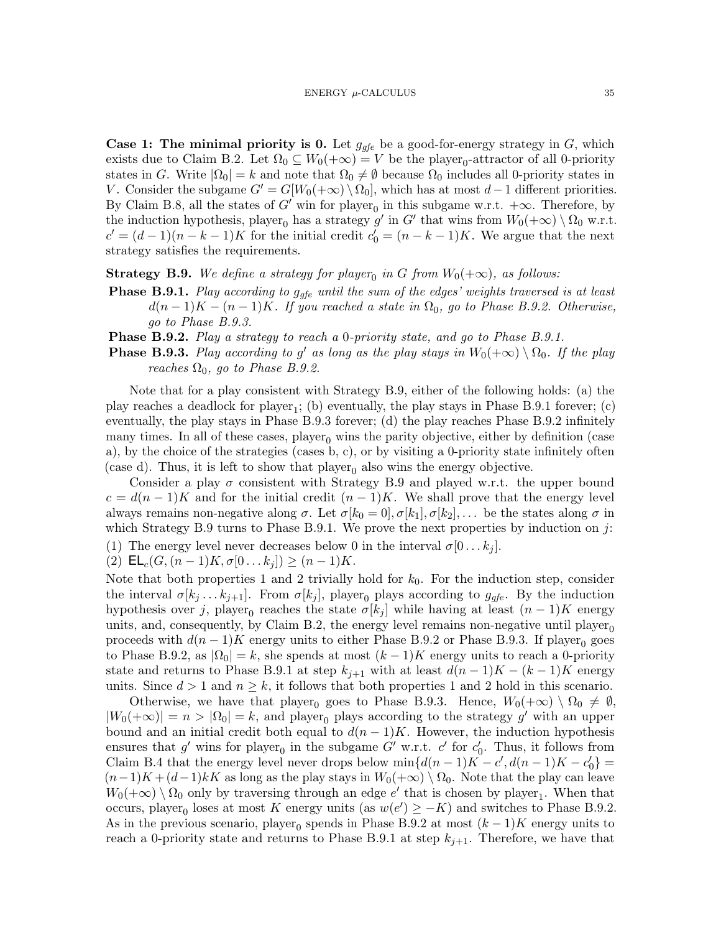**Case 1: The minimal priority is 0.** Let  $g_{qfe}$  be a good-for-energy strategy in G, which exists due to Claim [B.2.](#page-32-4) Let  $\Omega_0 \subseteq W_0(+\infty) = V$  be the player<sub>0</sub>-attractor of all 0-priority states in G. Write  $|\Omega_0| = k$  and note that  $\Omega_0 \neq \emptyset$  because  $\Omega_0$  includes all 0-priority states in V. Consider the subgame  $G' = G[W_0(+\infty) \setminus \Omega_0]$ , which has at most  $d-1$  different priorities. By Claim [B.8,](#page-33-1) all the states of G' win for player<sub>0</sub> in this subgame w.r.t.  $+\infty$ . Therefore, by the induction hypothesis, player<sub>0</sub> has a strategy g' in G' that wins from  $W_0(+\infty) \setminus \Omega_0$  w.r.t.  $c' = (d-1)(n-k-1)K$  for the initial credit  $c'_0 = (n-k-1)K$ . We argue that the next strategy satisfies the requirements.

<span id="page-34-0"></span>**Strategy B.9.** We define a strategy for player<sub>0</sub> in G from  $W_0(+\infty)$ , as follows:

- <span id="page-34-3"></span>**Phase [B.9.](#page-34-0)1.** Play according to  $g_{qfe}$  until the sum of the edges' weights traversed is at least  $d(n-1)K - (n-1)K$ . If you reached a state in  $\Omega_0$ , go to [Phase B.9.2.](#page-34-1) Otherwise, go to [Phase B.9.3.](#page-34-2)
- <span id="page-34-1"></span>Phase [B.9.](#page-34-0)2. Play a strategy to reach a 0-priority state, and go to [Phase B.9.1.](#page-34-3)
- <span id="page-34-2"></span>**Phase [B.9.](#page-34-0)3.** Play according to g' as long as the play stays in  $W_0(+\infty) \setminus \Omega_0$ . If the play reaches  $\Omega_0$ , go to [Phase B.9.2.](#page-34-1)

Note that for a play consistent with Strategy [B.9,](#page-34-0) either of the following holds: (a) the play reaches a deadlock for  $player_1$ ; (b) eventually, the play stays in [Phase B.9.1](#page-34-3) forever; (c) eventually, the play stays in [Phase B.9.3](#page-34-2) forever; (d) the play reaches [Phase B.9.2](#page-34-1) infinitely many times. In all of these cases, player<sub>0</sub> wins the parity objective, either by definition (case a), by the choice of the strategies (cases b, c), or by visiting a 0-priority state infinitely often (case d). Thus, it is left to show that  $player_0$  also wins the energy objective.

Consider a play  $\sigma$  consistent with Strategy [B.9](#page-34-0) and played w.r.t. the upper bound  $c = d(n-1)K$  and for the initial credit  $(n-1)K$ . We shall prove that the energy level always remains non-negative along  $\sigma$ . Let  $\sigma[k_0 = 0], \sigma[k_1], \sigma[k_2], \ldots$  be the states along  $\sigma$  in which Strategy [B.9](#page-34-0) turns to [Phase B.9.1.](#page-34-3) We prove the next properties by induction on j:

<span id="page-34-4"></span>(1) The energy level never decreases below 0 in the interval  $\sigma[0 \dots k_i]$ .

<span id="page-34-5"></span>(2)  $\mathsf{EL}_c(G,(n-1)K,\sigma[0...k_i]) \geq (n-1)K$ .

Note that both properties [1](#page-34-4) and [2](#page-34-5) trivially hold for  $k_0$ . For the induction step, consider the interval  $\sigma[k_j \dots k_{j+1}]$ . From  $\sigma[k_j]$ , player<sub>0</sub> plays according to  $g_{qfe}$ . By the induction hypothesis over j, player<sub>0</sub> reaches the state  $\sigma[k_j]$  while having at least  $(n-1)K$  energy units, and, consequently, by Claim [B.2,](#page-32-4) the energy level remains non-negative until  $\mu$ layer<sub>0</sub> proceeds with  $d(n-1)K$  energy units to either [Phase B.9.2](#page-34-1) or [Phase B.9.3.](#page-34-2) If player<sub>0</sub> goes to [Phase B.9.2,](#page-34-1) as  $|\Omega_0| = k$ , she spends at most  $(k-1)K$  energy units to reach a 0-priority state and returns to [Phase B.9.1](#page-34-3) at step  $k_{j+1}$  with at least  $d(n-1)K - (k-1)K$  energy units. Since  $d > 1$  $d > 1$  and  $n \geq k$ , it follows that both properties 1 and [2](#page-34-5) hold in this scenario.

Otherwise, we have that player<sub>0</sub> goes to [Phase B.9.3.](#page-34-2) Hence,  $W_0(+\infty) \setminus \Omega_0 \neq \emptyset$ ,  $|W_0(+\infty)| = n > |\Omega_0| = k$ , and player<sub>0</sub> plays according to the strategy g' with an upper bound and an initial credit both equal to  $d(n-1)K$ . However, the induction hypothesis ensures that  $g'$  wins for player<sub>0</sub> in the subgame  $G'$  w.r.t.  $c'$  for  $c'_0$ . Thus, it follows from Claim [B.4](#page-33-2) that the energy level never drops below  $\min\{d(n-1)K - c', d(n-1)K - c'_0\}$  $(n-1)K + (d-1)kK$  as long as the play stays in  $W_0(+\infty) \setminus \Omega_0$ . Note that the play can leave  $W_0(+\infty) \setminus \Omega_0$  only by traversing through an edge  $e'$  that is chosen by player<sub>1</sub>. When that occurs, player<sub>0</sub> loses at most K energy units (as  $w(e') \geq -K$ ) and switches to [Phase B.9.2.](#page-34-1) As in the previous scenario, player<sub>0</sub> spends in [Phase B.9.2](#page-34-1) at most  $(k-1)K$  energy units to reach a 0-priority state and returns to [Phase B.9.1](#page-34-3) at step  $k_{j+1}$ . Therefore, we have that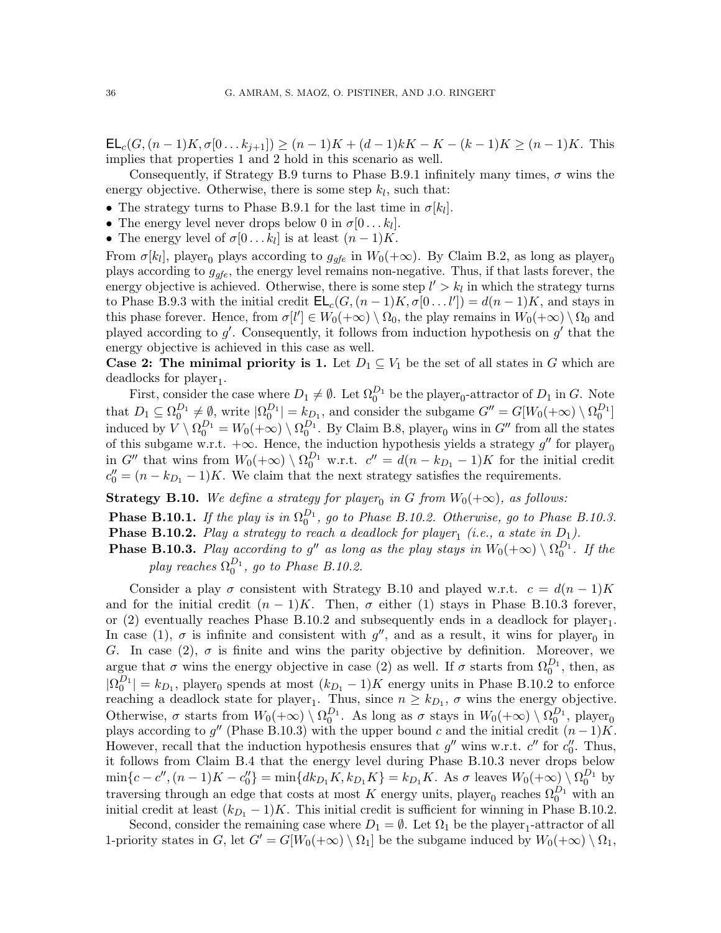$\mathsf{EL}_c(G,(n-1)K,\sigma[0...k_{j+1}]) \ge (n-1)K + (d-1)kK - K - (k-1)K \ge (n-1)K$ . This implies that properties [1](#page-34-4) and [2](#page-34-5) hold in this scenario as well.

Consequently, if Strategy [B.9](#page-34-0) turns to [Phase B.9.1](#page-34-3) infinitely many times,  $\sigma$  wins the energy objective. Otherwise, there is some step  $k_l$ , such that:

- The strategy turns to [Phase B.9.1](#page-34-3) for the last time in  $\sigma[k_l]$ .
- The energy level never drops below 0 in  $\sigma[0...k_l]$ .
- The energy level of  $\sigma[0...k_l]$  is at least  $(n-1)K$ .

From  $\sigma[k_l]$ , player<sub>0</sub> plays according to  $g_{gfe}$  in  $W_0(+\infty)$ . By Claim [B.2,](#page-32-4) as long as player<sub>0</sub> plays according to  $g_{qfe}$ , the energy level remains non-negative. Thus, if that lasts forever, the energy objective is achieved. Otherwise, there is some step  $l' > k_l$  in which the strategy turns to [Phase B.9.3](#page-34-2) with the initial credit  $\mathsf{EL}_c(G,(n-1)K,\sigma[0\ldots l'])=d(n-1)K$ , and stays in this phase forever. Hence, from  $\sigma[l'] \in W_0(+\infty) \setminus \Omega_0$ , the play remains in  $W_0(+\infty) \setminus \Omega_0$  and played according to  $g'$ . Consequently, it follows from induction hypothesis on  $g'$  that the energy objective is achieved in this case as well.

**Case 2: The minimal priority is 1.** Let  $D_1 \subseteq V_1$  be the set of all states in G which are deadlocks for  $player_1$ .

First, consider the case where  $D_1 \neq \emptyset$ . Let  $\Omega_0^{D_1}$  be the player<sub>0</sub>-attractor of  $D_1$  in G. Note that  $D_1 \subseteq \Omega_0^{D_1} \neq \emptyset$ , write  $|\Omega_0^{D_1}| = k_{D_1}$ , and consider the subgame  $G'' = G[W_0(+\infty) \setminus \Omega_0^{D_1}]$ induced by  $V \setminus \Omega_0^{D_1} = W_0(+\infty) \setminus \Omega_0^{D_1}$ . By Claim [B.8,](#page-33-1) player<sub>0</sub> wins in G'' from all the states of this subgame w.r.t.  $+\infty$ . Hence, the induction hypothesis yields a strategy  $g''$  for player<sub>0</sub> in G'' that wins from  $W_0(+\infty) \setminus \Omega_0^{D_1}$  w.r.t.  $c'' = d(n - k_{D_1} - 1)K$  for the initial credit  $c''_0 = (n - k_{D_1} - 1)K$ . We claim that the next strategy satisfies the requirements.

<span id="page-35-0"></span>**Strategy B.10.** We define a strategy for player<sub>0</sub> in G from  $W_0(+\infty)$ , as follows:

<span id="page-35-1"></span>**Phase [B.10.](#page-35-0)1.** If the play is in  $\Omega_0^{D_1}$ , go to [Phase B.10.2.](#page-35-1) Otherwise, go to [Phase B.10.3.](#page-35-2) **Phase [B.10.](#page-35-0)2.** Play a strategy to reach a deadlock for player<sub>1</sub> (i.e., a state in  $D_1$ ).

<span id="page-35-2"></span>**Phase [B.10.](#page-35-0)3.** Play according to g'' as long as the play stays in  $W_0(+\infty) \setminus \Omega_0^{D_1}$ . If the play reaches  $\Omega_0^{D_1}$ , go to [Phase B.10.2.](#page-35-1)

Consider a play  $\sigma$  consistent with Strategy [B.10](#page-35-0) and played w.r.t.  $c = d(n-1)K$ and for the initial credit  $(n-1)K$ . Then,  $\sigma$  either (1) stays in [Phase B.10.3](#page-35-2) forever, or  $(2)$  eventually reaches [Phase B.10.2](#page-35-1) and subsequently ends in a deadlock for player<sub>1</sub>. In case (1),  $\sigma$  is infinite and consistent with  $g''$ , and as a result, it wins for player<sub>0</sub> in G. In case (2),  $\sigma$  is finite and wins the parity objective by definition. Moreover, we argue that  $\sigma$  wins the energy objective in case (2) as well. If  $\sigma$  starts from  $\Omega_0^{D_1}$ , then, as  $|\Omega_0^{D_1}| = k_{D_1}$ , player<sub>0</sub> spends at most  $(k_{D_1} - 1)K$  energy units in [Phase B.10.2](#page-35-1) to enforce reaching a deadlock state for player<sub>1</sub>. Thus, since  $n \geq k_{D_1}$ ,  $\sigma$  wins the energy objective. Otherwise,  $\sigma$  starts from  $W_0(+\infty) \setminus \Omega_0^{D_1}$ . As long as  $\sigma$  stays in  $W_0(+\infty) \setminus \Omega_0^{D_1}$ , player<sub>0</sub> plays according to g'' [\(Phase B.10.3\)](#page-35-2) with the upper bound c and the initial credit  $(n-1)K$ . However, recall that the induction hypothesis ensures that  $g''$  wins w.r.t.  $c''$  for  $c''_0$ . Thus, it follows from Claim [B.4](#page-33-2) that the energy level during [Phase B.10.3](#page-35-2) never drops below  $\min\{c - c'', (n-1)K - c''_0\} = \min\{dk_{D_1}K, k_{D_1}K\} = k_{D_1}K$ . As  $\sigma$  leaves  $W_0(+\infty) \setminus \Omega_0^{D_1}$  by traversing through an edge that costs at most K energy units, player<sub>0</sub> reaches  $\Omega_0^{D_1}$  with an initial credit at least  $(k_{D_1} - 1)K$ . This initial credit is sufficient for winning in [Phase B.10.2.](#page-35-1)

Second, consider the remaining case where  $D_1 = \emptyset$ . Let  $\Omega_1$  be the player<sub>1</sub>-attractor of all 1-priority states in G, let  $G' = G[W_0(+\infty) \setminus \Omega_1]$  be the subgame induced by  $W_0(+\infty) \setminus \Omega_1$ ,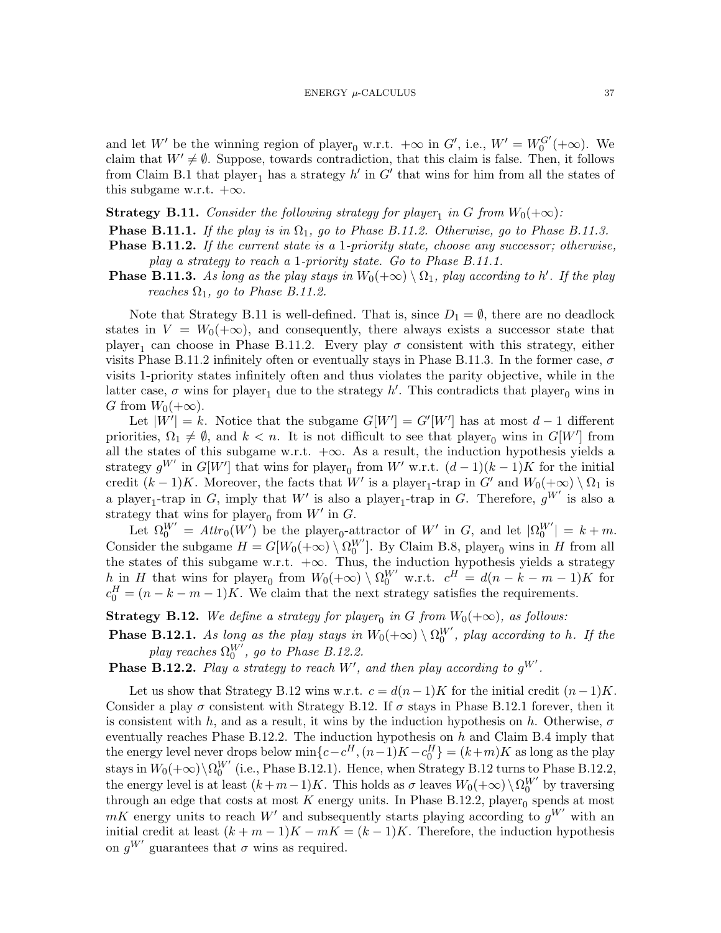and let W' be the winning region of player<sub>0</sub> w.r.t.  $+\infty$  in G', i.e.,  $W' = W_0^{G'}(+\infty)$ . We claim that  $W' \neq \emptyset$ . Suppose, towards contradiction, that this claim is false. Then, it follows from Claim [B.1](#page-32-1) that player<sub>1</sub> has a strategy  $h'$  in  $G'$  that wins for him from all the states of this subgame w.r.t.  $+\infty$ .

# <span id="page-36-0"></span>**Strategy B.11.** Consider the following strategy for player<sub>1</sub> in G from  $W_0(+\infty)$ :

<span id="page-36-3"></span>**Phase [B.11.](#page-36-0)1.** If the play is in  $\Omega_1$ , go to [Phase B.11.2.](#page-36-1) Otherwise, go to [Phase B.11.3.](#page-36-2)

- <span id="page-36-1"></span>Phase [B.11.](#page-36-0)2. If the current state is a 1-priority state, choose any successor; otherwise, play a strategy to reach a 1-priority state. Go to [Phase B.11.1.](#page-36-3)
- <span id="page-36-2"></span>**Phase [B.11.](#page-36-0)3.** As long as the play stays in  $W_0(+\infty) \setminus \Omega_1$ , play according to h'. If the play reaches  $\Omega_1$ , go to [Phase B.11.2.](#page-36-1)

Note that Strategy [B.11](#page-36-0) is well-defined. That is, since  $D_1 = \emptyset$ , there are no deadlock states in  $V = W_0(+\infty)$ , and consequently, there always exists a successor state that player<sub>1</sub> can choose in [Phase B.11.2.](#page-36-1) Every play  $\sigma$  consistent with this strategy, either visits [Phase B.11.2](#page-36-1) infinitely often or eventually stays in [Phase B.11.3.](#page-36-2) In the former case,  $\sigma$ visits 1-priority states infinitely often and thus violates the parity objective, while in the latter case,  $\sigma$  wins for player<sub>1</sub> due to the strategy h'. This contradicts that player<sub>0</sub> wins in G from  $W_0(+\infty)$ .

Let  $|W'| = k$ . Notice that the subgame  $G[W'] = G'[W']$  has at most  $d-1$  different priorities,  $\Omega_1 \neq \emptyset$ , and  $k < n$ . It is not difficult to see that player<sub>0</sub> wins in  $G[W']$  from all the states of this subgame w.r.t.  $+\infty$ . As a result, the induction hypothesis yields a strategy  $g^{W'}$  in  $G[W']$  that wins for player<sub>0</sub> from W' w.r.t.  $(d-1)(k-1)K$  for the initial credit  $(k-1)K$ . Moreover, the facts that W' is a player<sub>1</sub>-trap in G' and  $W_0(+\infty) \setminus \Omega_1$  is a player<sub>1</sub>-trap in G, imply that W' is also a player<sub>1</sub>-trap in G. Therefore,  $g^{W'}$  is also a strategy that wins for player<sub>0</sub> from  $W'$  in  $G$ .

Let  $\Omega_0^{W'} = \text{Attr}_0(W')$  be the player<sub>0</sub>-attractor of W' in G, and let  $|\Omega_0^{W'}| = k + m$ . Consider the subgame  $H = G[W_0(+\infty) \setminus \Omega_0^{W'}]$ . By Claim [B.8,](#page-33-1) player<sub>0</sub> wins in H from all the states of this subgame w.r.t.  $+\infty$ . Thus, the induction hypothesis yields a strategy h in H that wins for player<sub>0</sub> from  $W_0(+\infty) \setminus \Omega_0^{W'}$  w.r.t.  $c^H = d(n - k - m - 1)K$  for  $c_0^H = (n - k - m - 1)K$ . We claim that the next strategy satisfies the requirements.

<span id="page-36-4"></span>**Strategy B.12.** We define a strategy for player<sub>0</sub> in G from  $W_0(+\infty)$ , as follows:

<span id="page-36-6"></span>**Phase [B.12.](#page-36-4)1.** As long as the play stays in  $W_0(+\infty) \setminus \Omega_0^{W'}$ , play according to h. If the play reaches  $\Omega_0^{W'}$ , go to [Phase B.12.2.](#page-36-5)

<span id="page-36-5"></span>**Phase [B.12.](#page-36-4)2.** Play a strategy to reach W', and then play according to  $g^{W'}$ .

Let us show that Strategy [B.12](#page-36-4) wins w.r.t.  $c = d(n-1)K$  for the initial credit  $(n-1)K$ . Consider a play  $\sigma$  consistent with Strategy [B.12.](#page-36-4) If  $\sigma$  stays in [Phase B.12.1](#page-36-6) forever, then it is consistent with h, and as a result, it wins by the induction hypothesis on h. Otherwise,  $\sigma$ eventually reaches [Phase B.12.2.](#page-36-5) The induction hypothesis on  $h$  and Claim [B.4](#page-33-2) imply that the energy level never drops below  $\min\{c - c^H, (n-1)K - c_0^H\} = (k+m)K$  as long as the play stays in  $W_0(+\infty)\backslash\Omega_0^{W'}$  (i.e., [Phase B.12.1\)](#page-36-6). Hence, when Strategy [B.12](#page-36-4) turns to [Phase B.12.2,](#page-36-5) the energy level is at least  $(k+m-1)K$ . This holds as  $\sigma$  leaves  $W_0(+\infty)\setminus\Omega_0^{W'}$  by traversing through an edge that costs at most  $K$  energy units. In [Phase B.12.2,](#page-36-5) player<sub>0</sub> spends at most  $mK$  energy units to reach W' and subsequently starts playing according to  $g^{W'}$  with an initial credit at least  $(k + m - 1)K - mK = (k - 1)K$ . Therefore, the induction hypothesis on  $g^{W'}$  guarantees that  $\sigma$  wins as required.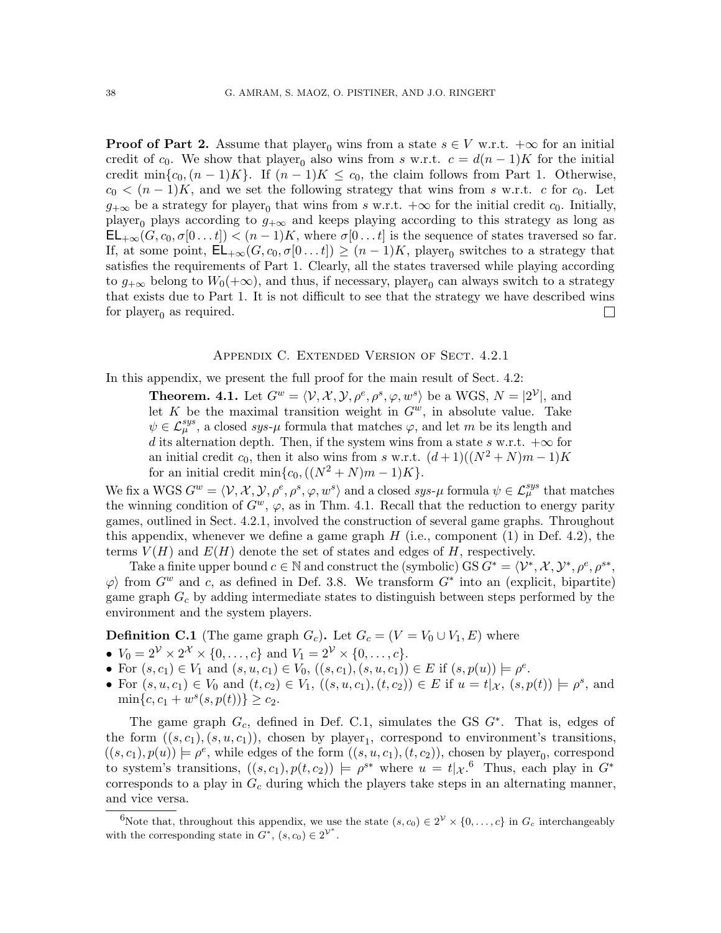**Proof of [Part 2.](#page-32-3)** Assume that player<sub>0</sub> wins from a state  $s \in V$  w.r.t.  $+\infty$  for an initial credit of c<sub>0</sub>. We show that player<sub>0</sub> also wins from s w.r.t.  $c = d(n-1)K$  for the initial credit min $\{c_0,(n-1)K\}$ . If  $(n-1)K \leq c_0$ , the claim follows from [Part 1.](#page-32-0) Otherwise,  $c_0 < (n-1)K$ , and we set the following strategy that wins from s w.r.t. c for  $c_0$ . Let  $g_{+\infty}$  be a strategy for player<sub>0</sub> that wins from s w.r.t.  $+\infty$  for the initial credit  $c_0$ . Initially, player<sub>0</sub> plays according to  $g_{+\infty}$  and keeps playing according to this strategy as long as  $\mathsf{EL}_{+\infty}(G, c_0, \sigma[0 \dots t]) < (n-1)K$ , where  $\sigma[0 \dots t]$  is the sequence of states traversed so far. If, at some point,  $\mathsf{EL}_{+\infty}(G, c_0, \sigma[0...t]) \geq (n-1)K$ , player<sub>0</sub> switches to a strategy that satisfies the requirements of [Part 1.](#page-32-0) Clearly, all the states traversed while playing according to  $g_{+\infty}$  belong to  $W_0(+\infty)$ , and thus, if necessary, player<sub>0</sub> can always switch to a strategy that exists due to [Part 1.](#page-32-0) It is not difficult to see that the strategy we have described wins for player<sub>0</sub> as required.  $\Box$ 

### Appendix C. Extended Version of Sect. [4.2.1](#page-17-0)

<span id="page-37-0"></span>In this appendix, we present the full proof for the main result of Sect. [4.2:](#page-14-0)

**Theorem. [4.1.](#page-15-0)** Let  $G^w = \langle V, \mathcal{X}, \mathcal{Y}, \rho^e, \rho^s, \varphi, w^s \rangle$  be a WGS,  $N = |2^{\mathcal{V}}|$ , and let K be the maximal transition weight in  $G^w$ , in absolute value. Take  $\psi \in \mathcal{L}_{\mu}^{sys}$ , a closed sys- $\mu$  formula that matches  $\varphi$ , and let m be its length and d its alternation depth. Then, if the system wins from a state s w.r.t.  $+\infty$  for an initial credit  $c_0$ , then it also wins from s w.r.t.  $(d+1)((N^2+N)m-1)K$ for an initial credit min $\{c_0, ((N^2 + N)m - 1)K\}.$ 

We fix a WGS  $G^w = \langle \mathcal{V}, \mathcal{X}, \mathcal{Y}, \rho^e, \rho^s, \varphi, w^s \rangle$  and a closed sys- $\mu$  formula  $\psi \in \mathcal{L}^{sys}_{\mu}$  that matches the winning condition of  $G^w$ ,  $\varphi$ , as in Thm. [4.1.](#page-15-0) Recall that the reduction to energy parity games, outlined in Sect. [4.2.1,](#page-17-0) involved the construction of several game graphs. Throughout this appendix, whenever we define a game graph  $H$  (i.e., component (1) in Def. [4.2\)](#page-15-1), the terms  $V(H)$  and  $E(H)$  denote the set of states and edges of H, respectively.

Take a finite upper bound  $c \in \mathbb{N}$  and construct the (symbolic) GS  $G^* = \langle V^*, \mathcal{X}, \mathcal{Y}^*, \rho^e, \rho^{s*}, \mathcal{Y}^*, \mathcal{Y}^*, \rho^e, \rho^{s*}, \mathcal{Y}^*, \mathcal{Y}^*, \rho^{s*} \rangle$  $\varphi$  from  $G^w$  and c, as defined in Def. [3.8.](#page-12-3) We transform  $G^*$  into an (explicit, bipartite) game graph  $G_c$  by adding intermediate states to distinguish between steps performed by the environment and the system players.

<span id="page-37-1"></span>**Definition C.1** (The game graph  $G_c$ ). Let  $G_c = (V = V_0 \cup V_1, E)$  where

- $V_0 = 2^{\mathcal{V}} \times 2^{\mathcal{X}} \times \{0, ..., c\}$  and  $V_1 = 2^{\mathcal{V}} \times \{0, ..., c\}$ .
- For  $(s, c_1) \in V_1$  and  $(s, u, c_1) \in V_0$ ,  $((s, c_1), (s, u, c_1)) \in E$  if  $(s, p(u)) \models \rho^e$ .
- For  $(s, u, c_1) \in V_0$  and  $(t, c_2) \in V_1$ ,  $((s, u, c_1), (t, c_2)) \in E$  if  $u = t | x, (s, p(t)) | \in \rho^s$ , and  $\min\{c, c_1 + w^s(s, p(t))\} \ge c_2.$

The game graph  $G_c$ , defined in Def. [C.1,](#page-37-1) simulates the GS  $G^*$ . That is, edges of the form  $((s, c_1), (s, u, c_1))$ , chosen by player<sub>1</sub>, correspond to environment's transitions,  $((s, c_1), p(u)) \models \rho^e$ , while edges of the form  $((s, u, c_1), (t, c_2))$ , chosen by player<sub>0</sub>, correspond to system's transitions,  $((s, c_1), p(t, c_2)) \models \rho^{s*}$  where  $u = t |_{\mathcal{X}}$ .<sup>[6](#page-37-2)</sup> Thus, each play in  $G^*$ corresponds to a play in  $G_c$  during which the players take steps in an alternating manner, and vice versa.

<span id="page-37-2"></span><sup>&</sup>lt;sup>6</sup>Note that, throughout this appendix, we use the state  $(s, c_0) \in 2^{\mathcal{V}} \times \{0, \ldots, c\}$  in  $G_c$  interchangeably with the corresponding state in  $G^*$ ,  $(s, c_0) \in 2^{\mathcal{V}^*}$ .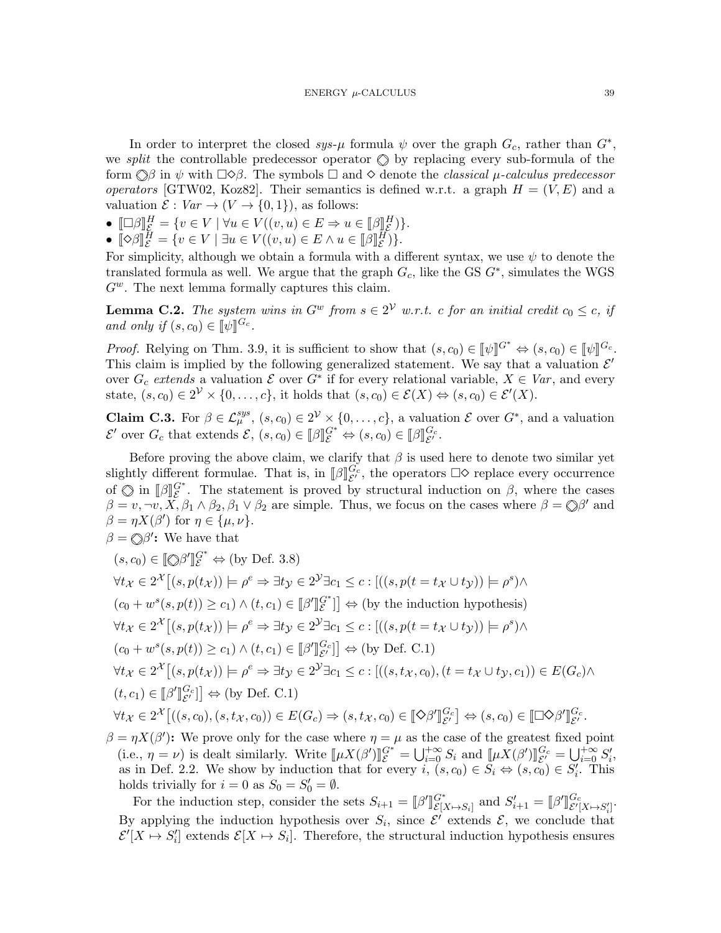In order to interpret the closed  $sys-\mu$  formula  $\psi$  over the graph  $G_c$ , rather than  $G^*$ , we *split* the controllable predecessor operator  $\Diamond$  by replacing every sub-formula of the form  $\Diamond \beta$  in  $\psi$  with  $\Box \Diamond \beta$ . The symbols  $\Box$  and  $\Diamond$  denote the *classical*  $\mu$ -calculus predecessor operators [\[GTW02,](#page-22-6) [Koz82\]](#page-23-3). Their semantics is defined w.r.t. a graph  $H = (V, E)$  and a valuation  $\mathcal{E}: Var \to (V \to \{0,1\})$ , as follows:

- $\bullet \quad \Box \beta \parallel^H_{\mathcal{E}} = \{v \in V \mid \forall u \in V((v, u) \in E \Rightarrow u \in [\beta]E^H\})\}.$
- $\bullet \quad \llbracket \diamond \beta \rrbracket_{\mathcal{E}}^H = \{ v \in V \mid \exists u \in V((v, u) \in E \land u \in \llbracket \beta \rrbracket_{\mathcal{E}}^H \}.$

For simplicity, although we obtain a formula with a different syntax, we use  $\psi$  to denote the translated formula as well. We argue that the graph  $G_c$ , like the GS  $G^*$ , simulates the WGS  $G^w$ . The next lemma formally captures this claim.

<span id="page-38-0"></span>**Lemma C.2.** The system wins in  $G^w$  from  $s \in 2^{\mathcal{V}}$  w.r.t. c for an initial credit  $c_0 \leq c$ , if and only if  $(s, c_0) \in [\![\psi]\!]^{G_c}$ .

*Proof.* Relying on Thm. [3.9,](#page-13-4) it is sufficient to show that  $(s, c_0) \in [\![\psi]\!]^{G^*} \Leftrightarrow (s, c_0) \in [\![\psi]\!]^{G_c}$ .<br>This claim is implied by the following generalized statement. We say that a valuation  $S'$ . This claim is implied by the following generalized statement. We say that a valuation  $\mathcal{E}'$ over  $G_c$  extends a valuation  $\mathcal E$  over  $G^*$  if for every relational variable,  $X \in Var$ , and every state,  $(s, c_0) \in 2^{\mathcal{V}} \times \{0, \ldots, c\}$ , it holds that  $(s, c_0) \in \mathcal{E}(X) \Leftrightarrow (s, c_0) \in \mathcal{E}'(X)$ .

**Claim C.3.** For  $\beta \in \mathcal{L}_{\mu}^{sys}$ ,  $(s, c_0) \in 2^{\mathcal{V}} \times \{0, \ldots, c\}$ , a valuation  $\mathcal{E}$  over  $G^*$ , and a valuation  $\mathcal{E}'$  over  $G_c$  that extends  $\mathcal{E}, (s, c_0) \in [\![\beta]\!]_{\mathcal{E}}^{G^*} \Leftrightarrow (s, c_0) \in [\![\beta]\!]_{\mathcal{E}'}^{G_c}.$ 

Before proving the above claim, we clarify that  $\beta$  is used here to denote two similar yet slightly different formulae. That is, in  $[\![\beta]\!]_{\mathcal{E}'}^{G_c}$ , the operators  $\square \Diamond$  replace every occurrence of  $\bigcirc$  in  $\left[\beta\right]_{\mathcal{E}}^{G^*}$ . The statement is proved by structural induction on  $\beta$ , where the cases  $\beta = v, \neg v, X, \beta_1 \wedge \beta_2, \beta_1 \vee \beta_2$  are simple. Thus, we focus on the cases where  $\beta = \bigcirc \beta'$  and  $\beta = \eta X(\beta')$  for  $\eta \in {\{\mu, \nu\}}$ .  $\beta = \mathbb{Q}\beta'$ : We have that

$$
(s, c_0) \in [\![\infty\beta']\!]_c^{G^*} \Leftrightarrow \text{ (by Def. 3.8)}
$$
  
\n
$$
\forall t_x \in 2^{\mathcal{X}}[(s, p(t_x))] \models \rho^e \Rightarrow \exists t_y \in 2^{\mathcal{Y}}\exists c_1 \le c : [((s, p(t = t_x \cup t_y)) \models \rho^s) \land
$$
  
\n
$$
(c_0 + w^s(s, p(t)) \ge c_1) \land (t, c_1) \in [\![\beta']\!]_c^{G^*}] \Rightarrow \text{ (by the induction hypothesis)}
$$
  
\n
$$
\forall t_x \in 2^{\mathcal{X}}[(s, p(t_x)) \models \rho^e \Rightarrow \exists t_y \in 2^{\mathcal{Y}}\exists c_1 \le c : [((s, p(t = t_x \cup t_y)) \models \rho^s) \land
$$
  
\n
$$
(c_0 + w^s(s, p(t)) \ge c_1) \land (t, c_1) \in [\![\beta']\!]_{c'}^{G^c}] \Rightarrow \text{ (by Def. C.1)}
$$
  
\n
$$
\forall t_x \in 2^{\mathcal{X}}[(s, p(t_x)) \models \rho^e \Rightarrow \exists t_y \in 2^{\mathcal{Y}}\exists c_1 \le c : [((s, t_x, c_0), (t = t_x \cup t_y, c_1)) \in E(G_c) \land
$$
  
\n
$$
(t, c_1) \in [\![\beta']\!]_{c'}^{G^c}] \Rightarrow \text{ (by Def. C.1)}
$$
  
\n
$$
\forall t_x \in 2^{\mathcal{X}}[(s, c_0), (s, t_x, c_0)) \in E(G_c) \Rightarrow (s, t_x, c_0) \in [\![\infty\beta']\!]_{c'}^{G^c}] \Leftrightarrow (s, c_0) \in [\![\infty\beta']\!]_{c'}^{G^c}.
$$

 $\beta = \eta X(\beta')$ : We prove only for the case where  $\eta = \mu$  as the case of the greatest fixed point (i.e.,  $\eta = \nu$ ) is dealt similarly. Write  $[\mu X(\beta')]_g^{G^*} = \bigcup_{i=0}^{+\infty} S_i$  and  $[\mu X(\beta')]_{g'}^{G_c} = \bigcup_{i=0}^{+\infty} S'_i$ , as in Def. [2.2.](#page-8-0) We show by induction that for every  $i, (s, c_0) \in \overline{S}_i \Leftrightarrow (s, c_0) \in \overline{S}'_i$ . This holds trivially for  $i = 0$  as  $S_0 = S'_0 = \emptyset$ .

For the induction step, consider the sets  $S_{i+1} = [\beta'$ لا<br>ر G<sup>∗</sup>  $E[X \mapsto S_i]$  and  $S'_{i+1} = [\beta']$ ll<br>I  $G_c$  $G_c$ <br> $\mathcal{E}'[X \mapsto S_i']$ By applying the induction hypothesis over  $S_i$ , since  $\mathcal{E}'$  extends  $\mathcal{E}$ , we conclude that  $\mathcal{E}'[X \mapsto S_i']$  extends  $\mathcal{E}[X \mapsto S_i]$ . Therefore, the structural induction hypothesis ensures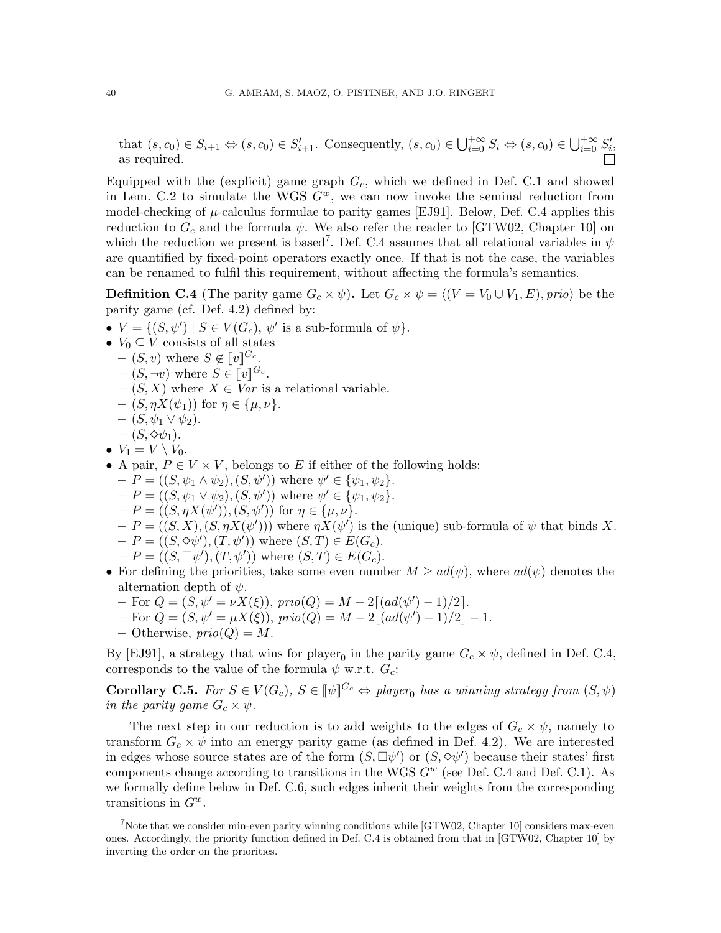that  $(s, c_0) \in S_{i+1} \Leftrightarrow (s, c_0) \in S'_{i+1}$ . Consequently,  $(s, c_0) \in \bigcup_{i=0}^{+\infty} S_i \Leftrightarrow (s, c_0) \in \bigcup_{i=0}^{+\infty} S'_i$ , as required.

Equipped with the (explicit) game graph  $G_c$ , which we defined in Def. [C.1](#page-37-1) and showed in Lem. [C.2](#page-38-0) to simulate the WGS  $G^w$ , we can now invoke the seminal reduction from model-checking of  $\mu$ -calculus formulae to parity games [\[EJ91\]](#page-22-1). Below, Def. [C.4](#page-39-0) applies this reduction to  $G_c$  and the formula  $\psi$ . We also refer the reader to [\[GTW02,](#page-22-6) Chapter 10] on which the reduction we present is based<sup>[7](#page-39-1)</sup>. Def. [C.4](#page-39-0) assumes that all relational variables in  $\psi$ are quantified by fixed-point operators exactly once. If that is not the case, the variables can be renamed to fulfil this requirement, without affecting the formula's semantics.

<span id="page-39-0"></span>**Definition C.4** (The parity game  $G_c \times \psi$ ). Let  $G_c \times \psi = \langle (V = V_0 \cup V_1, E), \text{prio} \rangle$  be the parity game (cf. Def. [4.2\)](#page-15-1) defined by:

- $V = \{ (S, \psi') \mid S \in V(G_c), \psi' \text{ is a sub-formula of } \psi \}.$
- $V_0 \subseteq V$  consists of all states
	- $(S, v)$  where  $S \notin [v]^{G_c}$ .<br> $(S v)$  where  $S \subseteq [v]^{G_c}$ .
	- $-(S, \neg v)$  where  $S \in [v]^{G_c}$ .<br>  $-(S, X)$  where  $X \subseteq Var$  is
	- $(S, X)$  where  $X \in Var$  is a relational variable.
	- $(S, \eta X(\psi_1))$  for  $\eta \in {\{\mu, \nu\}}$ .
	- $(S, \psi_1 \vee \psi_2)$ .
	- $(S, \diamond \psi_1)$ .
- $V_1 = V \setminus V_0$ .
- A pair,  $P \in V \times V$ , belongs to E if either of the following holds:
	- $-P = ((S, \psi_1 \wedge \psi_2), (S, \psi'))$  where  $\psi' \in {\psi_1, \psi_2}.$
	- $-P = ((S, \psi_1 \vee \psi_2), (S, \psi'))$  where  $\psi' \in {\psi_1, \psi_2}.$
	- $-P = ((S, \eta X(\psi')), (S, \psi'))$  for  $\eta \in {\{\mu, \nu\}}$ .
	- $-P = ((S, X), (S, \eta X(\psi')))$  where  $\eta X(\psi')$  is the (unique) sub-formula of  $\psi$  that binds X.
	- $-P = ((S, \Diamond \psi'), (T, \psi'))$  where  $(S, T) \in E(G_c)$ .
	- $-P = ((S, \Box \psi'), (T, \psi'))$  where  $(S, T) \in E(G_c)$ .
- For defining the priorities, take some even number  $M \geq ad(\psi)$ , where  $ad(\psi)$  denotes the alternation depth of  $\psi$ .
	- $-$  For  $Q = (S, \psi' = \nu X(\xi)), \, \text{prio}(Q) = M 2\lceil (ad(\psi') 1)/2 \rceil$ .
	- $-$  For  $Q = (S, \psi' = \mu X(\xi)), \, \text{prio}(Q) = M 2 \lfloor (ad(\psi') 1)/2 \rfloor 1.$
	- Otherwise,  $prio(Q) = M$ .

By [\[EJ91\]](#page-22-1), a strategy that wins for player<sub>0</sub> in the parity game  $G_c \times \psi$ , defined in Def. [C.4,](#page-39-0) corresponds to the value of the formula  $\psi$  w.r.t.  $G_c$ :

<span id="page-39-2"></span>**Corollary C.5.** For  $S \in V(G_c)$ ,  $S \in [\![\psi]\!]^{G_c} \Leftrightarrow \text{player}_0$  has a winning strategy from  $(S, \psi)$ <br>in the parity game  $C \times \psi$ in the parity game  $G_c \times \psi$ .

The next step in our reduction is to add weights to the edges of  $G_c \times \psi$ , namely to transform  $G_c \times \psi$  into an energy parity game (as defined in Def. [4.2\)](#page-15-1). We are interested in edges whose source states are of the form  $(S, \Box \psi')$  or  $(S, \Diamond \psi')$  because their states' first components change according to transitions in the WGS  $G^w$  (see Def. [C.4](#page-39-0) and Def. [C.1\)](#page-37-1). As we formally define below in Def. [C.6,](#page-40-0) such edges inherit their weights from the corresponding transitions in  $G^w$ .

<span id="page-39-1"></span><sup>&</sup>lt;sup>7</sup>Note that we consider min-even parity winning conditions while  $\left[ \text{GTW02}, \text{Chapter 10} \right]$  considers max-even ones. Accordingly, the priority function defined in Def. [C.4](#page-39-0) is obtained from that in [\[GTW02,](#page-22-6) Chapter 10] by inverting the order on the priorities.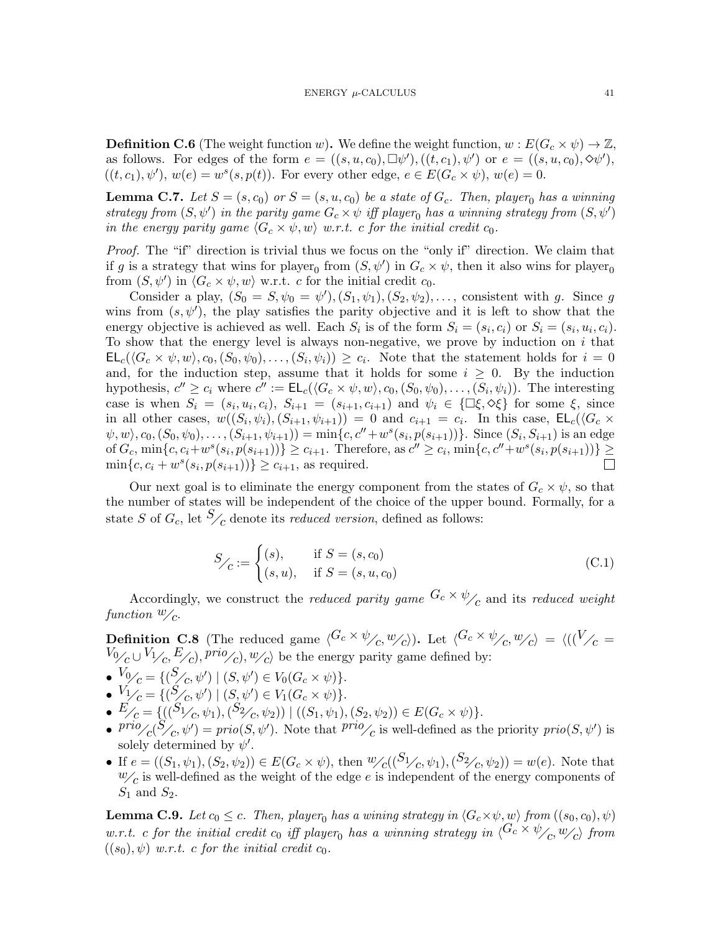<span id="page-40-0"></span>**Definition C.6** (The weight function w). We define the weight function,  $w : E(G_c \times \psi) \to \mathbb{Z}$ , as follows. For edges of the form  $e = ((s, u, c_0), \Box \psi'), ((t, c_1), \psi')$  or  $e = ((s, u, c_0), \Diamond \psi'),$  $((t, c_1), \psi')$ ,  $w(e) = w^s(s, p(t))$ . For every other edge,  $e \in E(G_c \times \psi)$ ,  $w(e) = 0$ .

<span id="page-40-3"></span>**Lemma C.7.** Let  $S = (s, c_0)$  or  $S = (s, u, c_0)$  be a state of  $G_c$ . Then, player<sub>0</sub> has a winning strategy from  $(S, \psi')$  in the parity game  $G_c \times \psi$  iff player<sub>0</sub> has a winning strategy from  $(S, \psi')$ in the energy parity game  $\langle G_c \times \psi, w \rangle$  w.r.t. c for the initial credit  $c_0$ .

Proof. The "if" direction is trivial thus we focus on the "only if" direction. We claim that if g is a strategy that wins for player<sub>0</sub> from  $(S, \psi')$  in  $G_c \times \psi$ , then it also wins for player<sub>0</sub> from  $(S, \psi')$  in  $\langle G_c \times \psi, w \rangle$  w.r.t. c for the initial credit  $c_0$ .

Consider a play,  $(S_0 = S, \psi_0 = \psi')$ ,  $(S_1, \psi_1)$ ,  $(S_2, \psi_2)$ , ..., consistent with g. Since g wins from  $(s, \psi')$ , the play satisfies the parity objective and it is left to show that the energy objective is achieved as well. Each  $S_i$  is of the form  $S_i = (s_i, c_i)$  or  $S_i = (s_i, u_i, c_i)$ . To show that the energy level is always non-negative, we prove by induction on  $i$  that  $\mathsf{EL}_c(\langle G_c \times \psi, w \rangle, c_0, (S_0, \psi_0), \ldots, (S_i, \psi_i) )\geq c_i$ . Note that the statement holds for  $i=0$ and, for the induction step, assume that it holds for some  $i \geq 0$ . By the induction hypothesis,  $c'' \geq c_i$  where  $c'' := \mathsf{EL}_c(\langle G_c \times \psi, w \rangle, c_0, (S_0, \psi_0), \dots, (S_i, \psi_i) \rangle$ . The interesting case is when  $S_i = (s_i, u_i, c_i)$ ,  $S_{i+1} = (s_{i+1}, c_{i+1})$  and  $\psi_i \in \{\Box \xi, \Diamond \xi\}$  for some  $\xi$ , since in all other cases,  $w((S_i, \psi_i), (S_{i+1}, \psi_{i+1})) = 0$  and  $c_{i+1} = c_i$ . In this case,  $\mathsf{EL}_c(\langle G_c \times$  $\langle \psi, w \rangle, c_0, (S_0, \psi_0), \ldots, (S_{i+1}, \psi_{i+1}) \rangle = \min\{c, c'' + w^s(s_i, p(s_{i+1}))\}.$  Since  $(S_i, S_{i+1})$  is an edge of  $G_c$ ,  $\min\{c, c_i + w^s(s_i, p(s_{i+1}))\} \ge c_{i+1}$ . Therefore, as  $c'' \ge c_i$ ,  $\min\{c, c'' + w^s(s_i, p(s_{i+1}))\}$  $\min\{c, c_i + w^s(s_i, p(s_{i+1}))\} \ge c_{i+1}$ , as required.

Our next goal is to eliminate the energy component from the states of  $G_c \times \psi$ , so that the number of states will be independent of the choice of the upper bound. Formally, for a state S of  $G_c$ , let  $\mathcal{S}_{\mathcal{L}}$  denote its *reduced version*, defined as follows:

$$
S_{\angle C} := \begin{cases} (s), & \text{if } S = (s, c_0) \\ (s, u), & \text{if } S = (s, u, c_0) \end{cases}
$$
 (C.1)

Accordingly, we construct the reduced parity game  $G_c \times \psi_{\text{c}}$  and its reduced weight function  $\mathbf{w}_{\mathcal{L}}$ .

<span id="page-40-2"></span>**Definition C.8** (The reduced game  $\langle G_c \times \psi_{\ell}, w_{\ell} \rangle$ ). Let  $\langle G_c \times \psi_{\ell}, w_{\ell} \rangle = \langle ((V_{\ell} W_{\mathcal{V}_c} \cup V_{\mathcal{V}_c}, E_{\mathcal{L}}$ ,  $\text{proj}_{c}$ ,  $\text{proj}_{c}$  be the energy parity game defined by:

- $V_0C = \{ (S_{C}, \psi') | (S, \psi') \in V_0(G_c \times \psi) \}.$
- $V_1$ <sub>C</sub> = { $(S'_c, \psi') | (S, \psi') \in V_1(G_c \times \psi)$  }.
- $E_{\angle C} = \{ ((S_1_{\angle C}, \psi_1), (S_2_{\angle C}, \psi_2)) \mid ((S_1, \psi_1), (S_2, \psi_2)) \in E(G_c \times \psi) \}.$
- $\frac{prio}{c}(S_{\ell}, \psi') = \frac{prio(S, \psi')}{c}$ . Note that  $\frac{prio}{c}$  is well-defined as the priority  $\frac{prio(S, \psi')}{c}$  is solely determined by  $\psi'$ .
- If  $e = ((S_1, \psi_1), (S_2, \psi_2)) \in E(G_c \times \psi)$ , then  $\psi_C((S_1 \mathcal{C}, \psi_1), (S_2 \mathcal{C}, \psi_2)) = w(e)$ . Note that  $w_{\mathcal{C}}$  is well-defined as the weight of the edge e is independent of the energy components of  $S_1$  and  $S_2$ .

<span id="page-40-1"></span>**Lemma C.9.** Let  $c_0 \leq c$ . Then, player<sub>0</sub> has a wining strategy in  $\langle G_c \times \psi, w \rangle$  from  $((s_0, c_0), \psi)$ w.r.t. c for the initial credit  $c_0$  iff player<sub>0</sub> has a winning strategy in  $\langle G_c \times \psi_{\ell}, w_{\ell} \rangle$  from  $((s_0), \psi)$  w.r.t. c for the initial credit  $c_0$ .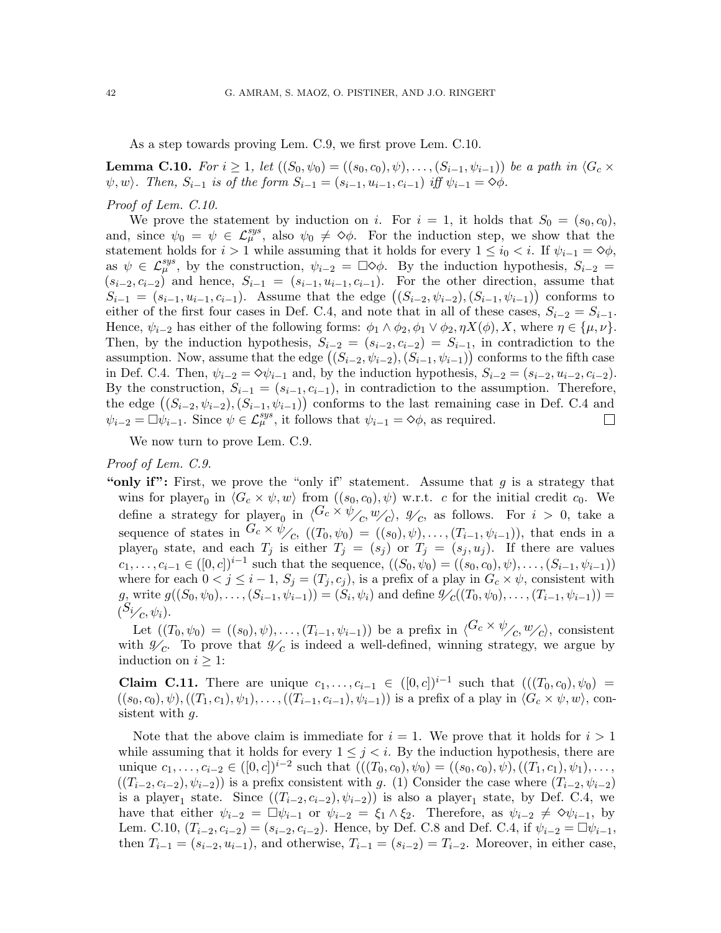As a step towards proving Lem. [C.9,](#page-40-1) we first prove Lem. [C.10.](#page-41-0)

<span id="page-41-0"></span>**Lemma C.10.** For  $i \geq 1$ , let  $((S_0, \psi_0) = ((s_0, c_0), \psi), \ldots, (S_{i-1}, \psi_{i-1}))$  be a path in  $\langle G_c \times$  $\psi, w$ . Then,  $S_{i-1}$  is of the form  $S_{i-1} = (s_{i-1}, u_{i-1}, c_{i-1})$  iff  $\psi_{i-1} = \Diamond \phi$ .

#### Proof of Lem. [C.10.](#page-41-0)

We prove the statement by induction on i. For  $i = 1$ , it holds that  $S_0 = (s_0, c_0)$ , and, since  $\psi_0 = \psi \in \mathcal{L}_{\mu}^{sys}$ , also  $\psi_0 \neq \infty$ . For the induction step, we show that the statement holds for  $i > 1$  while assuming that it holds for every  $1 \leq i_0 < i$ . If  $\psi_{i-1} = \diamond \phi$ , as  $\psi \in \mathcal{L}_{\mu}^{sys}$ , by the construction,  $\psi_{i-2} = \Box \Diamond \phi$ . By the induction hypothesis,  $S_{i-2} =$  $(s_{i-2}, c_{i-2})$  and hence,  $S_{i-1} = (s_{i-1}, u_{i-1}, c_{i-1})$ . For the other direction, assume that  $S_{i-1} = (s_{i-1}, u_{i-1}, c_{i-1})$ . Assume that the edge  $((S_{i-2}, \psi_{i-2}), (S_{i-1}, \psi_{i-1}))$  conforms to either of the first four cases in Def. [C.4,](#page-39-0) and note that in all of these cases,  $S_{i-2} = S_{i-1}$ . Hence,  $\psi_{i-2}$  has either of the following forms:  $\phi_1 \wedge \phi_2, \phi_1 \vee \phi_2, \eta X(\phi), X$ , where  $\eta \in {\{\mu, \nu\}}$ . Then, by the induction hypothesis,  $S_{i-2} = (s_{i-2}, c_{i-2}) = S_{i-1}$ , in contradiction to the assumption. Now, assume that the edge  $((S_{i-2}, \psi_{i-2}), (S_{i-1}, \psi_{i-1}))$  conforms to the fifth case in Def. [C.4.](#page-39-0) Then,  $\psi_{i-2} = \Diamond \psi_{i-1}$  and, by the induction hypothesis,  $S_{i-2} = (s_{i-2}, u_{i-2}, c_{i-2})$ . By the construction,  $S_{i-1} = (s_{i-1}, c_{i-1})$ , in contradiction to the assumption. Therefore, the edge  $((S_{i-2}, \psi_{i-2}), (S_{i-1}, \psi_{i-1}))$  conforms to the last remaining case in Def. [C.4](#page-39-0) and  $\psi_{i-2} = \Box \psi_{i-1}$ . Since  $\psi \in \mathcal{L}_{\mu}^{sys}$ , it follows that  $\psi_{i-1} = \Diamond \phi$ , as required.

We now turn to prove Lem. [C.9.](#page-40-1)

### Proof of Lem. [C.9.](#page-40-1)

"only if": First, we prove the "only if" statement. Assume that  $q$  is a strategy that wins for player<sub>0</sub> in  $\langle G_c \times \psi, w \rangle$  from  $((s_0, c_0), \psi)$  w.r.t. c for the initial credit  $c_0$ . We define a strategy for player<sub>0</sub> in  $\langle G_c \times \psi_{\angle c}, w_{\angle c} \rangle$ ,  $\mathscr{Y}_c$ , as follows. For  $i > 0$ , take a sequence of states in  $G_c \times \psi_{\mathcal{L}}$ ,  $((T_0, \psi_0) = ((s_0), \psi), \dots, (T_{i-1}, \psi_{i-1}))$ , that ends in a player<sub>0</sub> state, and each  $T_j$  is either  $T_j = (s_j)$  or  $T_j = (s_j, u_j)$ . If there are values  $c_1, \ldots, c_{i-1} \in ([0, c])^{i-1}$  such that the sequence,  $((S_0, \psi_0) = ((s_0, c_0), \psi), \ldots, (S_{i-1}, \psi_{i-1}))$ where for each  $0 < j \leq i-1$ ,  $S_j = (T_j, c_j)$ , is a prefix of a play in  $G_c \times \psi$ , consistent with  $g_j$  write  $g((S_0, \psi_0), \ldots, (S_{i-1}, \psi_{i-1})) = (S_i, \psi_i)$  and define  $g'_{\mathcal{C}}((T_0, \psi_0), \ldots, (T_{i-1}, \psi_{i-1})) =$  $(S_{i/c}, \psi_i)$ .

Let  $((T_0, \psi_0) = ((s_0), \psi), \ldots, (T_{i-1}, \psi_{i-1}))$  be a prefix in  $\langle G_c \times \psi_{\mathcal{L}}, w_{\mathcal{L}} \rangle$ , consistent with  $\mathscr{Y}_c$ . To prove that  $\mathscr{Y}_c$  is indeed a well-defined, winning strategy, we argue by induction on  $i \geq 1$ :

**Claim C.11.** There are unique  $c_1, ..., c_{i-1} \in ([0, c])^{i-1}$  such that  $(((T_0, c_0), \psi_0)$  $((s_0, c_0), \psi),((T_1, c_1), \psi_1), \ldots, ((T_{i-1}, c_{i-1}), \psi_{i-1}))$  is a prefix of a play in  $\langle G_c \times \psi, w \rangle$ , consistent with  $q$ .

Note that the above claim is immediate for  $i = 1$ . We prove that it holds for  $i > 1$ while assuming that it holds for every  $1 \leq j \leq i$ . By the induction hypothesis, there are unique  $c_1, \ldots, c_{i-2} \in ([0, c])^{i-2}$  such that  $(((T_0, c_0), \psi_0) = ((s_0, c_0), \psi), ((T_1, c_1), \psi_1), \ldots,$  $((T_{i-2}, c_{i-2}), \psi_{i-2})$  is a prefix consistent with g. (1) Consider the case where  $(T_{i-2}, \psi_{i-2})$ is a player<sub>1</sub> state. Since  $((T_{i-2}, c_{i-2}), \psi_{i-2})$  is also a player<sub>1</sub> state, by Def. [C.4,](#page-39-0) we have that either  $\psi_{i-2} = \Box \psi_{i-1}$  or  $\psi_{i-2} = \xi_1 \wedge \xi_2$ . Therefore, as  $\psi_{i-2} \neq \Diamond \psi_{i-1}$ , by Lem. [C.10,](#page-41-0)  $(T_{i-2}, c_{i-2}) = (s_{i-2}, c_{i-2})$ . Hence, by Def. [C.8](#page-40-2) and Def. [C.4,](#page-39-0) if  $\psi_{i-2} = \Box \psi_{i-1}$ , then  $T_{i-1} = (s_{i-2}, u_{i-1})$ , and otherwise,  $T_{i-1} = (s_{i-2}) = T_{i-2}$ . Moreover, in either case,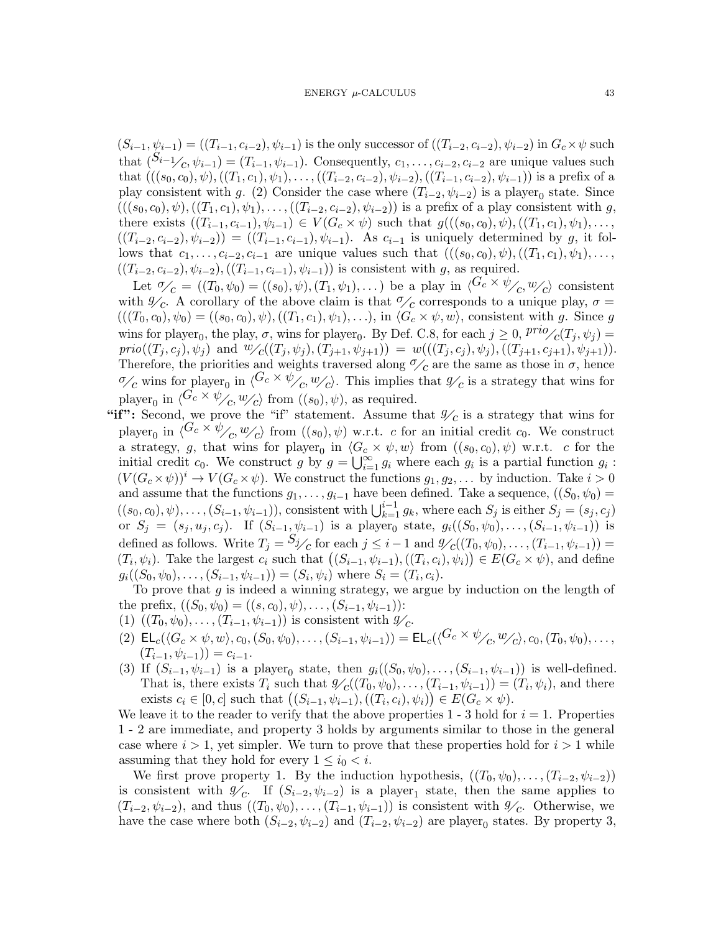$(S_{i-1}, \psi_{i-1}) = ((T_{i-1}, c_{i-2}), \psi_{i-1})$  is the only successor of  $((T_{i-2}, c_{i-2}), \psi_{i-2})$  in  $G_c \times \psi$  such that  $(S_{i-1}/c, \psi_{i-1}) = (T_{i-1}, \psi_{i-1})$ . Consequently,  $c_1, \ldots, c_{i-2}, c_{i-2}$  are unique values such that  $(((s_0, c_0), \psi),((T_1, c_1), \psi_1), \ldots,((T_{i-2}, c_{i-2}), \psi_{i-2}),((T_{i-1}, c_{i-2}), \psi_{i-1}))$  is a prefix of a play consistent with g. (2) Consider the case where  $(T_{i-2}, \psi_{i-2})$  is a player<sub>0</sub> state. Since  $(((s_0, c_0), \psi),((T_1, c_1), \psi_1), \ldots,((T_{i-2}, c_{i-2}), \psi_{i-2}))$  is a prefix of a play consistent with g, there exists  $((T_{i-1}, c_{i-1}), \psi_{i-1}) \in V(G_c \times \psi)$  such that  $g(((s_0, c_0), \psi), ((T_1, c_1), \psi_1), \dots,$  $((T_{i-2}, c_{i-2}), \psi_{i-2})) = ((T_{i-1}, c_{i-1}), \psi_{i-1}).$  As  $c_{i-1}$  is uniquely determined by g, it follows that  $c_1, \ldots, c_{i-2}, c_{i-1}$  are unique values such that  $(((s_0, c_0), \psi), ((T_1, c_1), \psi_1), \ldots,$  $((T_{i-2}, c_{i-2}), \psi_{i-2}), ((T_{i-1}, c_{i-1}), \psi_{i-1}))$  is consistent with g, as required.

Let  $\mathcal{O}_C = ((T_0, \psi_0) = ((s_0), \psi), (T_1, \psi_1), \dots)$  be a play in  $\langle G_c \times \psi_{\angle C}, w_{\angle C} \rangle$  consistent with  $\mathscr{Y}_c$ . A corollary of the above claim is that  $\mathscr{Y}_c$  corresponds to a unique play,  $\sigma =$  $(((T_0, c_0), \psi_0) = ((s_0, c_0), \psi), ((T_1, c_1), \psi_1), \ldots),$  in  $\langle G_c \times \psi, w \rangle$ , consistent with g. Since g. wins for player<sub>0</sub>, the play,  $\sigma$ , wins for player<sub>0</sub>. By Def. [C.8,](#page-40-2) for each  $j \geq 0$ ,  $\frac{prio}{c(T_j, \psi_j)} =$  $prio((T_j, c_j), \psi_j)$  and  $\psi_C((T_j, \psi_j), (T_{j+1}, \psi_{j+1})) = w(((T_j, c_j), \psi_j), (T_{j+1}, c_{j+1}), \psi_{j+1})).$ Therefore, the priorities and weights traversed along  $\mathcal{O}_c$  are the same as those in  $\sigma$ , hence  $\mathscr{O}_c$  wins for player<sub>0</sub> in  $\langle G_c \times \psi_{\ell} \rangle$ ,  $\psi_c$ ). This implies that  $\mathscr{Y}_c$  is a strategy that wins for player<sub>0</sub> in  $\langle G_c \times \psi_{\angle C}$ ,  $\psi_{\angle C}$  from  $((s_0), \psi)$ , as required.

"if": Second, we prove the "if" statement. Assume that  $\mathscr{Y}_c$  is a strategy that wins for player<sub>0</sub> in  $\langle G_c \times \psi_{\angle c}, w_{\angle c} \rangle$  from  $((s_0), \psi)$  w.r.t. c for an initial credit c<sub>0</sub>. We construct a strategy, g, that wins for player<sub>0</sub> in  $\langle G_c \times \psi, w \rangle$  from  $((s_0, c_0), \psi)$  w.r.t. c for the initial credit  $c_0$ . We construct g by  $g = \bigcup_{i=1}^{\infty} g_i$  where each  $g_i$  is a partial function  $g_i$ :  $(V(G_c \times \psi))^i \to V(G_c \times \psi)$ . We construct the functions  $g_1, g_2, \dots$  by induction. Take  $i > 0$ and assume that the functions  $g_1, \ldots, g_{i-1}$  have been defined. Take a sequence,  $((S_0, \psi_0)$  $((s_0, c_0), \psi), \ldots, (S_{i-1}, \psi_{i-1}),$  consistent with  $\bigcup_{k=1}^{i-1} g_k$ , where each  $S_j$  is either  $S_j = (s_j, c_j)$ or  $S_j = (s_j, u_j, c_j)$ . If  $(S_{i-1}, \psi_{i-1})$  is a player<sub>0</sub> state,  $g_i((S_0, \psi_0), \ldots, (S_{i-1}, \psi_{i-1}))$  is defined as follows. Write  $T_j = S_j$  for each  $j \leq i-1$  and  $\mathcal{Y}_c((T_0, \psi_0), \ldots, (T_{i-1}, \psi_{i-1})) =$  $(T_i, \psi_i)$ . Take the largest  $c_i$  such that  $((S_{i-1}, \psi_{i-1}), ((T_i, c_i), \psi_i)) \in E(G_c \times \psi)$ , and define  $g_i((S_0, \psi_0), \ldots, (S_{i-1}, \psi_{i-1})) = (S_i, \psi_i)$  where  $S_i = (T_i, c_i)$ .

To prove that  $g$  is indeed a winning strategy, we argue by induction on the length of the prefix,  $((S_0, \psi_0) = ((s, c_0), \psi), \ldots, (S_{i-1}, \psi_{i-1}))$ :

- <span id="page-42-0"></span>(1)  $((T_0, \psi_0), \ldots, (T_{i-1}, \psi_{i-1}))$  is consistent with  $\mathscr{Y}_c$ .
- <span id="page-42-2"></span>(2)  $\mathsf{EL}_c(\langle G_c \times \psi, w \rangle, c_0, (S_0, \psi_0), \ldots, (S_{i-1}, \psi_{i-1})) = \mathsf{EL}_c(\langle G_c \times \psi_{\angle C}, w_{\angle C}, c_0, (T_0, \psi_0), \ldots,$  $(T_{i-1}, \psi_{i-1}) = c_{i-1}.$
- <span id="page-42-1"></span>(3) If  $(S_{i-1}, \psi_{i-1})$  is a player<sub>0</sub> state, then  $g_i((S_0, \psi_0), \ldots, (S_{i-1}, \psi_{i-1}))$  is well-defined. That is, there exists  $T_i$  such that  $\mathcal{Y}_c((T_0, \psi_0), \ldots, (T_{i-1}, \psi_{i-1})) = (T_i, \psi_i)$ , and there exists  $c_i \in [0, c]$  such that  $((S_{i-1}, \psi_{i-1}), ((T_i, c_i), \psi_i)) \in E(G_c \times \psi)$ .

We leave it to the reader to verify that the above properties  $1 - 3$  $1 - 3$  hold for  $i = 1$  $i = 1$ . Properties [1](#page-42-0) - [2](#page-42-2) are immediate, and property [3](#page-42-1) holds by arguments similar to those in the general case where  $i > 1$ , yet simpler. We turn to prove that these properties hold for  $i > 1$  while assuming that they hold for every  $1 \leq i_0 < i$ .

We first prove property [1.](#page-42-0) By the induction hypothesis,  $((T_0, \psi_0), \ldots, (T_{i-2}, \psi_{i-2}))$ is consistent with  $\mathscr{Y}_c$ . If  $(S_{i-2}, \psi_{i-2})$  is a player<sub>1</sub> state, then the same applies to  $(T_{i-2}, \psi_{i-2})$ , and thus  $((T_0, \psi_0), \ldots, (T_{i-1}, \psi_{i-1}))$  is consistent with  $\mathscr{Y}_c$ . Otherwise, we have the case where both  $(S_{i-2}, \psi_{i-2})$  and  $(T_{i-2}, \psi_{i-2})$  are player<sub>0</sub> states. By property [3,](#page-42-1)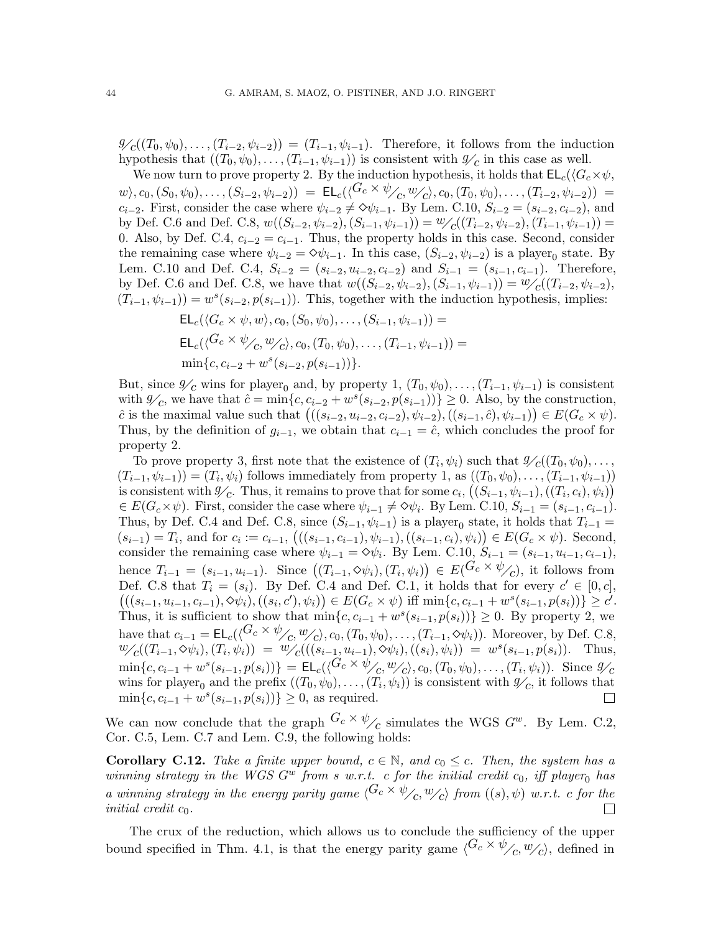$\mathscr{Y}_{c}((T_0,\psi_0),\ldots,(T_{i-2},\psi_{i-2})) = (T_{i-1},\psi_{i-1}).$  Therefore, it follows from the induction hypothesis that  $((T_0, \psi_0), \ldots, (T_{i-1}, \psi_{i-1}))$  is consistent with  $\mathscr{Y}_c$  in this case as well.

We now turn to prove property [2.](#page-42-2) By the induction hypothesis, it holds that  $EL_c(\langle G_c \times \psi, \cdot \rangle)$  $w\setminus c_0,(S_0,\psi_0),\ldots,(S_{i-2},\psi_{i-2})) = \mathsf{EL}_c(\langle^{G_c\times\psi}\!/\langle c,w_{\mathcal{C}}\rangle,c_0,(T_0,\psi_0),\ldots,(T_{i-2},\psi_{i-2})) =$  $c_{i-2}$ . First, consider the case where  $\psi_{i-2} \neq 0 \psi_{i-1}$ . By Lem. [C.10,](#page-41-0)  $S_{i-2} = (s_{i-2}, c_{i-2})$ , and by Def. [C.6](#page-40-0) and Def. [C.8,](#page-40-2)  $w((S_{i-2}, \psi_{i-2}), (S_{i-1}, \psi_{i-1})) = \frac{w}{c}((T_{i-2}, \psi_{i-2}), (T_{i-1}, \psi_{i-1})) =$ 0. Also, by Def. [C.4,](#page-39-0)  $c_{i-2} = c_{i-1}$ . Thus, the property holds in this case. Second, consider the remaining case where  $\psi_{i-2} = \Diamond \psi_{i-1}$ . In this case,  $(S_{i-2}, \psi_{i-2})$  is a player<sub>0</sub> state. By Lem. [C.10](#page-41-0) and Def. [C.4,](#page-39-0)  $S_{i-2} = (s_{i-2}, u_{i-2}, c_{i-2})$  and  $S_{i-1} = (s_{i-1}, c_{i-1})$ . Therefore, by Def. [C.6](#page-40-0) and Def. [C.8,](#page-40-2) we have that  $w((S_{i-2}, \psi_{i-2}), (S_{i-1}, \psi_{i-1})) = \psi_{\mathcal{L}}((T_{i-2}, \psi_{i-2}),$  $(T_{i-1}, \psi_{i-1}) = w^s(s_{i-2}, p(s_{i-1}))$ . This, together with the induction hypothesis, implies:

$$
\mathsf{EL}_c(\langle G_c \times \psi, w \rangle, c_0, (S_0, \psi_0), \dots, (S_{i-1}, \psi_{i-1})) =
$$
\n
$$
\mathsf{EL}_c(\langle G_c \times \psi_{\angle C}, w_{\angle C} \rangle, c_0, (T_0, \psi_0), \dots, (T_{i-1}, \psi_{i-1})) =
$$
\n
$$
\min\{c, c_{i-2} + w^s(s_{i-2}, p(s_{i-1}))\}.
$$

But, since  $\mathscr{Y}_{\mathcal{C}}$  wins for player<sub>0</sub> and, by property [1,](#page-42-0)  $(T_0, \psi_0), \ldots, (T_{i-1}, \psi_{i-1})$  is consistent with  $\mathscr{Y}_c$ , we have that  $\hat{c} = \min\{c, c_{i-2} + w^s(s_{i-2}, p(s_{i-1}))\} \geq 0$ . Also, by the construction, ĉ is the maximal value such that  $(((s_{i-2}, u_{i-2}, c_{i-2}), \psi_{i-2}), ((s_{i-1}, c), \psi_{i-1})) \in E(G_c \times \psi)$ . Thus, by the definition of  $g_{i-1}$ , we obtain that  $c_{i-1} = \hat{c}$ , which concludes the proof for property [2.](#page-42-2)

To prove property [3,](#page-42-1) first note that the existence of  $(T_i, \psi_i)$  such that  $\mathscr{Y}_{\mathcal{C}}((T_0, \psi_0), \ldots,$  $(T_{i-1}, \psi_{i-1}) = (T_i, \psi_i)$  follows immediately from property [1,](#page-42-0) as  $((T_0, \psi_0), \ldots, (T_{i-1}, \psi_{i-1}))$ is consistent with  $\mathscr{Y}_c$ . Thus, it remains to prove that for some  $c_i$ ,  $((S_{i-1}, \psi_{i-1}), ((T_i, c_i), \psi_i))$  $\in E(G_c \times \psi)$ . First, consider the case where  $\psi_{i-1} \neq \Diamond \psi_i$ . By Lem. [C.10,](#page-41-0)  $S_{i-1} = (s_{i-1}, c_{i-1})$ . Thus, by Def. [C.4](#page-39-0) and Def. [C.8,](#page-40-2) since  $(S_{i-1}, \psi_{i-1})$  is a player<sub>0</sub> state, it holds that  $T_{i-1} =$  $(s_{i-1}) = T_i$ , and for  $c_i := c_{i-1}$ ,  $((s_{i-1}, c_{i-1}), \psi_{i-1}), ((s_{i-1}, c_i), \psi_i)) \in E(G_c \times \psi)$ . Second, consider the remaining case where  $\psi_{i-1} = \Diamond \psi_i$ . By Lem. [C.10,](#page-41-0)  $S_{i-1} = (s_{i-1}, u_{i-1}, c_{i-1}),$ hence  $T_{i-1} = (s_{i-1}, u_{i-1})$ . Since  $((T_{i-1}, \diamond \psi_i), (T_i, \psi_i)) \in E(G_c \times \psi_{\angle C})$ , it follows from Def. [C.8](#page-40-2) that  $T_i = (s_i)$ . By Def. [C.4](#page-39-0) and Def. [C.1,](#page-37-1) it holds that for every  $c' \in [0, c]$ ,  $((s_{i-1}, u_{i-1}, c_{i-1}), \Diamond \psi_i), ((s_i, c'), \psi_i)) \in E(G_c \times \psi)$  iff  $\min\{c, c_{i-1} + w^s(s_{i-1}, p(s_i))\} \geq c'.$ Thus, it is sufficient to show that  $\min\{c, c_{i-1} + w^s(s_{i-1}, p(s_i))\} \geq 0$ . By property [2,](#page-42-2) we have that  $c_{i-1} = \mathsf{EL}_c(\langle G_c \times \psi_{\angle_C}, w_{\angle_C} \rangle, c_0, (T_0, \psi_0), \ldots, (T_{i-1}, \diamond \psi_i)).$  Moreover, by Def. [C.8,](#page-40-2)  $w_{\mathcal{L}}((T_{i-1}, \diamond \psi_i), (T_i, \psi_i)) = w_{\mathcal{L}}'((s_{i-1}, u_{i-1}), \diamond \psi_i), ((s_i), \psi_i)) = w^s(s_{i-1}, p(s_i)).$  Thus,  $\min\{c, c_{i-1} + w^s(s_{i-1}, p(s_i))\} = \mathsf{EL}_c(\langle G_c \times \psi_{\angle C}, w_{\angle C}, c_0, (T_0, \psi_0), \dots, (T_i, \psi_i)\rangle$ . Since  $\mathscr{Y}_C$ wins for player<sub>0</sub> and the prefix  $((T_0, \psi_0), \ldots, (T_i, \psi_i))$  is consistent with  $\mathscr{Y}_c$ , it follows that  $\min\{c, c_{i-1} + w^s(s_{i-1}, p(s_i))\} \ge 0$ , as required.  $\Box$ 

We can now conclude that the graph  $G_c \times \psi_{\mathcal{L}}$  simulates the WGS  $G^w$ . By Lem. [C.2,](#page-38-0) Cor. [C.5,](#page-39-2) Lem. [C.7](#page-40-3) and Lem. [C.9,](#page-40-1) the following holds:

<span id="page-43-0"></span>**Corollary C.12.** Take a finite upper bound,  $c \in \mathbb{N}$ , and  $c_0 \leq c$ . Then, the system has a winning strategy in the WGS  $G^w$  from s w.r.t. c for the initial credit  $c_0$ , iff player<sub>0</sub> has a winning strategy in the energy parity game  $\langle G_c \times \psi_{\langle c, w_{\langle c \rangle}} \rangle$  from  $((s), \psi)$  w.r.t. c for the initial credit  $c_0$ .  $\Box$ 

The crux of the reduction, which allows us to conclude the sufficiency of the upper bound specified in Thm. [4.1,](#page-15-0) is that the energy parity game  $\langle G_c \times \psi_{\ell_2}, w_{\ell_2} \rangle$ , defined in